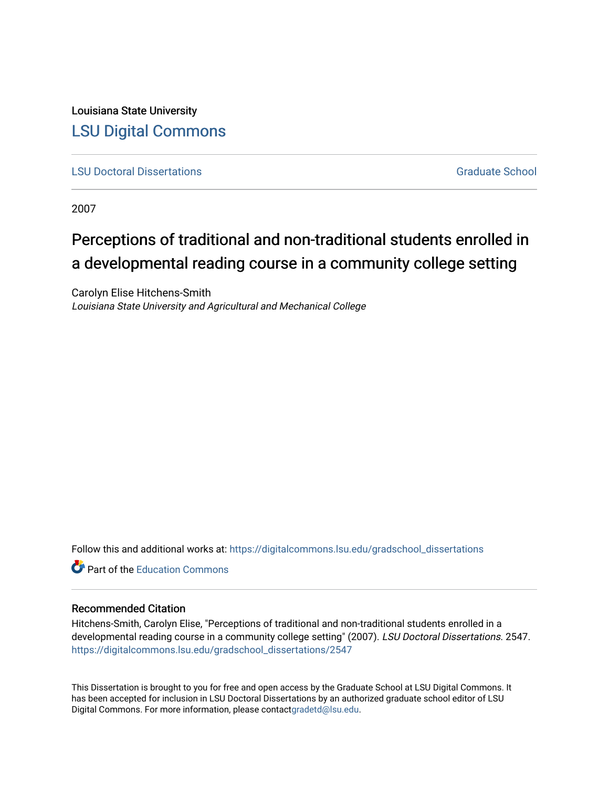Louisiana State University [LSU Digital Commons](https://digitalcommons.lsu.edu/)

**[LSU Doctoral Dissertations](https://digitalcommons.lsu.edu/gradschool_dissertations)** [Graduate School](https://digitalcommons.lsu.edu/gradschool) Control of the Graduate School Control of the Graduate School Control of the Graduate School Control of the Graduate School Control of the Graduate School Control of the Graduat

2007

# Perceptions of traditional and non-traditional students enrolled in a developmental reading course in a community college setting

Carolyn Elise Hitchens-Smith Louisiana State University and Agricultural and Mechanical College

Follow this and additional works at: [https://digitalcommons.lsu.edu/gradschool\\_dissertations](https://digitalcommons.lsu.edu/gradschool_dissertations?utm_source=digitalcommons.lsu.edu%2Fgradschool_dissertations%2F2547&utm_medium=PDF&utm_campaign=PDFCoverPages)

**C** Part of the [Education Commons](https://network.bepress.com/hgg/discipline/784?utm_source=digitalcommons.lsu.edu%2Fgradschool_dissertations%2F2547&utm_medium=PDF&utm_campaign=PDFCoverPages)

## Recommended Citation

Hitchens-Smith, Carolyn Elise, "Perceptions of traditional and non-traditional students enrolled in a developmental reading course in a community college setting" (2007). LSU Doctoral Dissertations. 2547. [https://digitalcommons.lsu.edu/gradschool\\_dissertations/2547](https://digitalcommons.lsu.edu/gradschool_dissertations/2547?utm_source=digitalcommons.lsu.edu%2Fgradschool_dissertations%2F2547&utm_medium=PDF&utm_campaign=PDFCoverPages)

This Dissertation is brought to you for free and open access by the Graduate School at LSU Digital Commons. It has been accepted for inclusion in LSU Doctoral Dissertations by an authorized graduate school editor of LSU Digital Commons. For more information, please contac[tgradetd@lsu.edu.](mailto:gradetd@lsu.edu)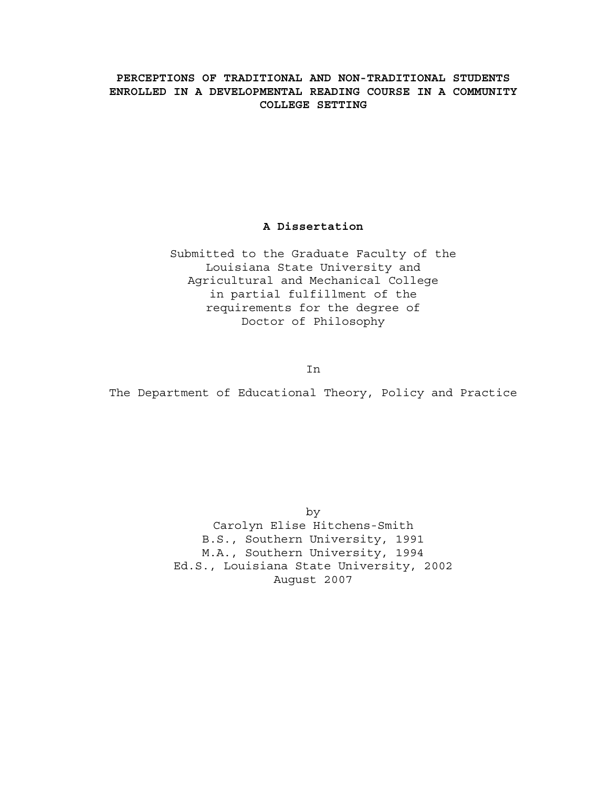## **PERCEPTIONS OF TRADITIONAL AND NON-TRADITIONAL STUDENTS ENROLLED IN A DEVELOPMENTAL READING COURSE IN A COMMUNITY COLLEGE SETTING**

## **A Dissertation**

Submitted to the Graduate Faculty of the Louisiana State University and Agricultural and Mechanical College in partial fulfillment of the requirements for the degree of Doctor of Philosophy

In

The Department of Educational Theory, Policy and Practice

by Carolyn Elise Hitchens-Smith B.S., Southern University, 1991 M.A., Southern University, 1994 Ed.S., Louisiana State University, 2002 August 2007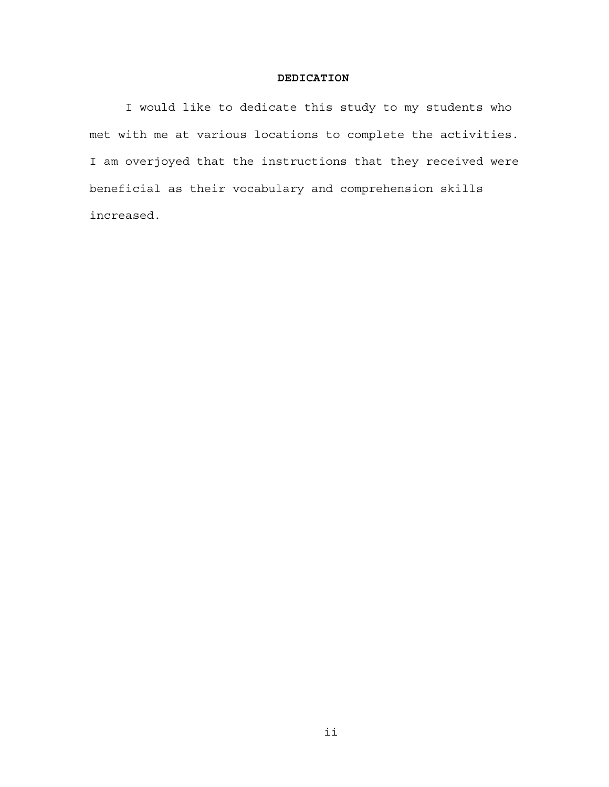## **DEDICATION**

I would like to dedicate this study to my students who met with me at various locations to complete the activities. I am overjoyed that the instructions that they received were beneficial as their vocabulary and comprehension skills increased.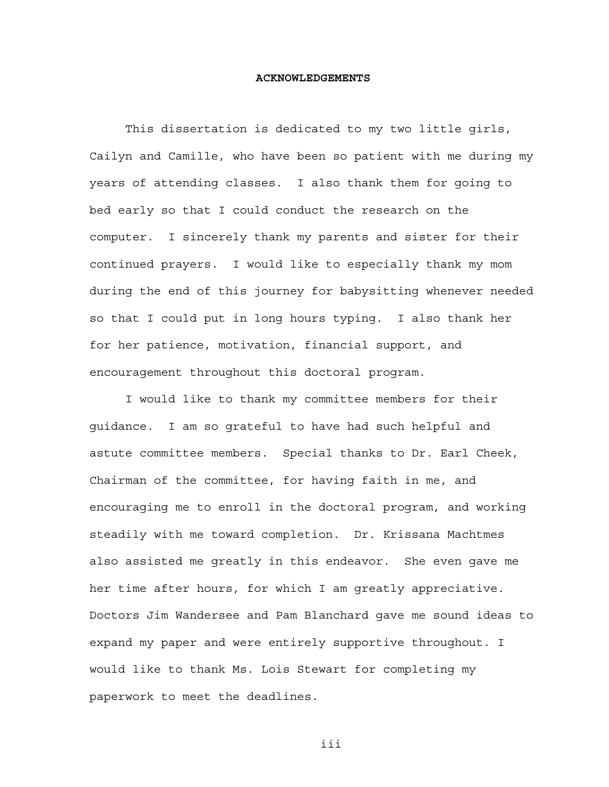#### **ACKNOWLEDGEMENTS**

This dissertation is dedicated to my two little girls, Cailyn and Camille, who have been so patient with me during my years of attending classes. I also thank them for going to bed early so that I could conduct the research on the computer. I sincerely thank my parents and sister for their continued prayers. I would like to especially thank my mom during the end of this journey for babysitting whenever needed so that I could put in long hours typing. I also thank her for her patience, motivation, financial support, and encouragement throughout this doctoral program.

I would like to thank my committee members for their guidance. I am so grateful to have had such helpful and astute committee members. Special thanks to Dr. Earl Cheek, Chairman of the committee, for having faith in me, and encouraging me to enroll in the doctoral program, and working steadily with me toward completion. Dr. Krissana Machtmes also assisted me greatly in this endeavor. She even gave me her time after hours, for which I am greatly appreciative. Doctors Jim Wandersee and Pam Blanchard gave me sound ideas to expand my paper and were entirely supportive throughout. I would like to thank Ms. Lois Stewart for completing my paperwork to meet the deadlines.

iii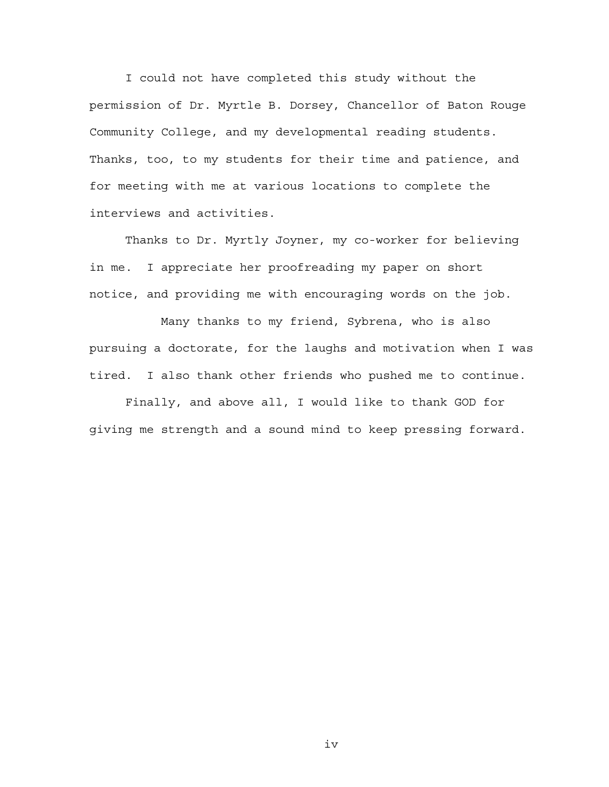I could not have completed this study without the permission of Dr. Myrtle B. Dorsey, Chancellor of Baton Rouge Community College, and my developmental reading students. Thanks, too, to my students for their time and patience, and for meeting with me at various locations to complete the interviews and activities.

Thanks to Dr. Myrtly Joyner, my co-worker for believing in me. I appreciate her proofreading my paper on short notice, and providing me with encouraging words on the job.

 Many thanks to my friend, Sybrena, who is also pursuing a doctorate, for the laughs and motivation when I was tired. I also thank other friends who pushed me to continue.

Finally, and above all, I would like to thank GOD for giving me strength and a sound mind to keep pressing forward.

iv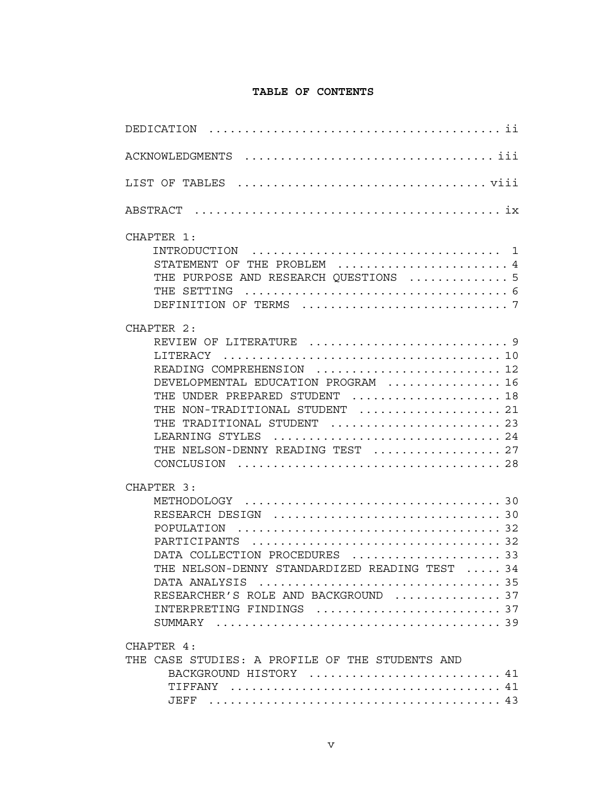## **TABLE OF CONTENTS**

| CHAPTER 1:<br>STATEMENT OF THE PROBLEM  4<br>THE PURPOSE AND RESEARCH QUESTIONS  5                                                                                                                                                             |
|------------------------------------------------------------------------------------------------------------------------------------------------------------------------------------------------------------------------------------------------|
| CHAPTER 2:<br>READING COMPREHENSION  12<br>DEVELOPMENTAL EDUCATION PROGRAM  16<br>THE UNDER PREPARED STUDENT  18<br>THE NON-TRADITIONAL STUDENT  21<br>THE TRADITIONAL STUDENT  23<br>LEARNING STYLES  24<br>THE NELSON-DENNY READING TEST  27 |
| CHAPTER 3:<br>DATA COLLECTION PROCEDURES 33<br>THE NELSON-DENNY STANDARDIZED READING TEST  34<br>RESEARCHER'S ROLE AND BACKGROUND 37                                                                                                           |
| CHAPTER 4:<br>THE CASE STUDIES: A PROFILE OF THE STUDENTS AND<br>BACKGROUND HISTORY  41                                                                                                                                                        |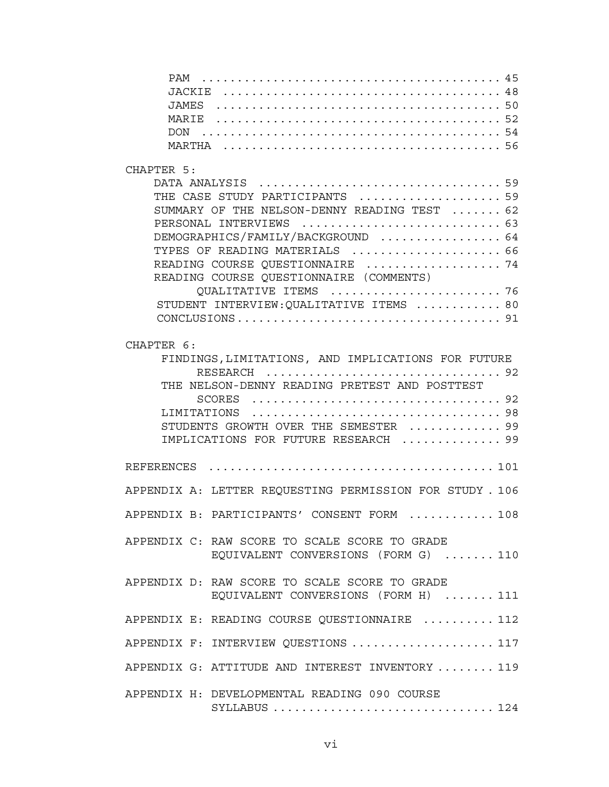## CHAPTER 5:

| THE CASE STUDY PARTICIPANTS  59              |
|----------------------------------------------|
| SUMMARY OF THE NELSON-DENNY READING TEST  62 |
| PERSONAL INTERVIEWS  63                      |
| DEMOGRAPHICS/FAMILY/BACKGROUND  64           |
| TYPES OF READING MATERIALS  66               |
| READING COURSE QUESTIONNAIRE  74             |
| READING COURSE QUESTIONNAIRE (COMMENTS)      |
| QUALITATIVE ITEMS  76                        |
| STUDENT INTERVIEW: QUALITATIVE ITEMS  80     |
|                                              |

## CHAPTER 6:

| FINDINGS, LIMITATIONS, AND IMPLICATIONS FOR FUTURE<br>THE NELSON-DENNY READING PRETEST AND POSTTEST<br>STUDENTS GROWTH OVER THE SEMESTER  99<br>IMPLICATIONS FOR FUTURE RESEARCH  99                          |
|---------------------------------------------------------------------------------------------------------------------------------------------------------------------------------------------------------------|
|                                                                                                                                                                                                               |
| APPENDIX A: LETTER REQUESTING PERMISSION FOR STUDY . 106                                                                                                                                                      |
| APPENDIX B: PARTICIPANTS' CONSENT FORM  108                                                                                                                                                                   |
| APPENDIX C: RAW SCORE TO SCALE SCORE TO GRADE<br>EQUIVALENT CONVERSIONS (FORM G)  110                                                                                                                         |
| APPENDIX D: RAW SCORE TO SCALE SCORE TO GRADE<br>EQUIVALENT CONVERSIONS (FORM H)  111                                                                                                                         |
| APPENDIX E: READING COURSE QUESTIONNAIRE  112                                                                                                                                                                 |
| APPENDIX F: INTERVIEW QUESTIONS  117                                                                                                                                                                          |
| APPENDIX G: ATTITUDE AND INTEREST INVENTORY  119                                                                                                                                                              |
| APPENDIX H: DEVELOPMENTAL READING 090 COURSE<br>$\n  SYLLABUS \n  \ldots \n  \ldots \n  \ldots \n  \ldots \n  \ldots \n  \ldots \n  \ldots \n  \ldots \n  \ldots \n  \ldots \n  \ldots \n  \ldots \n  \ldots$ |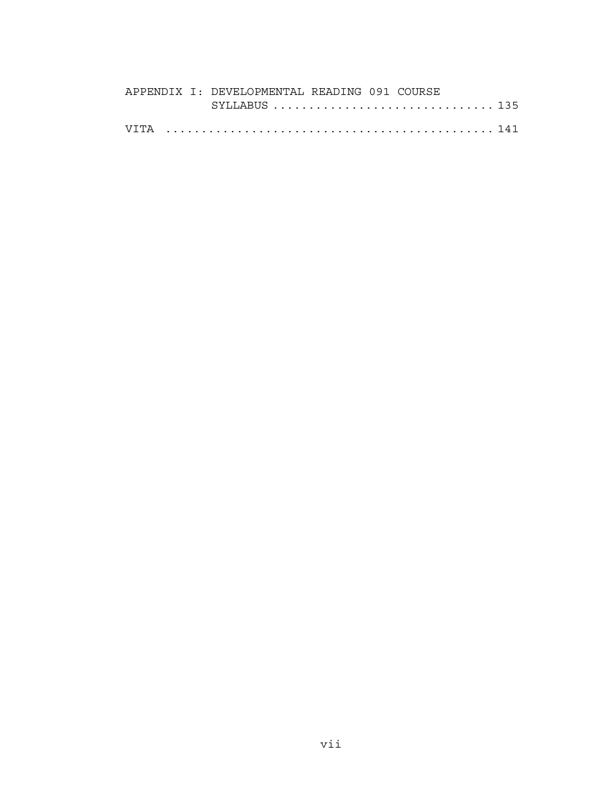|  | APPENDIX I: DEVELOPMENTAL READING 091 COURSE |
|--|----------------------------------------------|
|  |                                              |
|  |                                              |
|  |                                              |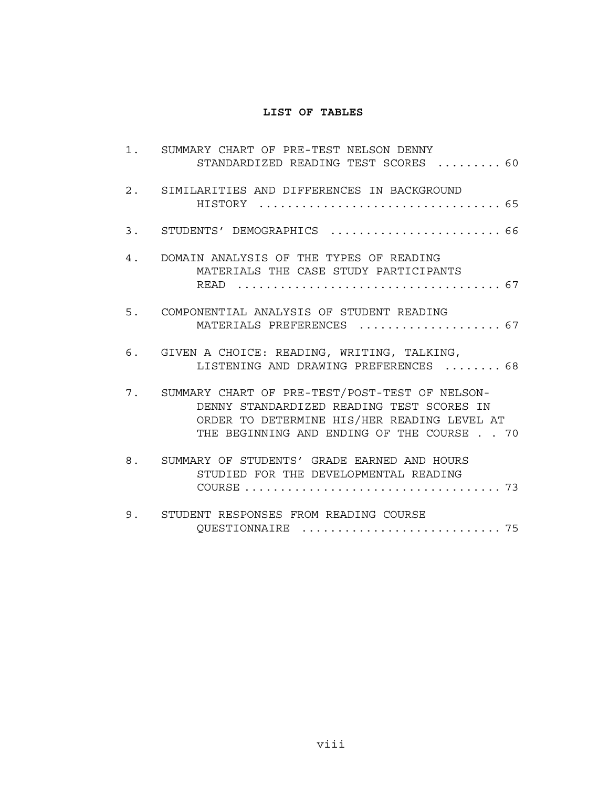## **LIST OF TABLES**

| 1. SUMMARY CHART OF PRE-TEST NELSON DENNY<br>STANDARDIZED READING TEST SCORES  60                                                                                                          |
|--------------------------------------------------------------------------------------------------------------------------------------------------------------------------------------------|
| 2. SIMILARITIES AND DIFFERENCES IN BACKGROUND                                                                                                                                              |
| 3. STUDENTS' DEMOGRAPHICS  66                                                                                                                                                              |
| 4. DOMAIN ANALYSIS OF THE TYPES OF READING<br>MATERIALS THE CASE STUDY PARTICIPANTS                                                                                                        |
| 5. COMPONENTIAL ANALYSIS OF STUDENT READING<br>MATERIALS PREFERENCES  67                                                                                                                   |
| 6. GIVEN A CHOICE: READING, WRITING, TALKING,<br>LISTENING AND DRAWING PREFERENCES  68                                                                                                     |
| 7. SUMMARY CHART OF PRE-TEST/POST-TEST OF NELSON-<br>DENNY STANDARDIZED READING TEST SCORES IN<br>ORDER TO DETERMINE HIS/HER READING LEVEL AT<br>THE BEGINNING AND ENDING OF THE COURSE 70 |
| 8. SUMMARY OF STUDENTS' GRADE EARNED AND HOURS<br>STUDIED FOR THE DEVELOPMENTAL READING                                                                                                    |
| 9. STUDENT RESPONSES FROM READING COURSE                                                                                                                                                   |

QUESTIONNAIRE ............................ 75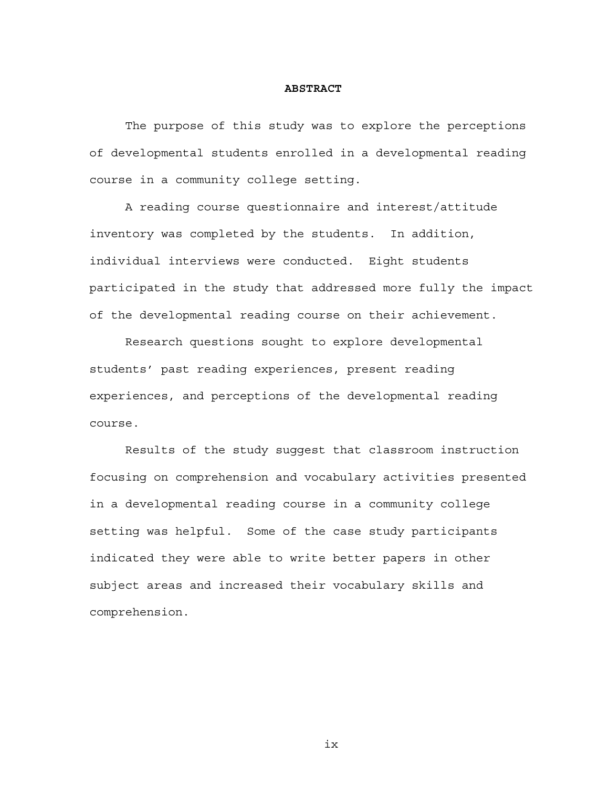#### **ABSTRACT**

The purpose of this study was to explore the perceptions of developmental students enrolled in a developmental reading course in a community college setting.

A reading course questionnaire and interest/attitude inventory was completed by the students. In addition, individual interviews were conducted. Eight students participated in the study that addressed more fully the impact of the developmental reading course on their achievement.

Research questions sought to explore developmental students' past reading experiences, present reading experiences, and perceptions of the developmental reading course.

Results of the study suggest that classroom instruction focusing on comprehension and vocabulary activities presented in a developmental reading course in a community college setting was helpful. Some of the case study participants indicated they were able to write better papers in other subject areas and increased their vocabulary skills and comprehension.

ix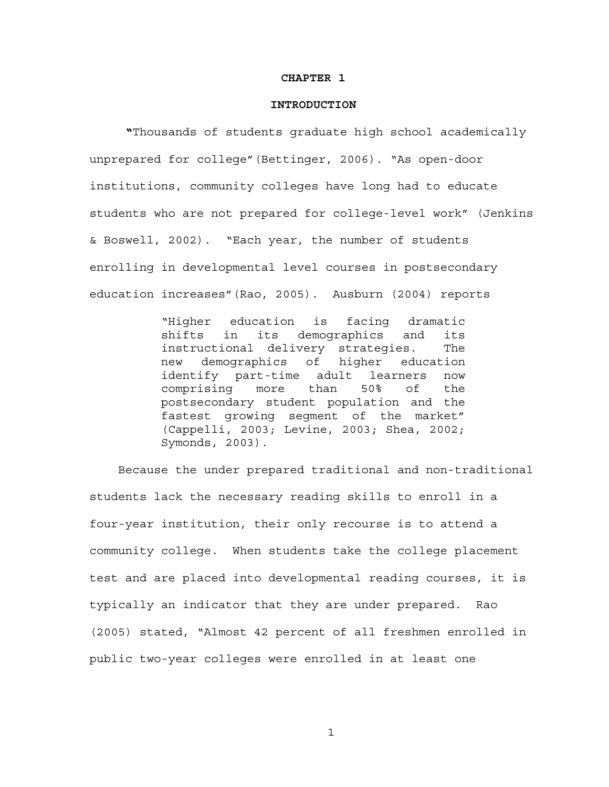#### **CHAPTER 1**

#### **INTRODUCTION**

**"**Thousands of students graduate high school academically unprepared for college"(Bettinger, 2006). "As open-door institutions, community colleges have long had to educate students who are not prepared for college-level work" (Jenkins & Boswell, 2002). "Each year, the number of students enrolling in developmental level courses in postsecondary education increases"(Rao, 2005). Ausburn (2004) reports

> "Higher education is facing dramatic shifts in its demographics and its instructional delivery strategies. The new demographics of higher education identify part-time adult learners now comprising more than 50% of the postsecondary student population and the fastest growing segment of the market" (Cappelli, 2003; Levine, 2003; Shea, 2002; Symonds, 2003).

 Because the under prepared traditional and non-traditional students lack the necessary reading skills to enroll in a four-year institution, their only recourse is to attend a community college. When students take the college placement test and are placed into developmental reading courses, it is typically an indicator that they are under prepared. Rao (2005) stated, "Almost 42 percent of all freshmen enrolled in public two-year colleges were enrolled in at least one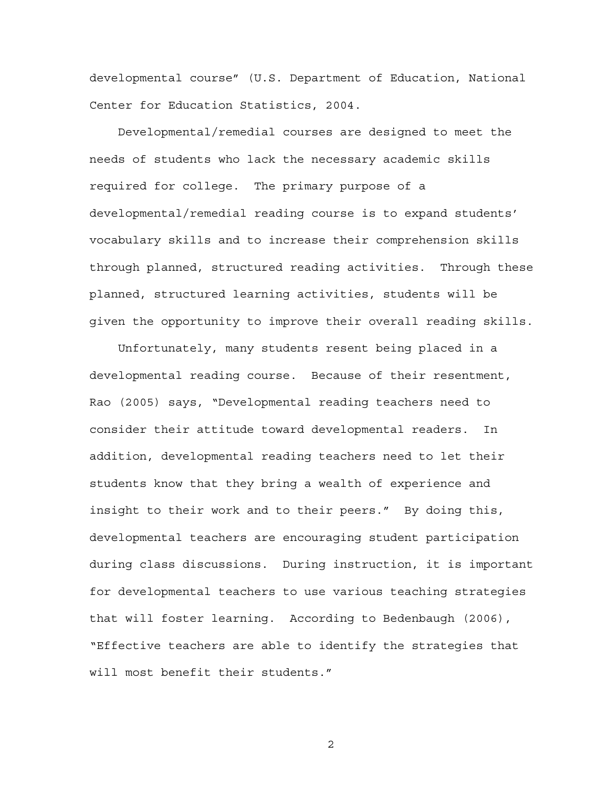developmental course" (U.S. Department of Education, National Center for Education Statistics, 2004.

 Developmental/remedial courses are designed to meet the needs of students who lack the necessary academic skills required for college. The primary purpose of a developmental/remedial reading course is to expand students' vocabulary skills and to increase their comprehension skills through planned, structured reading activities. Through these planned, structured learning activities, students will be given the opportunity to improve their overall reading skills.

 Unfortunately, many students resent being placed in a developmental reading course. Because of their resentment, Rao (2005) says, "Developmental reading teachers need to consider their attitude toward developmental readers. In addition, developmental reading teachers need to let their students know that they bring a wealth of experience and insight to their work and to their peers." By doing this, developmental teachers are encouraging student participation during class discussions. During instruction, it is important for developmental teachers to use various teaching strategies that will foster learning. According to Bedenbaugh (2006), "Effective teachers are able to identify the strategies that will most benefit their students."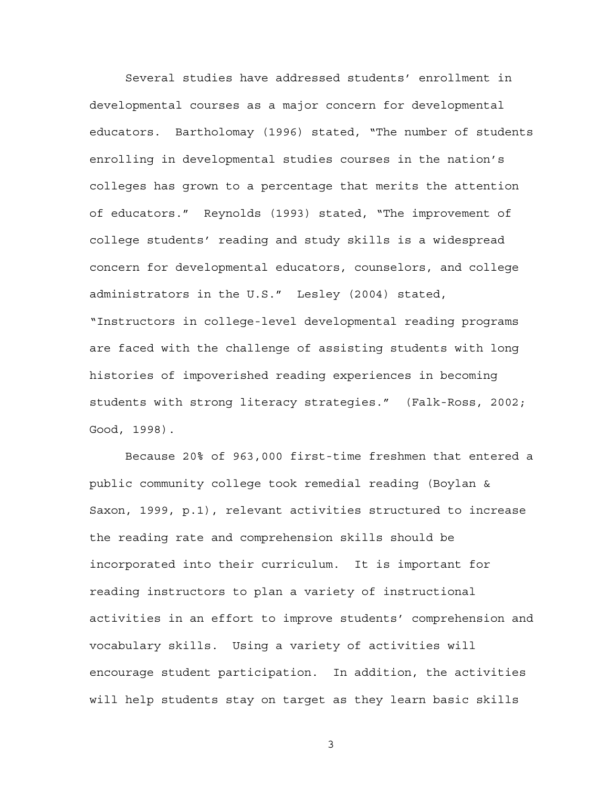Several studies have addressed students' enrollment in developmental courses as a major concern for developmental educators. Bartholomay (1996) stated, "The number of students enrolling in developmental studies courses in the nation's colleges has grown to a percentage that merits the attention of educators." Reynolds (1993) stated, "The improvement of college students' reading and study skills is a widespread concern for developmental educators, counselors, and college administrators in the U.S." Lesley (2004) stated, "Instructors in college-level developmental reading programs are faced with the challenge of assisting students with long histories of impoverished reading experiences in becoming students with strong literacy strategies." (Falk-Ross, 2002; Good, 1998).

Because 20% of 963,000 first-time freshmen that entered a public community college took remedial reading (Boylan & Saxon, 1999, p.1), relevant activities structured to increase the reading rate and comprehension skills should be incorporated into their curriculum. It is important for reading instructors to plan a variety of instructional activities in an effort to improve students' comprehension and vocabulary skills. Using a variety of activities will encourage student participation. In addition, the activities will help students stay on target as they learn basic skills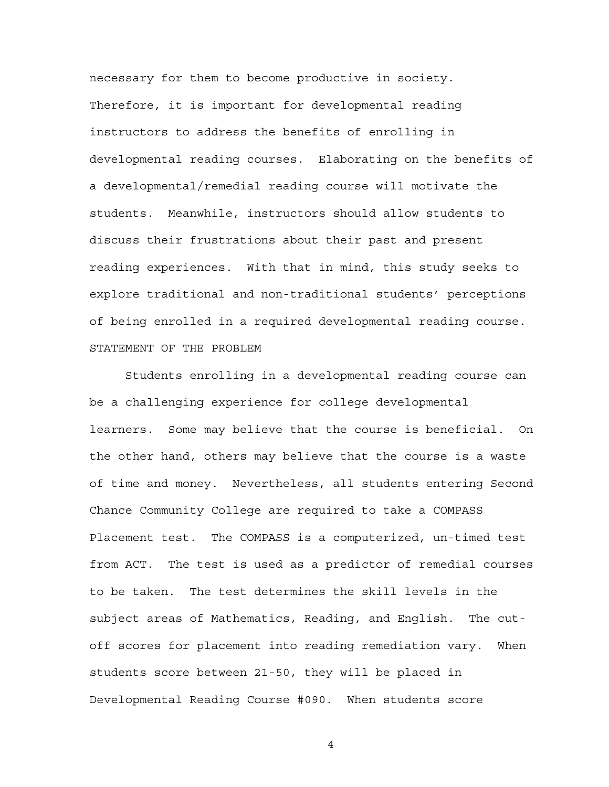necessary for them to become productive in society. Therefore, it is important for developmental reading instructors to address the benefits of enrolling in developmental reading courses. Elaborating on the benefits of a developmental/remedial reading course will motivate the students. Meanwhile, instructors should allow students to discuss their frustrations about their past and present reading experiences. With that in mind, this study seeks to explore traditional and non-traditional students' perceptions of being enrolled in a required developmental reading course. STATEMENT OF THE PROBLEM

Students enrolling in a developmental reading course can be a challenging experience for college developmental learners. Some may believe that the course is beneficial. On the other hand, others may believe that the course is a waste of time and money. Nevertheless, all students entering Second Chance Community College are required to take a COMPASS Placement test. The COMPASS is a computerized, un-timed test from ACT. The test is used as a predictor of remedial courses to be taken. The test determines the skill levels in the subject areas of Mathematics, Reading, and English. The cutoff scores for placement into reading remediation vary. When students score between 21-50, they will be placed in Developmental Reading Course #090. When students score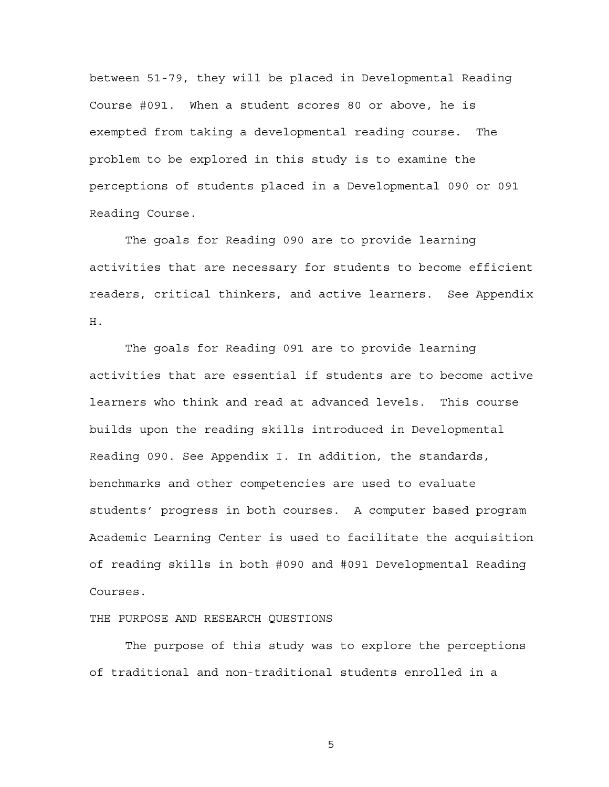between 51-79, they will be placed in Developmental Reading Course #091. When a student scores 80 or above, he is exempted from taking a developmental reading course. The problem to be explored in this study is to examine the perceptions of students placed in a Developmental 090 or 091 Reading Course.

The goals for Reading 090 are to provide learning activities that are necessary for students to become efficient readers, critical thinkers, and active learners. See Appendix H.

The goals for Reading 091 are to provide learning activities that are essential if students are to become active learners who think and read at advanced levels. This course builds upon the reading skills introduced in Developmental Reading 090. See Appendix I. In addition, the standards, benchmarks and other competencies are used to evaluate students' progress in both courses. A computer based program Academic Learning Center is used to facilitate the acquisition of reading skills in both #090 and #091 Developmental Reading Courses.

### THE PURPOSE AND RESEARCH QUESTIONS

The purpose of this study was to explore the perceptions of traditional and non-traditional students enrolled in a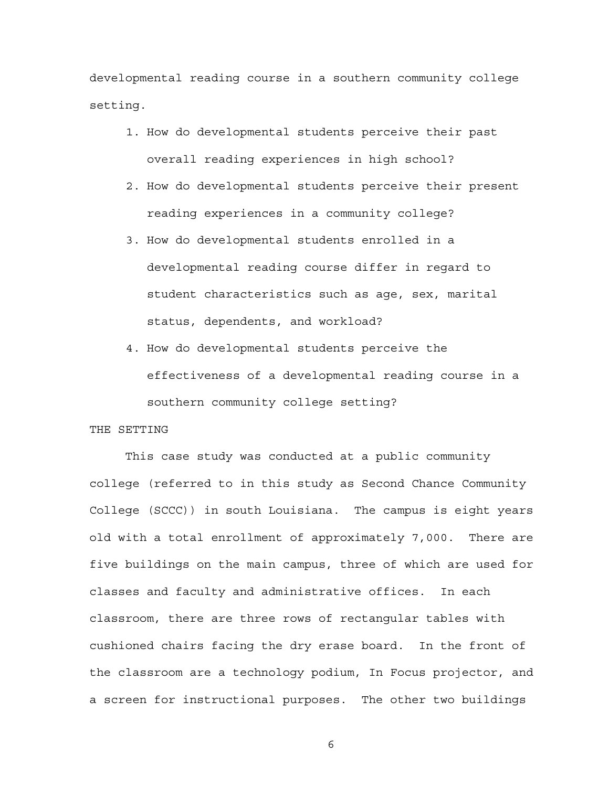developmental reading course in a southern community college setting.

- 1. How do developmental students perceive their past overall reading experiences in high school?
- 2. How do developmental students perceive their present reading experiences in a community college?
- 3. How do developmental students enrolled in a developmental reading course differ in regard to student characteristics such as age, sex, marital status, dependents, and workload?
- 4. How do developmental students perceive the effectiveness of a developmental reading course in a southern community college setting?

## THE SETTING

This case study was conducted at a public community college (referred to in this study as Second Chance Community College (SCCC)) in south Louisiana. The campus is eight years old with a total enrollment of approximately 7,000. There are five buildings on the main campus, three of which are used for classes and faculty and administrative offices. In each classroom, there are three rows of rectangular tables with cushioned chairs facing the dry erase board. In the front of the classroom are a technology podium, In Focus projector, and a screen for instructional purposes. The other two buildings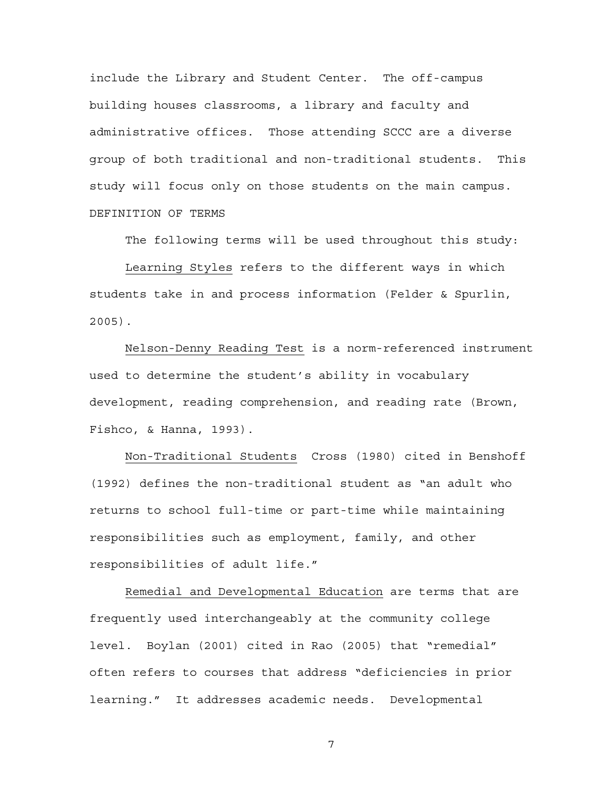include the Library and Student Center. The off-campus building houses classrooms, a library and faculty and administrative offices. Those attending SCCC are a diverse group of both traditional and non-traditional students. This study will focus only on those students on the main campus. DEFINITION OF TERMS

The following terms will be used throughout this study:

Learning Styles refers to the different ways in which students take in and process information (Felder & Spurlin, 2005).

Nelson-Denny Reading Test is a norm-referenced instrument used to determine the student's ability in vocabulary development, reading comprehension, and reading rate (Brown, Fishco, & Hanna, 1993).

Non-Traditional Students Cross (1980) cited in Benshoff (1992) defines the non-traditional student as "an adult who returns to school full-time or part-time while maintaining responsibilities such as employment, family, and other responsibilities of adult life."

Remedial and Developmental Education are terms that are frequently used interchangeably at the community college level. Boylan (2001) cited in Rao (2005) that "remedial" often refers to courses that address "deficiencies in prior learning." It addresses academic needs. Developmental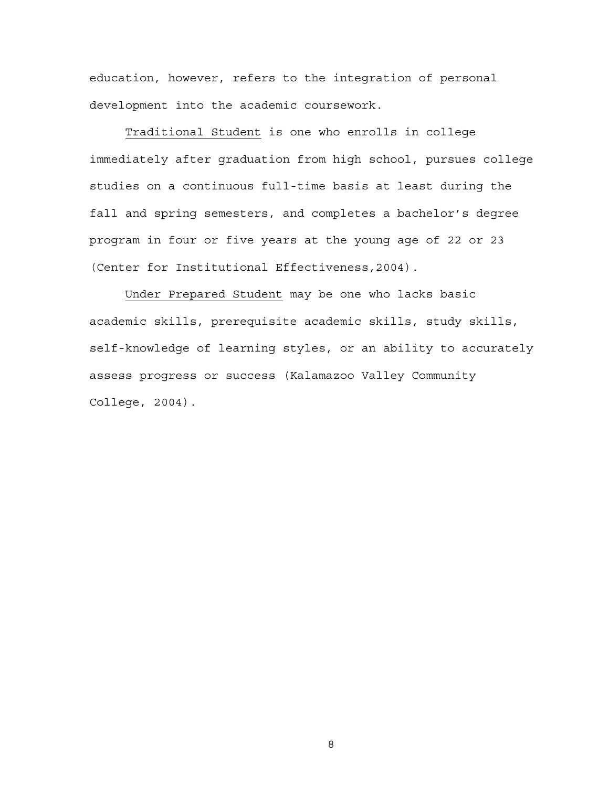education, however, refers to the integration of personal development into the academic coursework.

Traditional Student is one who enrolls in college immediately after graduation from high school, pursues college studies on a continuous full-time basis at least during the fall and spring semesters, and completes a bachelor's degree program in four or five years at the young age of 22 or 23 (Center for Institutional Effectiveness,2004).

Under Prepared Student may be one who lacks basic academic skills, prerequisite academic skills, study skills, self-knowledge of learning styles, or an ability to accurately assess progress or success (Kalamazoo Valley Community College, 2004).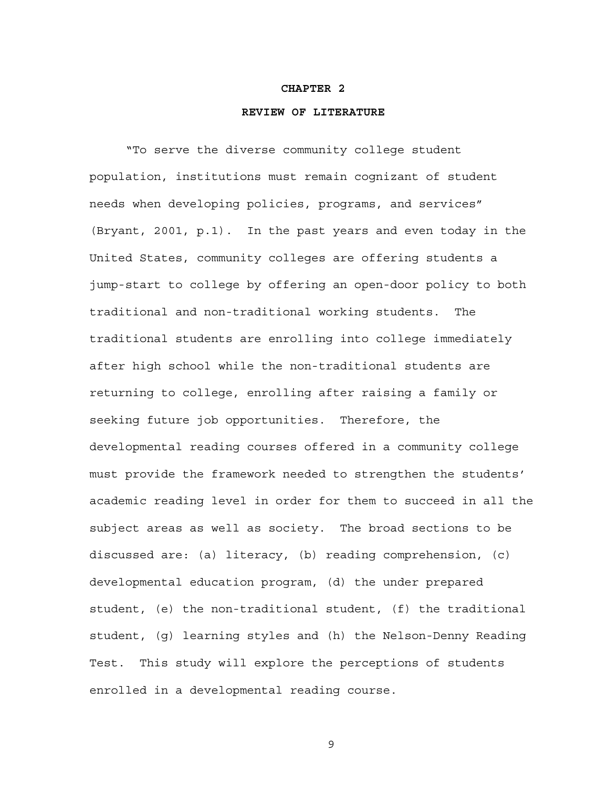#### **CHAPTER 2**

#### **REVIEW OF LITERATURE**

"To serve the diverse community college student population, institutions must remain cognizant of student needs when developing policies, programs, and services" (Bryant, 2001, p.1). In the past years and even today in the United States, community colleges are offering students a jump-start to college by offering an open-door policy to both traditional and non-traditional working students. The traditional students are enrolling into college immediately after high school while the non-traditional students are returning to college, enrolling after raising a family or seeking future job opportunities. Therefore, the developmental reading courses offered in a community college must provide the framework needed to strengthen the students' academic reading level in order for them to succeed in all the subject areas as well as society. The broad sections to be discussed are: (a) literacy, (b) reading comprehension, (c) developmental education program, (d) the under prepared student, (e) the non-traditional student, (f) the traditional student, (g) learning styles and (h) the Nelson-Denny Reading Test. This study will explore the perceptions of students enrolled in a developmental reading course.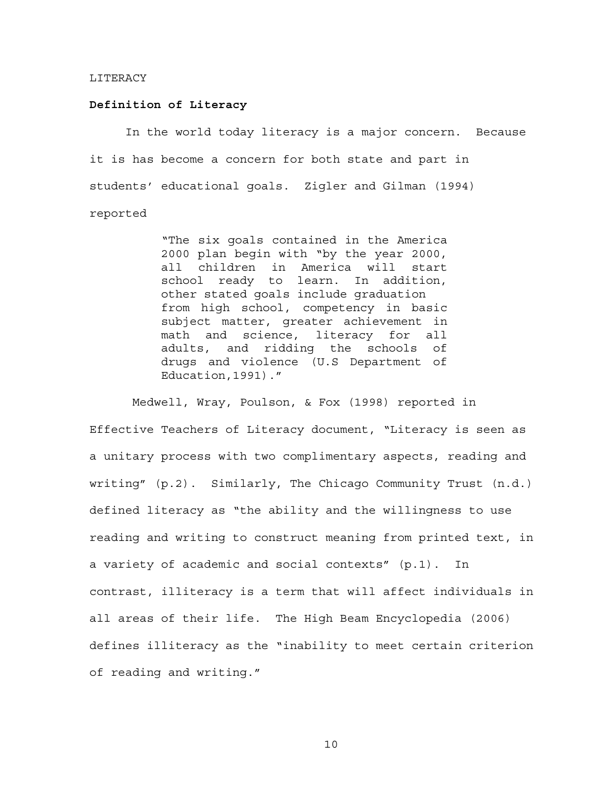#### LITERACY

#### **Definition of Literacy**

In the world today literacy is a major concern. Because it is has become a concern for both state and part in students' educational goals. Zigler and Gilman (1994) reported

> "The six goals contained in the America 2000 plan begin with "by the year 2000, all children in America will start school ready to learn. In addition, other stated goals include graduation from high school, competency in basic subject matter, greater achievement in math and science, literacy for all adults, and ridding the schools of drugs and violence (U.S Department of Education,1991)."

 Medwell, Wray, Poulson, & Fox (1998) reported in Effective Teachers of Literacy document, "Literacy is seen as a unitary process with two complimentary aspects, reading and writing" (p.2). Similarly, The Chicago Community Trust (n.d.) defined literacy as "the ability and the willingness to use reading and writing to construct meaning from printed text, in a variety of academic and social contexts" (p.1). In contrast, illiteracy is a term that will affect individuals in all areas of their life. The High Beam Encyclopedia (2006) defines illiteracy as the "inability to meet certain criterion of reading and writing."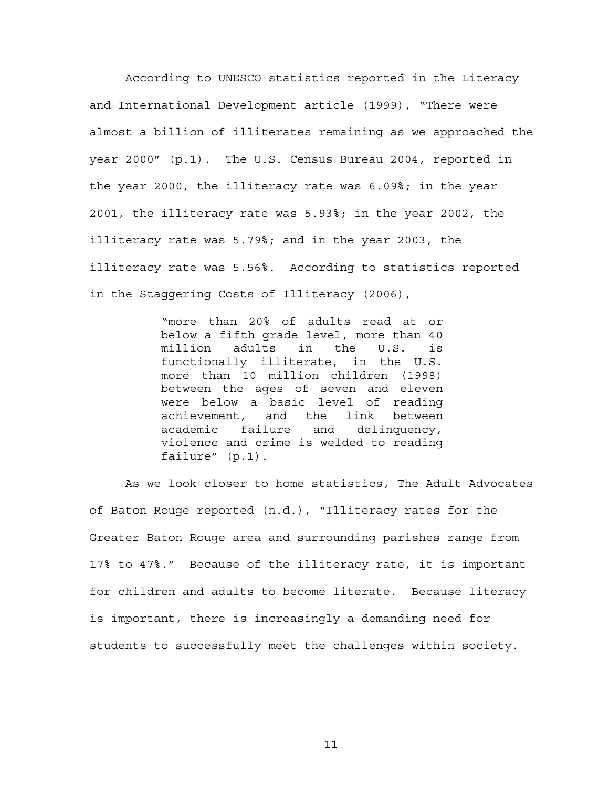According to UNESCO statistics reported in the Literacy and International Development article (1999), "There were almost a billion of illiterates remaining as we approached the year 2000" (p.1). The U.S. Census Bureau 2004, reported in the year 2000, the illiteracy rate was 6.09%; in the year 2001, the illiteracy rate was 5.93%; in the year 2002, the illiteracy rate was 5.79%; and in the year 2003, the illiteracy rate was 5.56%. According to statistics reported in the Staggering Costs of Illiteracy (2006),

> "more than 20% of adults read at or below a fifth grade level, more than 40 million adults in the U.S. is functionally illiterate, in the U.S. more than 10 million children (1998) between the ages of seven and eleven were below a basic level of reading achievement, and the link between academic failure and delinquency, violence and crime is welded to reading failure" (p.1).

As we look closer to home statistics, The Adult Advocates of Baton Rouge reported (n.d.), "Illiteracy rates for the Greater Baton Rouge area and surrounding parishes range from 17% to 47%." Because of the illiteracy rate, it is important for children and adults to become literate. Because literacy is important, there is increasingly a demanding need for students to successfully meet the challenges within society.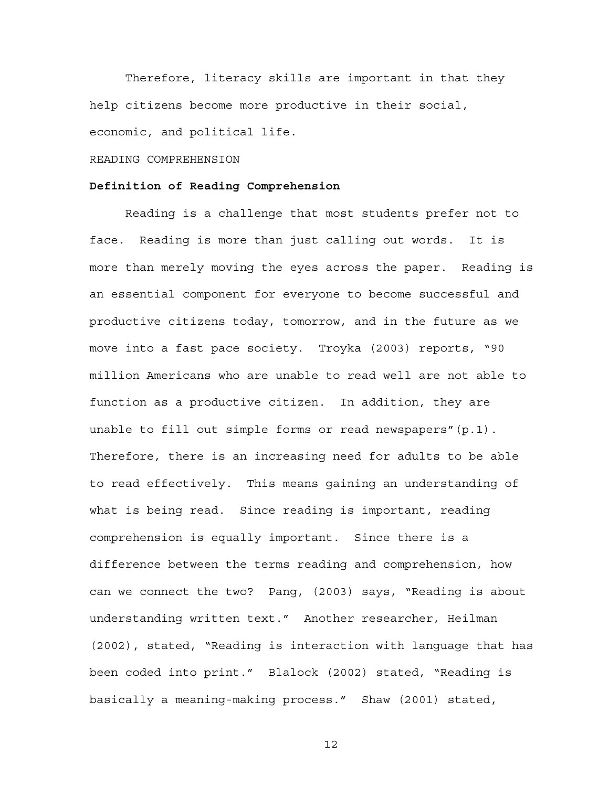Therefore, literacy skills are important in that they help citizens become more productive in their social, economic, and political life.

#### READING COMPREHENSION

## **Definition of Reading Comprehension**

Reading is a challenge that most students prefer not to face. Reading is more than just calling out words. It is more than merely moving the eyes across the paper. Reading is an essential component for everyone to become successful and productive citizens today, tomorrow, and in the future as we move into a fast pace society. Troyka (2003) reports, "90 million Americans who are unable to read well are not able to function as a productive citizen. In addition, they are unable to fill out simple forms or read newspapers"(p.1). Therefore, there is an increasing need for adults to be able to read effectively. This means gaining an understanding of what is being read. Since reading is important, reading comprehension is equally important. Since there is a difference between the terms reading and comprehension, how can we connect the two? Pang, (2003) says, "Reading is about understanding written text." Another researcher, Heilman (2002), stated, "Reading is interaction with language that has been coded into print." Blalock (2002) stated, "Reading is basically a meaning-making process." Shaw (2001) stated,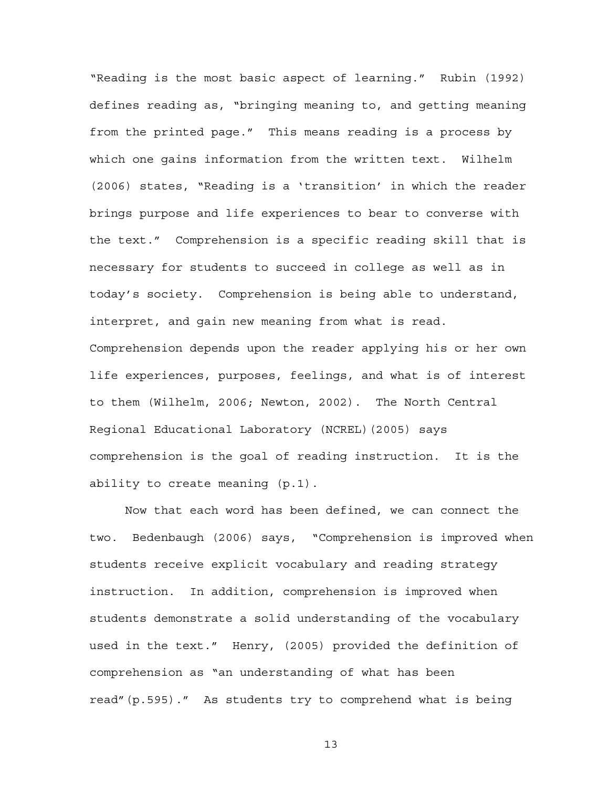"Reading is the most basic aspect of learning." Rubin (1992) defines reading as, "bringing meaning to, and getting meaning from the printed page." This means reading is a process by which one gains information from the written text. Wilhelm (2006) states, "Reading is a 'transition' in which the reader brings purpose and life experiences to bear to converse with the text." Comprehension is a specific reading skill that is necessary for students to succeed in college as well as in today's society. Comprehension is being able to understand, interpret, and gain new meaning from what is read. Comprehension depends upon the reader applying his or her own life experiences, purposes, feelings, and what is of interest to them (Wilhelm, 2006; Newton, 2002). The North Central Regional Educational Laboratory (NCREL)(2005) says comprehension is the goal of reading instruction. It is the ability to create meaning (p.1).

Now that each word has been defined, we can connect the two. Bedenbaugh (2006) says, "Comprehension is improved when students receive explicit vocabulary and reading strategy instruction. In addition, comprehension is improved when students demonstrate a solid understanding of the vocabulary used in the text." Henry, (2005) provided the definition of comprehension as "an understanding of what has been read"(p.595)." As students try to comprehend what is being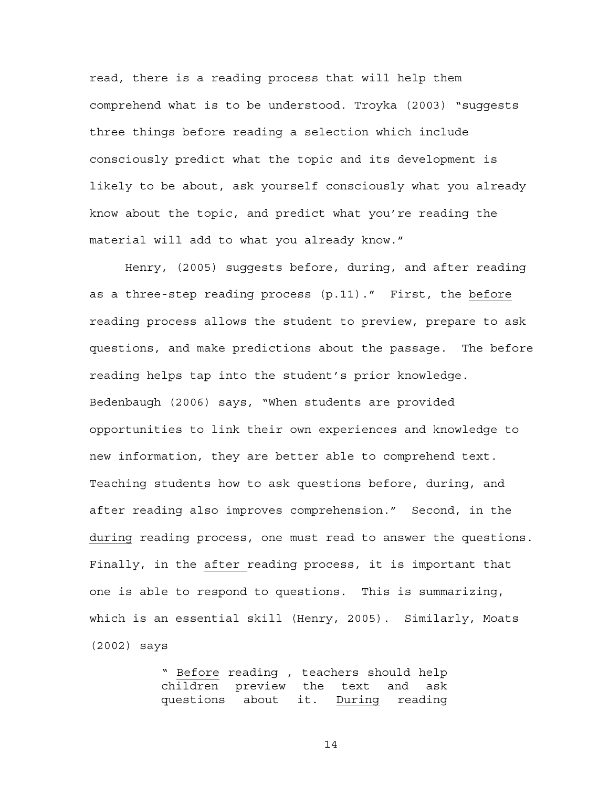read, there is a reading process that will help them comprehend what is to be understood. Troyka (2003) "suggests three things before reading a selection which include consciously predict what the topic and its development is likely to be about, ask yourself consciously what you already know about the topic, and predict what you're reading the material will add to what you already know."

Henry, (2005) suggests before, during, and after reading as a three-step reading process (p.11)." First, the before reading process allows the student to preview, prepare to ask questions, and make predictions about the passage. The before reading helps tap into the student's prior knowledge. Bedenbaugh (2006) says, "When students are provided opportunities to link their own experiences and knowledge to new information, they are better able to comprehend text. Teaching students how to ask questions before, during, and after reading also improves comprehension." Second, in the during reading process, one must read to answer the questions. Finally, in the after reading process, it is important that one is able to respond to questions. This is summarizing, which is an essential skill (Henry, 2005). Similarly, Moats (2002) says

> " Before reading , teachers should help children preview the text and ask questions about it. During reading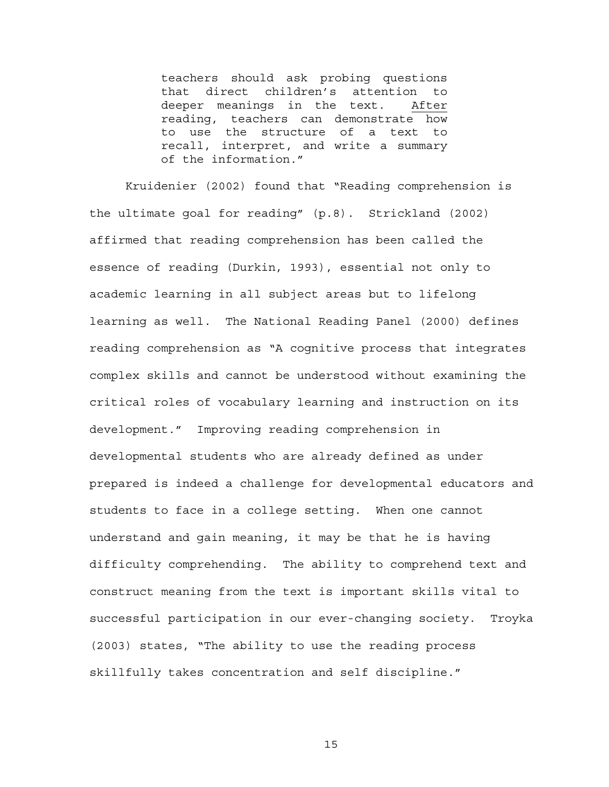teachers should ask probing questions that direct children's attention to deeper meanings in the text. After reading, teachers can demonstrate how to use the structure of a text to recall, interpret, and write a summary of the information."

Kruidenier (2002) found that "Reading comprehension is the ultimate goal for reading" (p.8). Strickland (2002) affirmed that reading comprehension has been called the essence of reading (Durkin, 1993), essential not only to academic learning in all subject areas but to lifelong learning as well. The National Reading Panel (2000) defines reading comprehension as "A cognitive process that integrates complex skills and cannot be understood without examining the critical roles of vocabulary learning and instruction on its development." Improving reading comprehension in developmental students who are already defined as under prepared is indeed a challenge for developmental educators and students to face in a college setting. When one cannot understand and gain meaning, it may be that he is having difficulty comprehending. The ability to comprehend text and construct meaning from the text is important skills vital to successful participation in our ever-changing society. Troyka (2003) states, "The ability to use the reading process skillfully takes concentration and self discipline."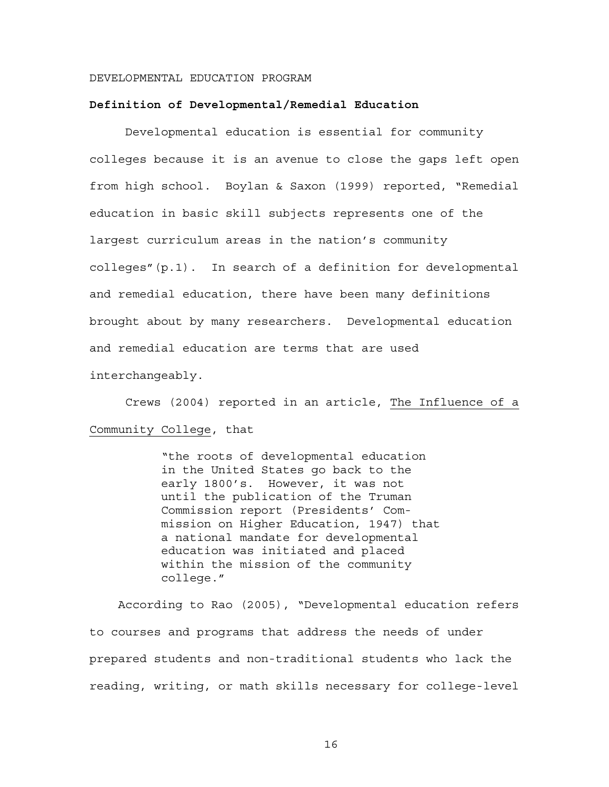#### DEVELOPMENTAL EDUCATION PROGRAM

#### **Definition of Developmental/Remedial Education**

Developmental education is essential for community colleges because it is an avenue to close the gaps left open from high school. Boylan & Saxon (1999) reported, "Remedial education in basic skill subjects represents one of the largest curriculum areas in the nation's community colleges"(p.1). In search of a definition for developmental and remedial education, there have been many definitions brought about by many researchers. Developmental education and remedial education are terms that are used interchangeably.

Crews (2004) reported in an article, The Influence of a Community College, that

> "the roots of developmental education in the United States go back to the early 1800's. However, it was not until the publication of the Truman Commission report (Presidents' Commission on Higher Education, 1947) that a national mandate for developmental education was initiated and placed within the mission of the community college."

 According to Rao (2005), "Developmental education refers to courses and programs that address the needs of under prepared students and non-traditional students who lack the reading, writing, or math skills necessary for college-level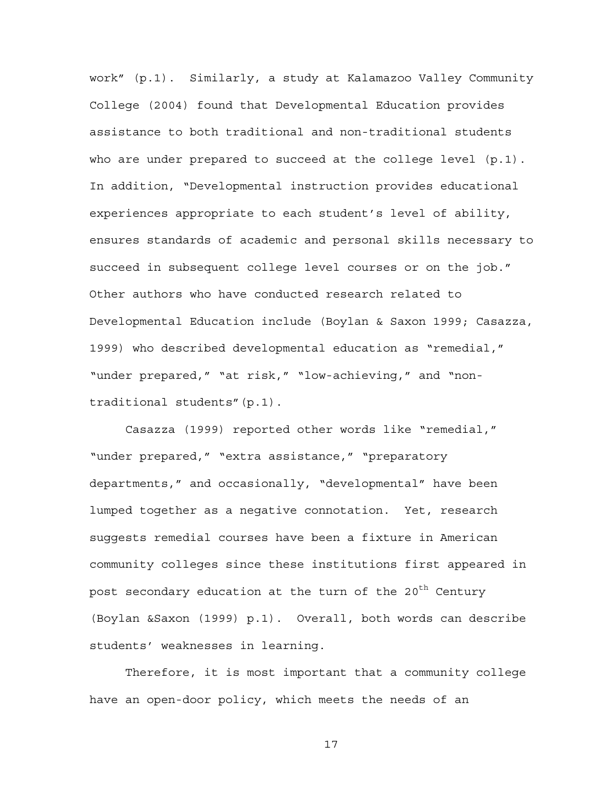work" (p.1). Similarly, a study at Kalamazoo Valley Community College (2004) found that Developmental Education provides assistance to both traditional and non-traditional students who are under prepared to succeed at the college level (p.1). In addition, "Developmental instruction provides educational experiences appropriate to each student's level of ability, ensures standards of academic and personal skills necessary to succeed in subsequent college level courses or on the job." Other authors who have conducted research related to Developmental Education include (Boylan & Saxon 1999; Casazza, 1999) who described developmental education as "remedial," "under prepared," "at risk," "low-achieving," and "nontraditional students"(p.1).

Casazza (1999) reported other words like "remedial," "under prepared," "extra assistance," "preparatory departments," and occasionally, "developmental" have been lumped together as a negative connotation. Yet, research suggests remedial courses have been a fixture in American community colleges since these institutions first appeared in post secondary education at the turn of the 20<sup>th</sup> Century (Boylan &Saxon (1999) p.1). Overall, both words can describe students' weaknesses in learning.

Therefore, it is most important that a community college have an open-door policy, which meets the needs of an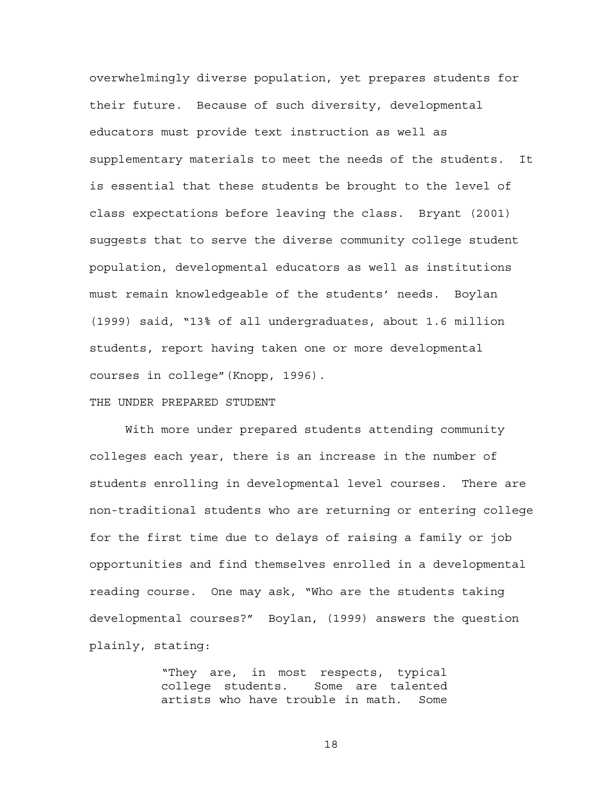overwhelmingly diverse population, yet prepares students for their future. Because of such diversity, developmental educators must provide text instruction as well as supplementary materials to meet the needs of the students. It is essential that these students be brought to the level of class expectations before leaving the class. Bryant (2001) suggests that to serve the diverse community college student population, developmental educators as well as institutions must remain knowledgeable of the students' needs. Boylan (1999) said, "13% of all undergraduates, about 1.6 million students, report having taken one or more developmental courses in college"(Knopp, 1996).

## THE UNDER PREPARED STUDENT

With more under prepared students attending community colleges each year, there is an increase in the number of students enrolling in developmental level courses. There are non-traditional students who are returning or entering college for the first time due to delays of raising a family or job opportunities and find themselves enrolled in a developmental reading course. One may ask, "Who are the students taking developmental courses?" Boylan, (1999) answers the question plainly, stating:

> "They are, in most respects, typical college students. Some are talented artists who have trouble in math. Some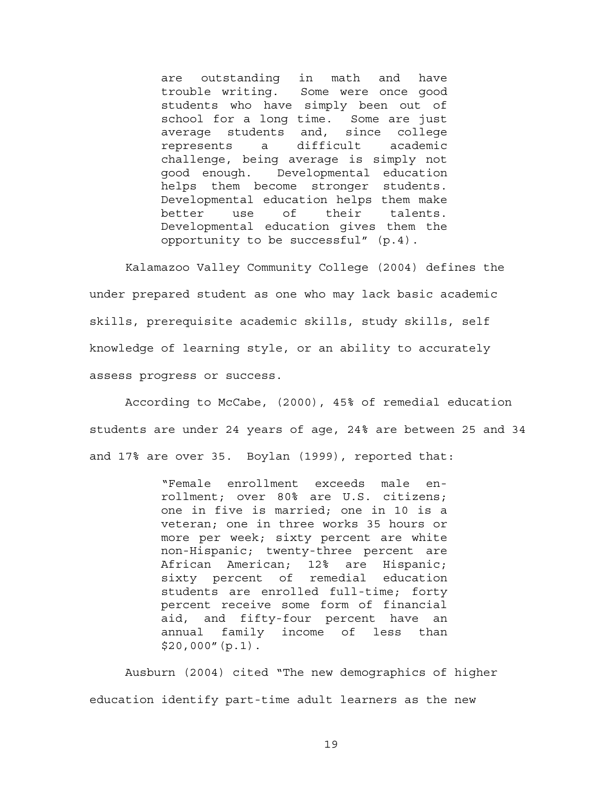are outstanding in math and have trouble writing. Some were once good students who have simply been out of school for a long time. Some are just average students and, since college represents a difficult academic challenge, being average is simply not good enough. Developmental education helps them become stronger students. Developmental education helps them make better use of their talents. Developmental education gives them the opportunity to be successful" (p.4).

Kalamazoo Valley Community College (2004) defines the under prepared student as one who may lack basic academic skills, prerequisite academic skills, study skills, self knowledge of learning style, or an ability to accurately assess progress or success.

According to McCabe, (2000), 45% of remedial education students are under 24 years of age, 24% are between 25 and 34 and 17% are over 35. Boylan (1999), reported that:

> "Female enrollment exceeds male enrollment; over 80% are U.S. citizens; one in five is married; one in 10 is a veteran; one in three works 35 hours or more per week; sixty percent are white non-Hispanic; twenty-three percent are African American; 12% are Hispanic; sixty percent of remedial education students are enrolled full-time; forty percent receive some form of financial aid, and fifty-four percent have an annual family income of less than  $$20,000''(p.1).$

Ausburn (2004) cited "The new demographics of higher education identify part-time adult learners as the new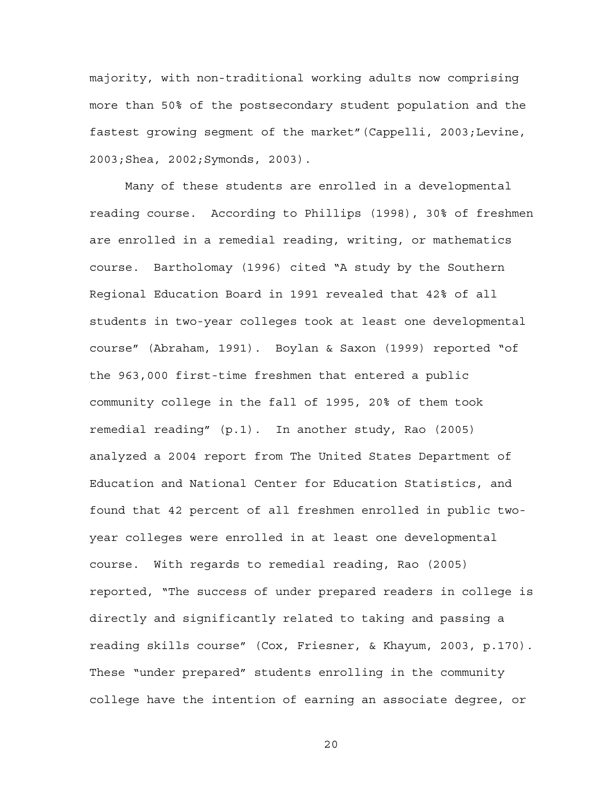majority, with non-traditional working adults now comprising more than 50% of the postsecondary student population and the fastest growing segment of the market"(Cappelli, 2003;Levine, 2003;Shea, 2002;Symonds, 2003).

Many of these students are enrolled in a developmental reading course. According to Phillips (1998), 30% of freshmen are enrolled in a remedial reading, writing, or mathematics course. Bartholomay (1996) cited "A study by the Southern Regional Education Board in 1991 revealed that 42% of all students in two-year colleges took at least one developmental course" (Abraham, 1991). Boylan & Saxon (1999) reported "of the 963,000 first-time freshmen that entered a public community college in the fall of 1995, 20% of them took remedial reading" (p.1). In another study, Rao (2005) analyzed a 2004 report from The United States Department of Education and National Center for Education Statistics, and found that 42 percent of all freshmen enrolled in public twoyear colleges were enrolled in at least one developmental course. With regards to remedial reading, Rao (2005) reported, "The success of under prepared readers in college is directly and significantly related to taking and passing a reading skills course" (Cox, Friesner, & Khayum, 2003, p.170). These "under prepared" students enrolling in the community college have the intention of earning an associate degree, or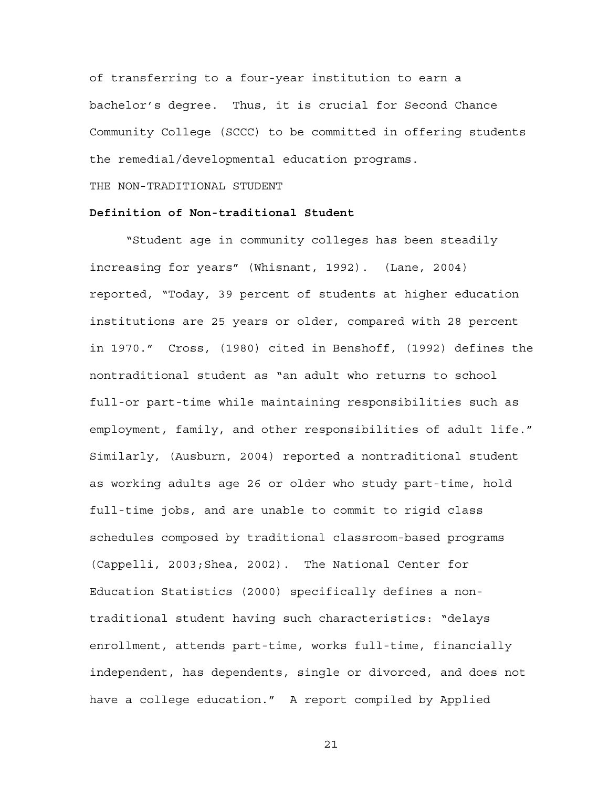of transferring to a four-year institution to earn a bachelor's degree. Thus, it is crucial for Second Chance Community College (SCCC) to be committed in offering students the remedial/developmental education programs.

THE NON-TRADITIONAL STUDENT

## **Definition of Non-traditional Student**

"Student age in community colleges has been steadily increasing for years" (Whisnant, 1992). (Lane, 2004) reported, "Today, 39 percent of students at higher education institutions are 25 years or older, compared with 28 percent in 1970." Cross, (1980) cited in Benshoff, (1992) defines the nontraditional student as "an adult who returns to school full-or part-time while maintaining responsibilities such as employment, family, and other responsibilities of adult life." Similarly, (Ausburn, 2004) reported a nontraditional student as working adults age 26 or older who study part-time, hold full-time jobs, and are unable to commit to rigid class schedules composed by traditional classroom-based programs (Cappelli, 2003;Shea, 2002). The National Center for Education Statistics (2000) specifically defines a nontraditional student having such characteristics: "delays enrollment, attends part-time, works full-time, financially independent, has dependents, single or divorced, and does not have a college education." A report compiled by Applied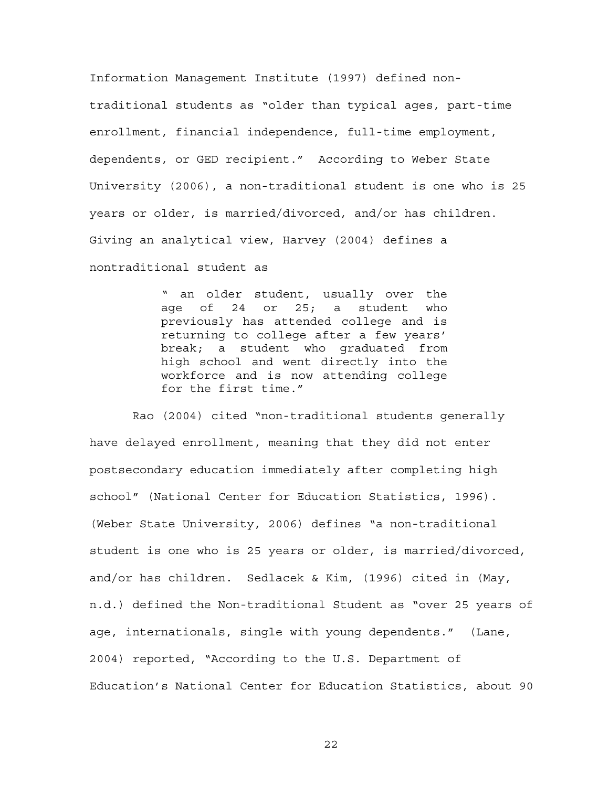Information Management Institute (1997) defined nontraditional students as "older than typical ages, part-time enrollment, financial independence, full-time employment, dependents, or GED recipient." According to Weber State University (2006), a non-traditional student is one who is 25 years or older, is married/divorced, and/or has children. Giving an analytical view, Harvey (2004) defines a nontraditional student as

> " an older student, usually over the age of 24 or 25; a student who previously has attended college and is returning to college after a few years' break; a student who graduated from high school and went directly into the workforce and is now attending college for the first time."

 Rao (2004) cited "non-traditional students generally have delayed enrollment, meaning that they did not enter postsecondary education immediately after completing high school" (National Center for Education Statistics, 1996). (Weber State University, 2006) defines "a non-traditional student is one who is 25 years or older, is married/divorced, and/or has children. Sedlacek & Kim, (1996) cited in (May, n.d.) defined the Non-traditional Student as "over 25 years of age, internationals, single with young dependents." (Lane, 2004) reported, "According to the U.S. Department of Education's National Center for Education Statistics, about 90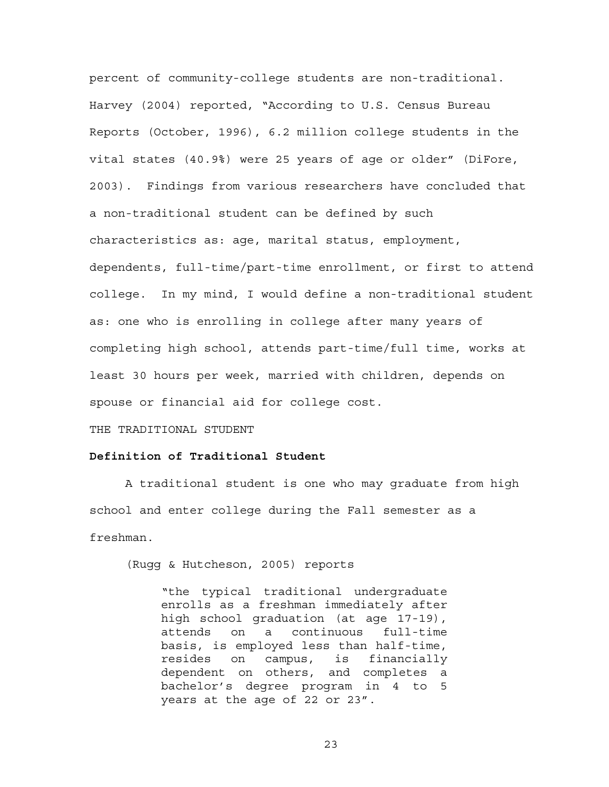percent of community-college students are non-traditional. Harvey (2004) reported, "According to U.S. Census Bureau Reports (October, 1996), 6.2 million college students in the vital states (40.9%) were 25 years of age or older" (DiFore, 2003). Findings from various researchers have concluded that a non-traditional student can be defined by such characteristics as: age, marital status, employment, dependents, full-time/part-time enrollment, or first to attend college. In my mind, I would define a non-traditional student as: one who is enrolling in college after many years of completing high school, attends part-time/full time, works at least 30 hours per week, married with children, depends on spouse or financial aid for college cost.

THE TRADITIONAL STUDENT

## **Definition of Traditional Student**

A traditional student is one who may graduate from high school and enter college during the Fall semester as a freshman.

(Rugg & Hutcheson, 2005) reports

"the typical traditional undergraduate enrolls as a freshman immediately after high school graduation (at age 17-19), attends on a continuous full-time basis, is employed less than half-time, resides on campus, is financially dependent on others, and completes a bachelor's degree program in 4 to 5 years at the age of 22 or 23".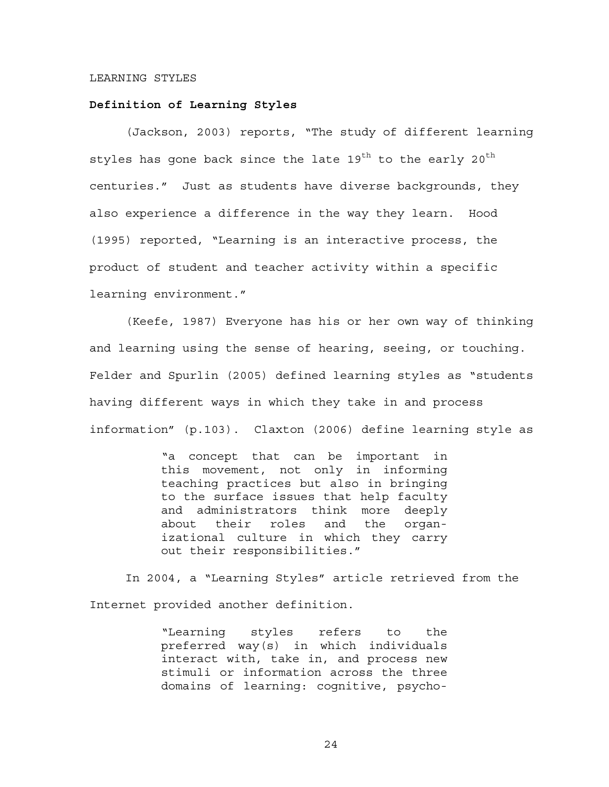#### LEARNING STYLES

#### **Definition of Learning Styles**

(Jackson, 2003) reports, "The study of different learning styles has gone back since the late  $19^{th}$  to the early  $20^{th}$ centuries." Just as students have diverse backgrounds, they also experience a difference in the way they learn. Hood (1995) reported, "Learning is an interactive process, the product of student and teacher activity within a specific learning environment."

(Keefe, 1987) Everyone has his or her own way of thinking and learning using the sense of hearing, seeing, or touching. Felder and Spurlin (2005) defined learning styles as "students having different ways in which they take in and process information" (p.103). Claxton (2006) define learning style as

> "a concept that can be important in this movement, not only in informing teaching practices but also in bringing to the surface issues that help faculty and administrators think more deeply about their roles and the organizational culture in which they carry out their responsibilities."

In 2004, a "Learning Styles" article retrieved from the Internet provided another definition.

> "Learning styles refers to the preferred way(s) in which individuals interact with, take in, and process new stimuli or information across the three domains of learning: cognitive, psycho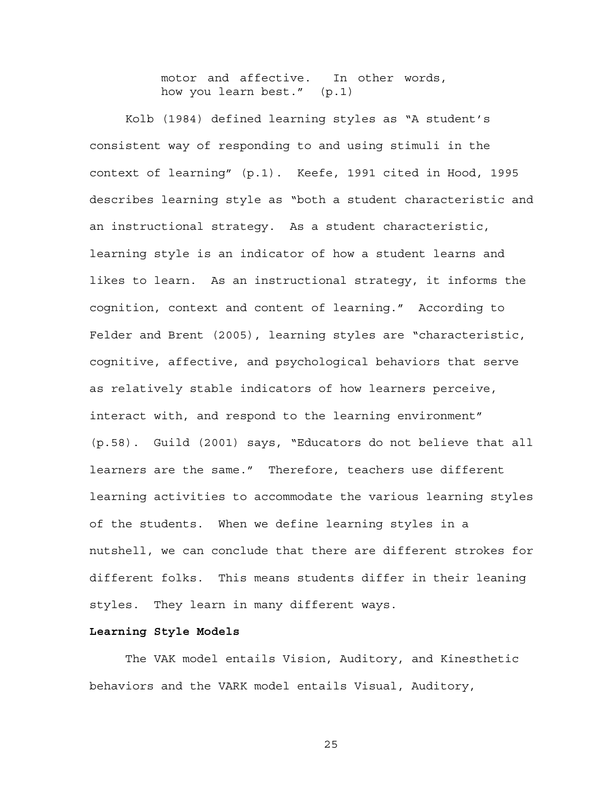motor and affective. In other words, how you learn best." (p.1)

Kolb (1984) defined learning styles as "A student's consistent way of responding to and using stimuli in the context of learning" (p.1). Keefe, 1991 cited in Hood, 1995 describes learning style as "both a student characteristic and an instructional strategy. As a student characteristic, learning style is an indicator of how a student learns and likes to learn. As an instructional strategy, it informs the cognition, context and content of learning." According to Felder and Brent (2005), learning styles are "characteristic, cognitive, affective, and psychological behaviors that serve as relatively stable indicators of how learners perceive, interact with, and respond to the learning environment" (p.58). Guild (2001) says, "Educators do not believe that all learners are the same." Therefore, teachers use different learning activities to accommodate the various learning styles of the students. When we define learning styles in a nutshell, we can conclude that there are different strokes for different folks. This means students differ in their leaning styles. They learn in many different ways.

#### **Learning Style Models**

The VAK model entails Vision, Auditory, and Kinesthetic behaviors and the VARK model entails Visual, Auditory,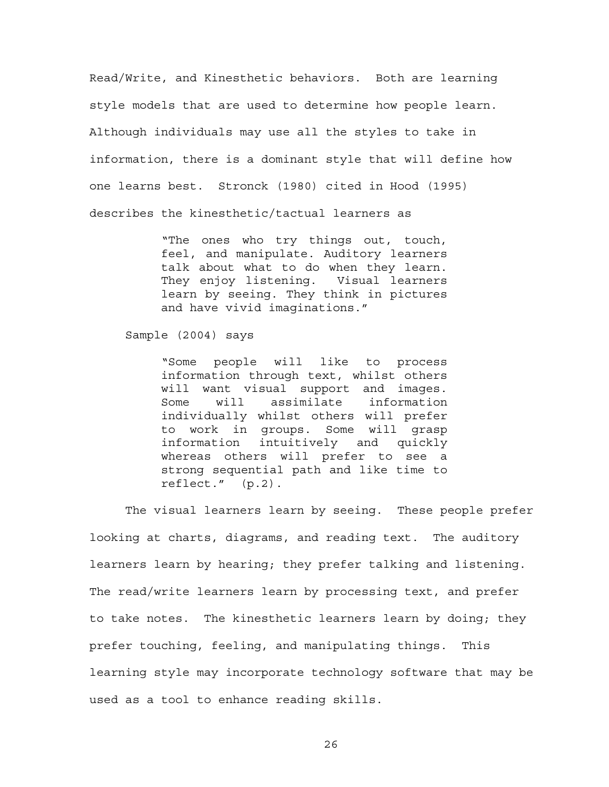Read/Write, and Kinesthetic behaviors. Both are learning style models that are used to determine how people learn. Although individuals may use all the styles to take in information, there is a dominant style that will define how one learns best. Stronck (1980) cited in Hood (1995) describes the kinesthetic/tactual learners as

> "The ones who try things out, touch, feel, and manipulate. Auditory learners talk about what to do when they learn. They enjoy listening. Visual learners learn by seeing. They think in pictures and have vivid imaginations."

Sample (2004) says

"Some people will like to process information through text, whilst others will want visual support and images. Some will assimilate information individually whilst others will prefer to work in groups. Some will grasp information intuitively and quickly whereas others will prefer to see a strong sequential path and like time to reflect." (p.2).

The visual learners learn by seeing. These people prefer looking at charts, diagrams, and reading text. The auditory learners learn by hearing; they prefer talking and listening. The read/write learners learn by processing text, and prefer to take notes. The kinesthetic learners learn by doing; they prefer touching, feeling, and manipulating things. This learning style may incorporate technology software that may be used as a tool to enhance reading skills.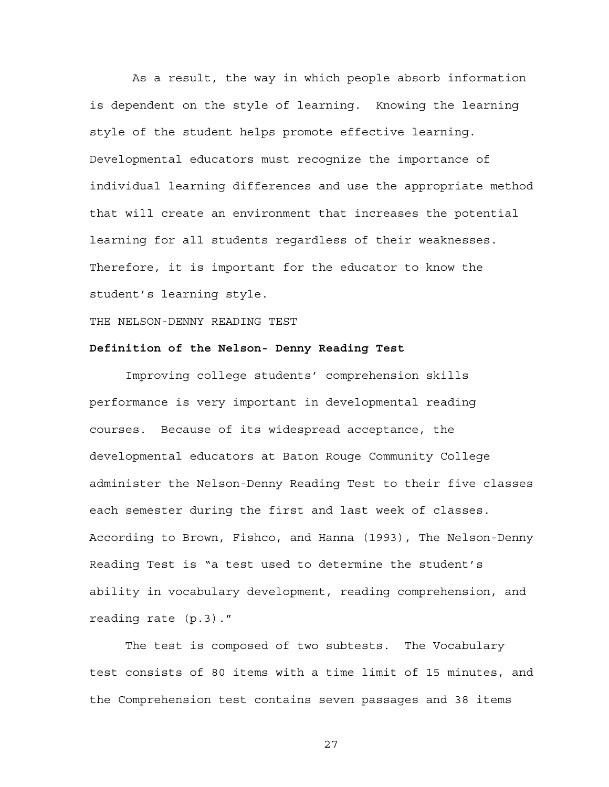As a result, the way in which people absorb information is dependent on the style of learning. Knowing the learning style of the student helps promote effective learning. Developmental educators must recognize the importance of individual learning differences and use the appropriate method that will create an environment that increases the potential learning for all students regardless of their weaknesses. Therefore, it is important for the educator to know the student's learning style.

THE NELSON-DENNY READING TEST

## **Definition of the Nelson- Denny Reading Test**

Improving college students' comprehension skills performance is very important in developmental reading courses. Because of its widespread acceptance, the developmental educators at Baton Rouge Community College administer the Nelson-Denny Reading Test to their five classes each semester during the first and last week of classes. According to Brown, Fishco, and Hanna (1993), The Nelson-Denny Reading Test is "a test used to determine the student's ability in vocabulary development, reading comprehension, and reading rate (p.3)."

The test is composed of two subtests. The Vocabulary test consists of 80 items with a time limit of 15 minutes, and the Comprehension test contains seven passages and 38 items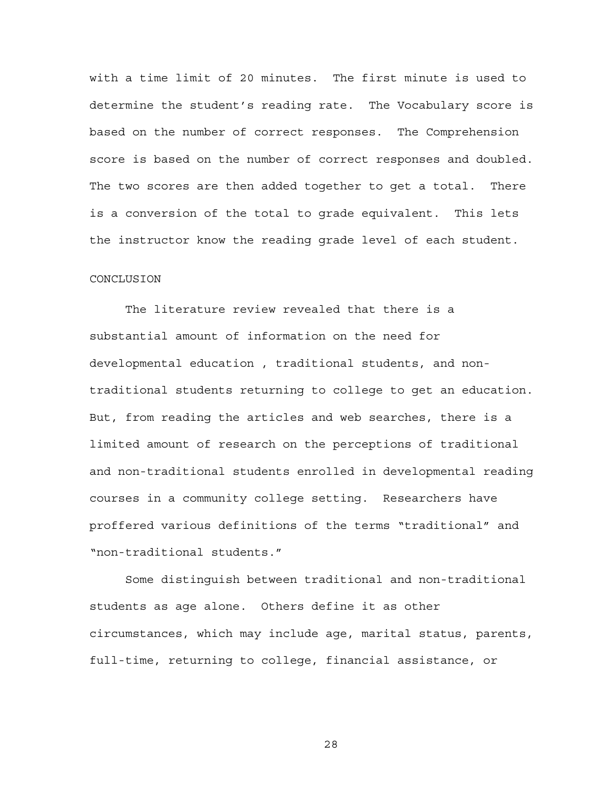with a time limit of 20 minutes. The first minute is used to determine the student's reading rate. The Vocabulary score is based on the number of correct responses. The Comprehension score is based on the number of correct responses and doubled. The two scores are then added together to get a total. There is a conversion of the total to grade equivalent. This lets the instructor know the reading grade level of each student.

## CONCLUSION

The literature review revealed that there is a substantial amount of information on the need for developmental education , traditional students, and nontraditional students returning to college to get an education. But, from reading the articles and web searches, there is a limited amount of research on the perceptions of traditional and non-traditional students enrolled in developmental reading courses in a community college setting. Researchers have proffered various definitions of the terms "traditional" and "non-traditional students."

Some distinguish between traditional and non-traditional students as age alone. Others define it as other circumstances, which may include age, marital status, parents, full-time, returning to college, financial assistance, or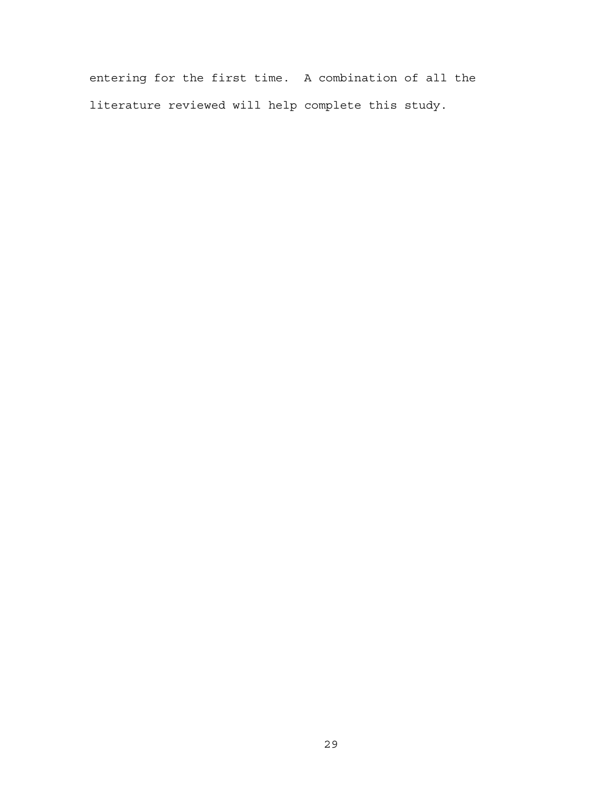entering for the first time. A combination of all the literature reviewed will help complete this study.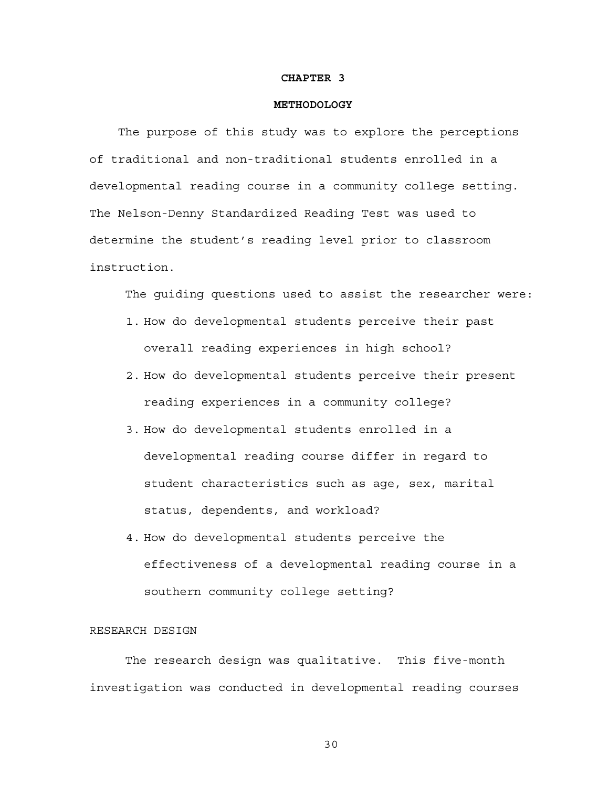#### **CHAPTER 3**

## **METHODOLOGY**

 The purpose of this study was to explore the perceptions of traditional and non-traditional students enrolled in a developmental reading course in a community college setting. The Nelson-Denny Standardized Reading Test was used to determine the student's reading level prior to classroom instruction.

The guiding questions used to assist the researcher were:

- 1. How do developmental students perceive their past overall reading experiences in high school?
- 2. How do developmental students perceive their present reading experiences in a community college?
- 3. How do developmental students enrolled in a developmental reading course differ in regard to student characteristics such as age, sex, marital status, dependents, and workload?
- 4. How do developmental students perceive the effectiveness of a developmental reading course in a southern community college setting?

# RESEARCH DESIGN

The research design was qualitative. This five-month investigation was conducted in developmental reading courses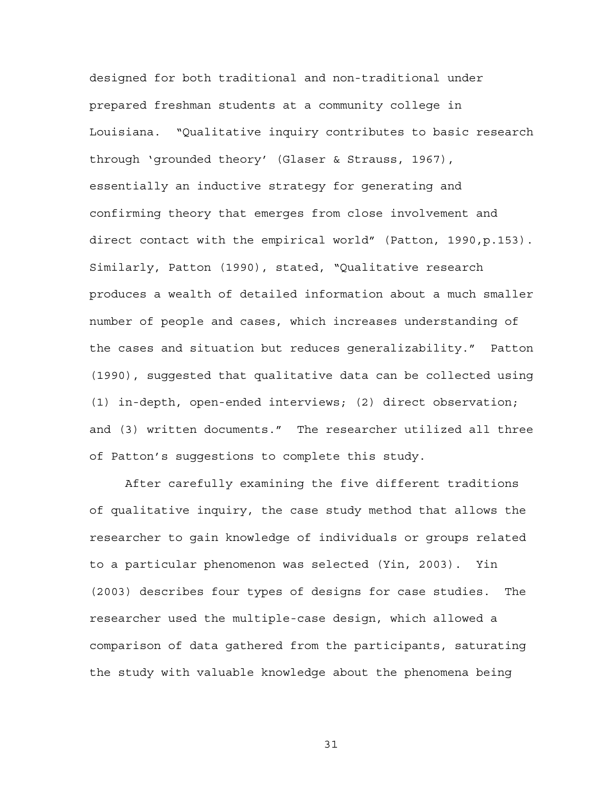designed for both traditional and non-traditional under prepared freshman students at a community college in Louisiana. "Qualitative inquiry contributes to basic research through 'grounded theory' (Glaser & Strauss, 1967), essentially an inductive strategy for generating and confirming theory that emerges from close involvement and direct contact with the empirical world" (Patton, 1990,p.153). Similarly, Patton (1990), stated, "Qualitative research produces a wealth of detailed information about a much smaller number of people and cases, which increases understanding of the cases and situation but reduces generalizability." Patton (1990), suggested that qualitative data can be collected using (1) in-depth, open-ended interviews; (2) direct observation; and (3) written documents." The researcher utilized all three of Patton's suggestions to complete this study.

After carefully examining the five different traditions of qualitative inquiry, the case study method that allows the researcher to gain knowledge of individuals or groups related to a particular phenomenon was selected (Yin, 2003). Yin (2003) describes four types of designs for case studies. The researcher used the multiple-case design, which allowed a comparison of data gathered from the participants, saturating the study with valuable knowledge about the phenomena being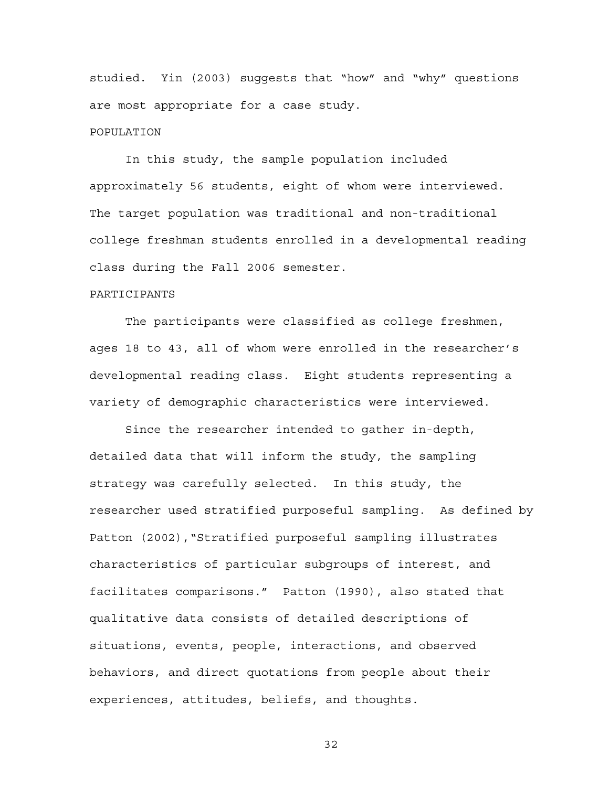studied. Yin (2003) suggests that "how" and "why" questions are most appropriate for a case study.

## POPULATION

In this study, the sample population included approximately 56 students, eight of whom were interviewed. The target population was traditional and non-traditional college freshman students enrolled in a developmental reading class during the Fall 2006 semester.

## PARTICIPANTS

The participants were classified as college freshmen, ages 18 to 43, all of whom were enrolled in the researcher's developmental reading class. Eight students representing a variety of demographic characteristics were interviewed.

Since the researcher intended to gather in-depth, detailed data that will inform the study, the sampling strategy was carefully selected. In this study, the researcher used stratified purposeful sampling. As defined by Patton (2002),"Stratified purposeful sampling illustrates characteristics of particular subgroups of interest, and facilitates comparisons." Patton (1990), also stated that qualitative data consists of detailed descriptions of situations, events, people, interactions, and observed behaviors, and direct quotations from people about their experiences, attitudes, beliefs, and thoughts.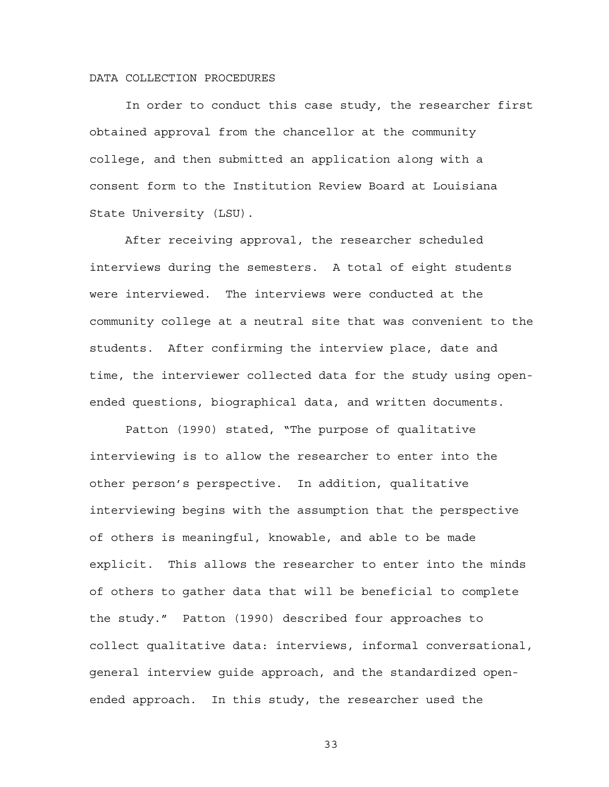## DATA COLLECTION PROCEDURES

In order to conduct this case study, the researcher first obtained approval from the chancellor at the community college, and then submitted an application along with a consent form to the Institution Review Board at Louisiana State University (LSU).

After receiving approval, the researcher scheduled interviews during the semesters. A total of eight students were interviewed. The interviews were conducted at the community college at a neutral site that was convenient to the students. After confirming the interview place, date and time, the interviewer collected data for the study using openended questions, biographical data, and written documents.

Patton (1990) stated, "The purpose of qualitative interviewing is to allow the researcher to enter into the other person's perspective. In addition, qualitative interviewing begins with the assumption that the perspective of others is meaningful, knowable, and able to be made explicit. This allows the researcher to enter into the minds of others to gather data that will be beneficial to complete the study." Patton (1990) described four approaches to collect qualitative data: interviews, informal conversational, general interview guide approach, and the standardized openended approach. In this study, the researcher used the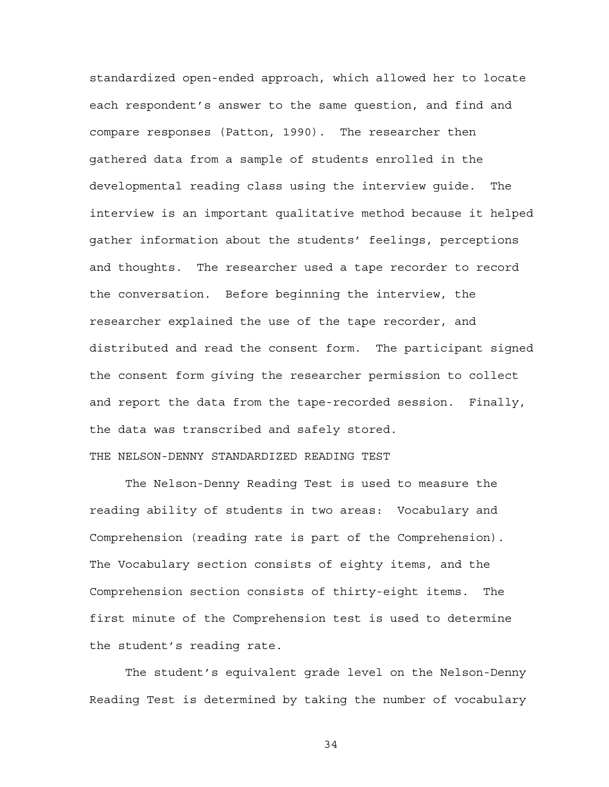standardized open-ended approach, which allowed her to locate each respondent's answer to the same question, and find and compare responses (Patton, 1990). The researcher then gathered data from a sample of students enrolled in the developmental reading class using the interview guide. The interview is an important qualitative method because it helped gather information about the students' feelings, perceptions and thoughts. The researcher used a tape recorder to record the conversation. Before beginning the interview, the researcher explained the use of the tape recorder, and distributed and read the consent form. The participant signed the consent form giving the researcher permission to collect and report the data from the tape-recorded session. Finally, the data was transcribed and safely stored.

# THE NELSON-DENNY STANDARDIZED READING TEST

The Nelson-Denny Reading Test is used to measure the reading ability of students in two areas: Vocabulary and Comprehension (reading rate is part of the Comprehension). The Vocabulary section consists of eighty items, and the Comprehension section consists of thirty-eight items. The first minute of the Comprehension test is used to determine the student's reading rate.

The student's equivalent grade level on the Nelson-Denny Reading Test is determined by taking the number of vocabulary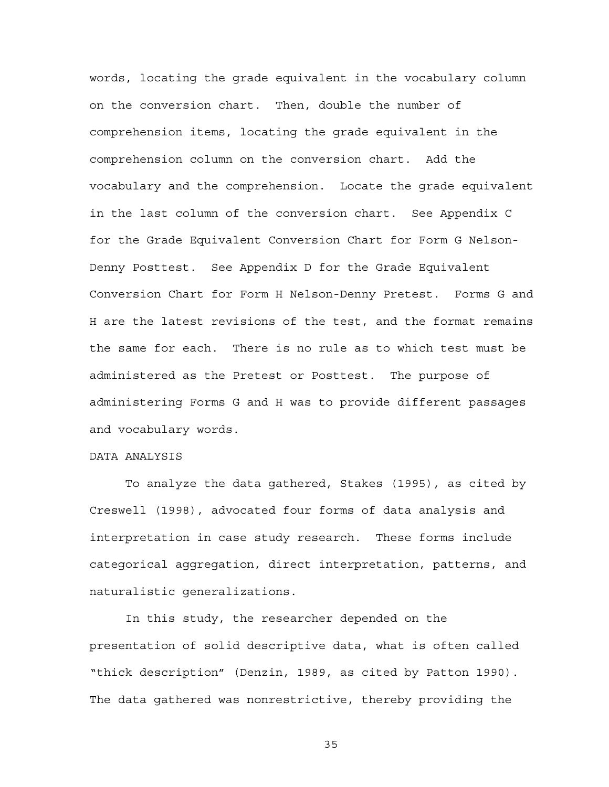words, locating the grade equivalent in the vocabulary column on the conversion chart. Then, double the number of comprehension items, locating the grade equivalent in the comprehension column on the conversion chart. Add the vocabulary and the comprehension. Locate the grade equivalent in the last column of the conversion chart. See Appendix C for the Grade Equivalent Conversion Chart for Form G Nelson-Denny Posttest. See Appendix D for the Grade Equivalent Conversion Chart for Form H Nelson-Denny Pretest. Forms G and H are the latest revisions of the test, and the format remains the same for each. There is no rule as to which test must be administered as the Pretest or Posttest. The purpose of administering Forms G and H was to provide different passages and vocabulary words.

## DATA ANALYSIS

To analyze the data gathered, Stakes (1995), as cited by Creswell (1998), advocated four forms of data analysis and interpretation in case study research. These forms include categorical aggregation, direct interpretation, patterns, and naturalistic generalizations.

In this study, the researcher depended on the presentation of solid descriptive data, what is often called "thick description" (Denzin, 1989, as cited by Patton 1990). The data gathered was nonrestrictive, thereby providing the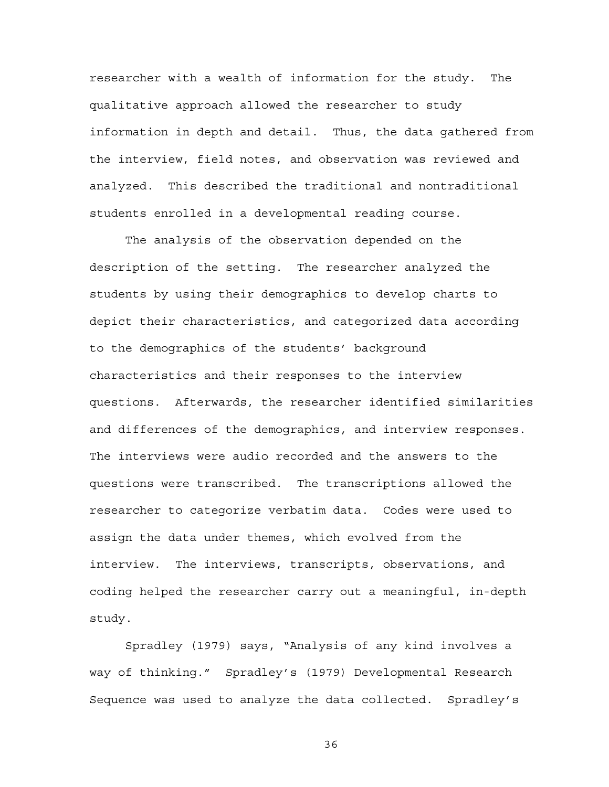researcher with a wealth of information for the study. The qualitative approach allowed the researcher to study information in depth and detail. Thus, the data gathered from the interview, field notes, and observation was reviewed and analyzed. This described the traditional and nontraditional students enrolled in a developmental reading course.

The analysis of the observation depended on the description of the setting. The researcher analyzed the students by using their demographics to develop charts to depict their characteristics, and categorized data according to the demographics of the students' background characteristics and their responses to the interview questions. Afterwards, the researcher identified similarities and differences of the demographics, and interview responses. The interviews were audio recorded and the answers to the questions were transcribed. The transcriptions allowed the researcher to categorize verbatim data. Codes were used to assign the data under themes, which evolved from the interview. The interviews, transcripts, observations, and coding helped the researcher carry out a meaningful, in-depth study.

Spradley (1979) says, "Analysis of any kind involves a way of thinking." Spradley's (1979) Developmental Research Sequence was used to analyze the data collected. Spradley's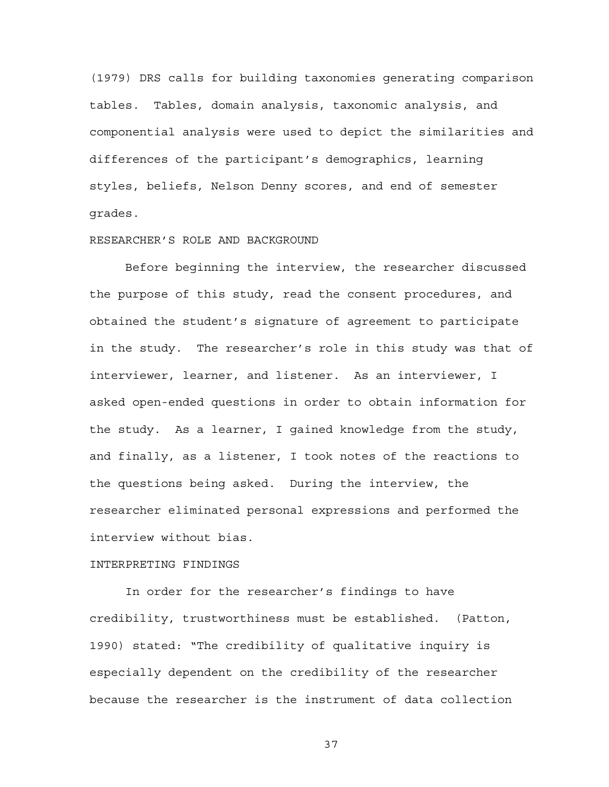(1979) DRS calls for building taxonomies generating comparison tables. Tables, domain analysis, taxonomic analysis, and componential analysis were used to depict the similarities and differences of the participant's demographics, learning styles, beliefs, Nelson Denny scores, and end of semester grades.

# RESEARCHER'S ROLE AND BACKGROUND

Before beginning the interview, the researcher discussed the purpose of this study, read the consent procedures, and obtained the student's signature of agreement to participate in the study. The researcher's role in this study was that of interviewer, learner, and listener. As an interviewer, I asked open-ended questions in order to obtain information for the study. As a learner, I gained knowledge from the study, and finally, as a listener, I took notes of the reactions to the questions being asked. During the interview, the researcher eliminated personal expressions and performed the interview without bias.

## INTERPRETING FINDINGS

In order for the researcher's findings to have credibility, trustworthiness must be established. (Patton, 1990) stated: "The credibility of qualitative inquiry is especially dependent on the credibility of the researcher because the researcher is the instrument of data collection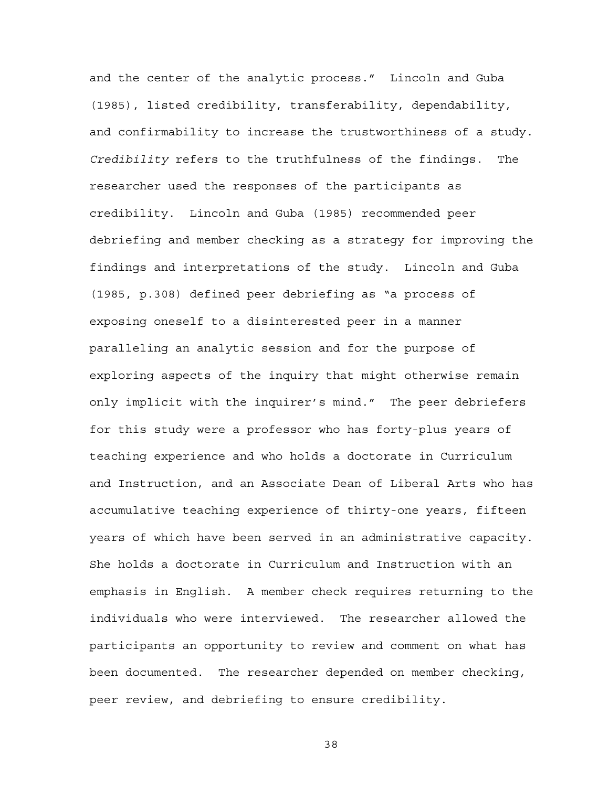and the center of the analytic process." Lincoln and Guba (1985), listed credibility, transferability, dependability, and confirmability to increase the trustworthiness of a study. *Credibility* refers to the truthfulness of the findings. The researcher used the responses of the participants as credibility. Lincoln and Guba (1985) recommended peer debriefing and member checking as a strategy for improving the findings and interpretations of the study. Lincoln and Guba (1985, p.308) defined peer debriefing as "a process of exposing oneself to a disinterested peer in a manner paralleling an analytic session and for the purpose of exploring aspects of the inquiry that might otherwise remain only implicit with the inquirer's mind." The peer debriefers for this study were a professor who has forty-plus years of teaching experience and who holds a doctorate in Curriculum and Instruction, and an Associate Dean of Liberal Arts who has accumulative teaching experience of thirty-one years, fifteen years of which have been served in an administrative capacity. She holds a doctorate in Curriculum and Instruction with an emphasis in English. A member check requires returning to the individuals who were interviewed. The researcher allowed the participants an opportunity to review and comment on what has been documented. The researcher depended on member checking, peer review, and debriefing to ensure credibility.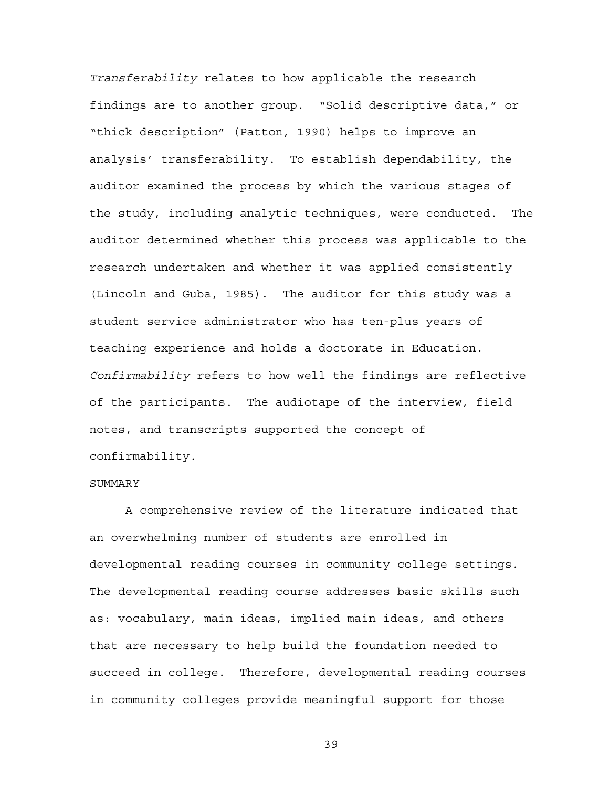*Transferability* relates to how applicable the research findings are to another group. "Solid descriptive data," or "thick description" (Patton, 1990) helps to improve an analysis' transferability. To establish dependability, the auditor examined the process by which the various stages of the study, including analytic techniques, were conducted. The auditor determined whether this process was applicable to the research undertaken and whether it was applied consistently (Lincoln and Guba, 1985). The auditor for this study was a student service administrator who has ten-plus years of teaching experience and holds a doctorate in Education. *Confirmability* refers to how well the findings are reflective of the participants. The audiotape of the interview, field notes, and transcripts supported the concept of confirmability.

## SUMMARY

A comprehensive review of the literature indicated that an overwhelming number of students are enrolled in developmental reading courses in community college settings. The developmental reading course addresses basic skills such as: vocabulary, main ideas, implied main ideas, and others that are necessary to help build the foundation needed to succeed in college. Therefore, developmental reading courses in community colleges provide meaningful support for those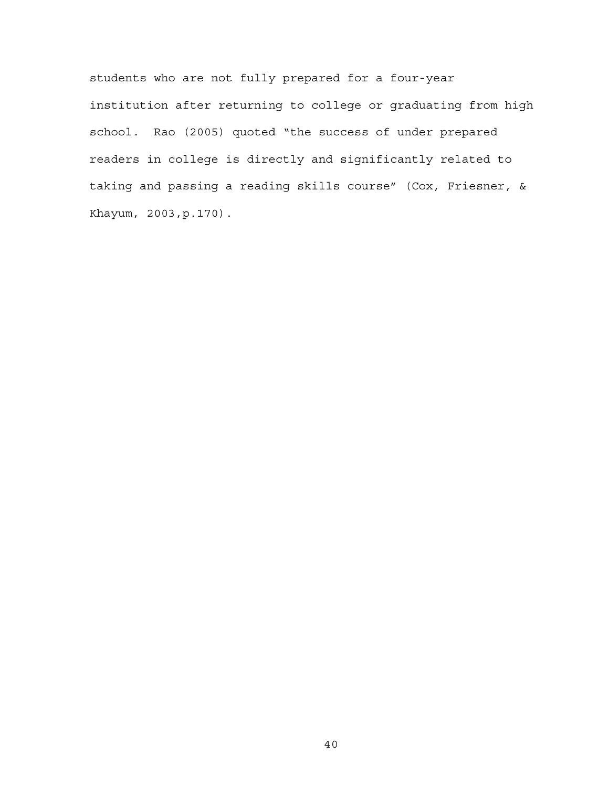students who are not fully prepared for a four-year institution after returning to college or graduating from high school. Rao (2005) quoted "the success of under prepared readers in college is directly and significantly related to taking and passing a reading skills course" (Cox, Friesner, & Khayum, 2003,p.170).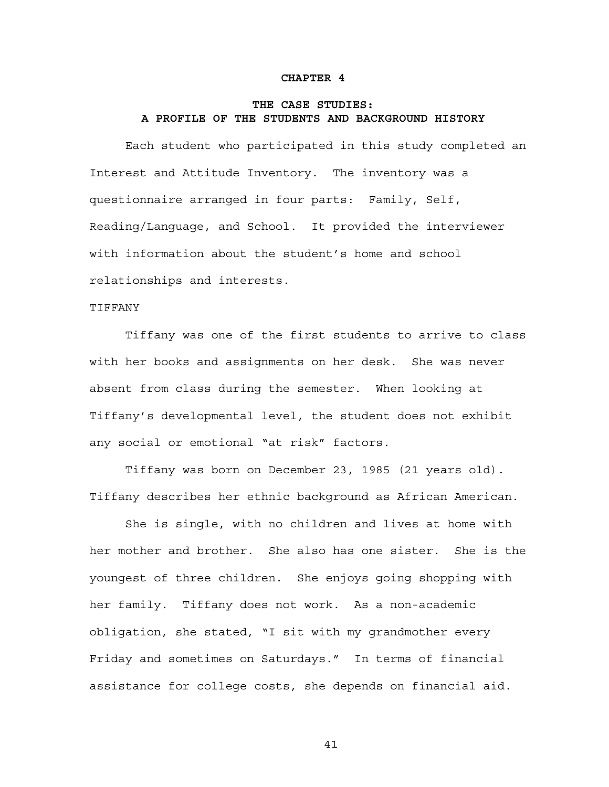## **CHAPTER 4**

# **THE CASE STUDIES: A PROFILE OF THE STUDENTS AND BACKGROUND HISTORY**

Each student who participated in this study completed an Interest and Attitude Inventory. The inventory was a questionnaire arranged in four parts: Family, Self, Reading/Language, and School. It provided the interviewer with information about the student's home and school relationships and interests.

## TIFFANY

Tiffany was one of the first students to arrive to class with her books and assignments on her desk. She was never absent from class during the semester. When looking at Tiffany's developmental level, the student does not exhibit any social or emotional "at risk" factors.

Tiffany was born on December 23, 1985 (21 years old). Tiffany describes her ethnic background as African American.

She is single, with no children and lives at home with her mother and brother. She also has one sister. She is the youngest of three children. She enjoys going shopping with her family. Tiffany does not work. As a non-academic obligation, she stated, "I sit with my grandmother every Friday and sometimes on Saturdays." In terms of financial assistance for college costs, she depends on financial aid.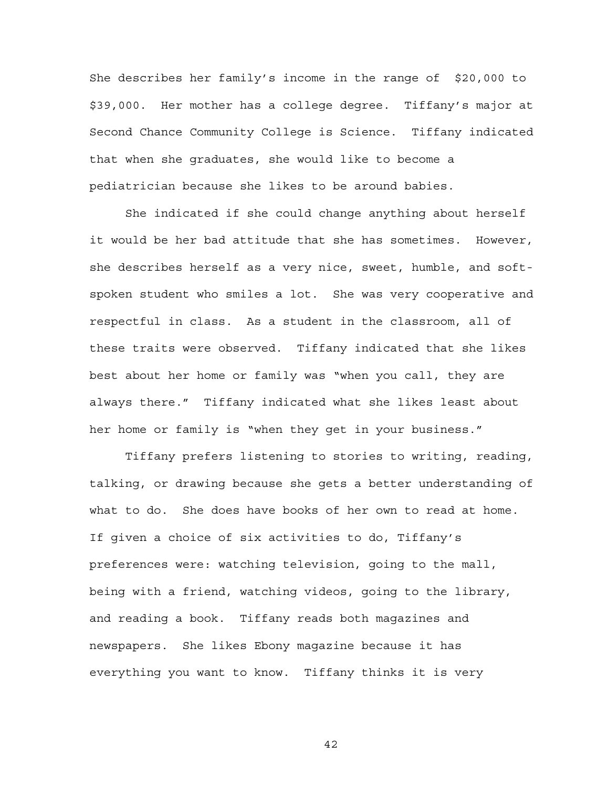She describes her family's income in the range of \$20,000 to \$39,000. Her mother has a college degree. Tiffany's major at Second Chance Community College is Science. Tiffany indicated that when she graduates, she would like to become a pediatrician because she likes to be around babies.

She indicated if she could change anything about herself it would be her bad attitude that she has sometimes. However, she describes herself as a very nice, sweet, humble, and softspoken student who smiles a lot. She was very cooperative and respectful in class. As a student in the classroom, all of these traits were observed. Tiffany indicated that she likes best about her home or family was "when you call, they are always there." Tiffany indicated what she likes least about her home or family is "when they get in your business."

Tiffany prefers listening to stories to writing, reading, talking, or drawing because she gets a better understanding of what to do. She does have books of her own to read at home. If given a choice of six activities to do, Tiffany's preferences were: watching television, going to the mall, being with a friend, watching videos, going to the library, and reading a book. Tiffany reads both magazines and newspapers. She likes Ebony magazine because it has everything you want to know. Tiffany thinks it is very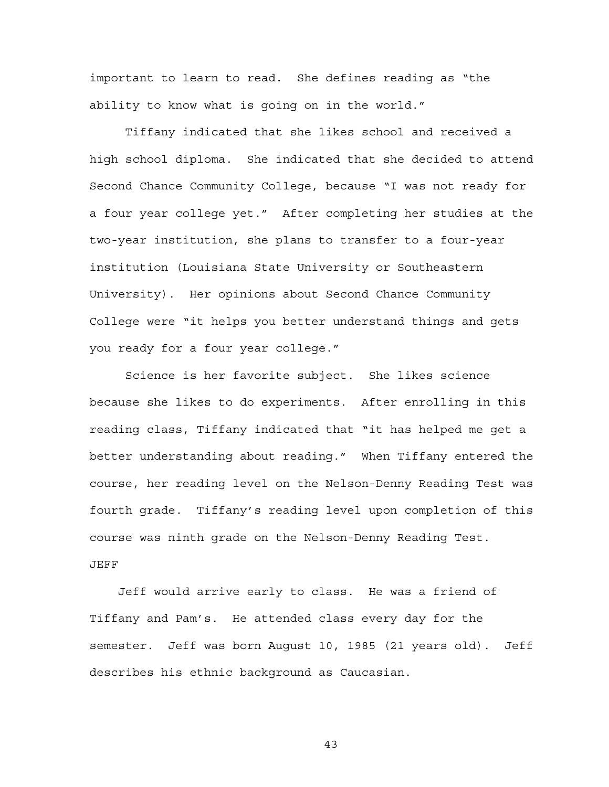important to learn to read. She defines reading as "the ability to know what is going on in the world."

Tiffany indicated that she likes school and received a high school diploma. She indicated that she decided to attend Second Chance Community College, because "I was not ready for a four year college yet." After completing her studies at the two-year institution, she plans to transfer to a four-year institution (Louisiana State University or Southeastern University). Her opinions about Second Chance Community College were "it helps you better understand things and gets you ready for a four year college."

Science is her favorite subject. She likes science because she likes to do experiments. After enrolling in this reading class, Tiffany indicated that "it has helped me get a better understanding about reading." When Tiffany entered the course, her reading level on the Nelson-Denny Reading Test was fourth grade. Tiffany's reading level upon completion of this course was ninth grade on the Nelson-Denny Reading Test. JEFF

 Jeff would arrive early to class. He was a friend of Tiffany and Pam's. He attended class every day for the semester. Jeff was born August 10, 1985 (21 years old). Jeff describes his ethnic background as Caucasian.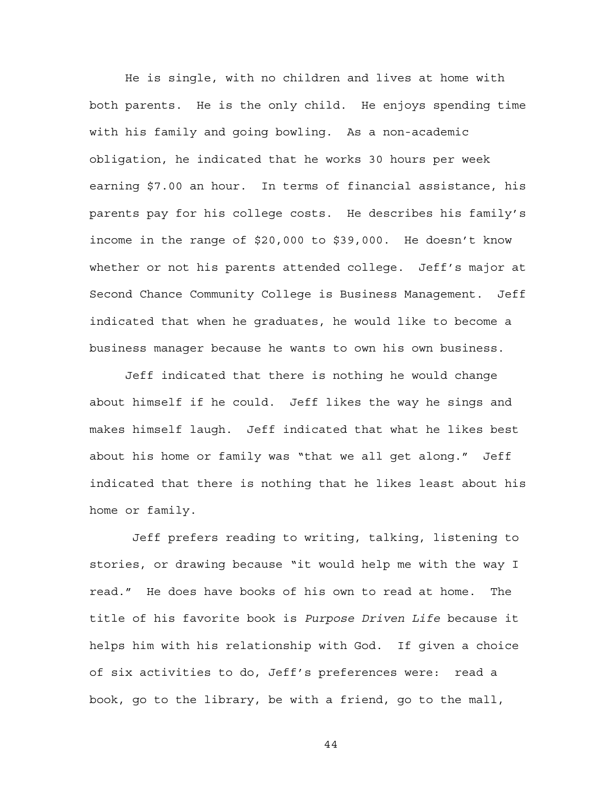He is single, with no children and lives at home with both parents. He is the only child. He enjoys spending time with his family and going bowling. As a non-academic obligation, he indicated that he works 30 hours per week earning \$7.00 an hour. In terms of financial assistance, his parents pay for his college costs. He describes his family's income in the range of \$20,000 to \$39,000. He doesn't know whether or not his parents attended college. Jeff's major at Second Chance Community College is Business Management. Jeff indicated that when he graduates, he would like to become a business manager because he wants to own his own business.

Jeff indicated that there is nothing he would change about himself if he could. Jeff likes the way he sings and makes himself laugh. Jeff indicated that what he likes best about his home or family was "that we all get along." Jeff indicated that there is nothing that he likes least about his home or family.

 Jeff prefers reading to writing, talking, listening to stories, or drawing because "it would help me with the way I read." He does have books of his own to read at home. The title of his favorite book is *Purpose Driven Life* because it helps him with his relationship with God. If given a choice of six activities to do, Jeff's preferences were: read a book, go to the library, be with a friend, go to the mall,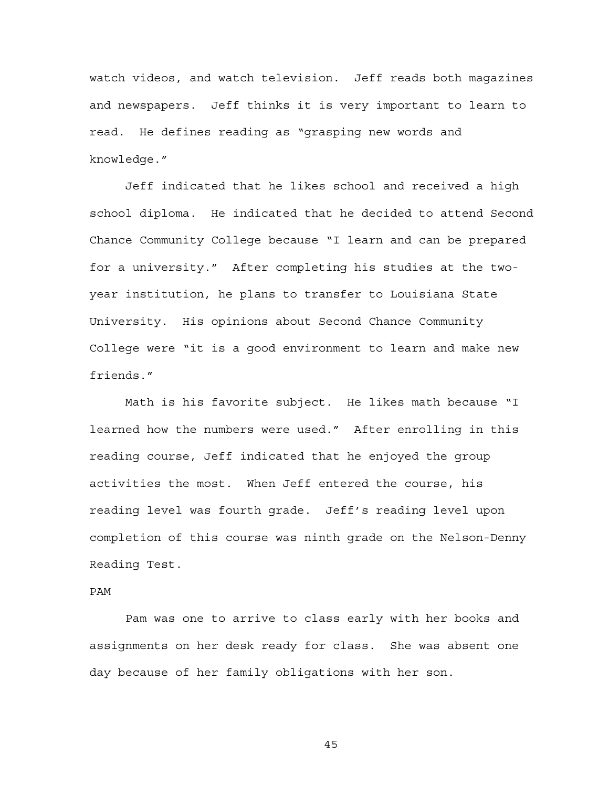watch videos, and watch television. Jeff reads both magazines and newspapers. Jeff thinks it is very important to learn to read. He defines reading as "grasping new words and knowledge."

Jeff indicated that he likes school and received a high school diploma. He indicated that he decided to attend Second Chance Community College because "I learn and can be prepared for a university." After completing his studies at the twoyear institution, he plans to transfer to Louisiana State University. His opinions about Second Chance Community College were "it is a good environment to learn and make new friends."

Math is his favorite subject. He likes math because "I learned how the numbers were used." After enrolling in this reading course, Jeff indicated that he enjoyed the group activities the most. When Jeff entered the course, his reading level was fourth grade. Jeff's reading level upon completion of this course was ninth grade on the Nelson-Denny Reading Test.

# PAM

Pam was one to arrive to class early with her books and assignments on her desk ready for class. She was absent one day because of her family obligations with her son.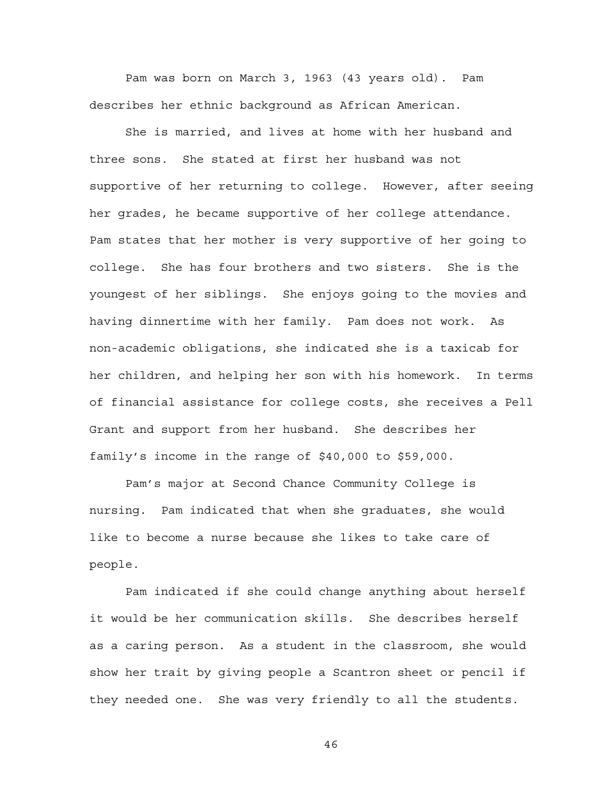Pam was born on March 3, 1963 (43 years old). Pam describes her ethnic background as African American.

She is married, and lives at home with her husband and three sons. She stated at first her husband was not supportive of her returning to college. However, after seeing her grades, he became supportive of her college attendance. Pam states that her mother is very supportive of her going to college. She has four brothers and two sisters. She is the youngest of her siblings. She enjoys going to the movies and having dinnertime with her family. Pam does not work. As non-academic obligations, she indicated she is a taxicab for her children, and helping her son with his homework. In terms of financial assistance for college costs, she receives a Pell Grant and support from her husband. She describes her family's income in the range of \$40,000 to \$59,000.

Pam's major at Second Chance Community College is nursing. Pam indicated that when she graduates, she would like to become a nurse because she likes to take care of people.

Pam indicated if she could change anything about herself it would be her communication skills. She describes herself as a caring person. As a student in the classroom, she would show her trait by giving people a Scantron sheet or pencil if they needed one. She was very friendly to all the students.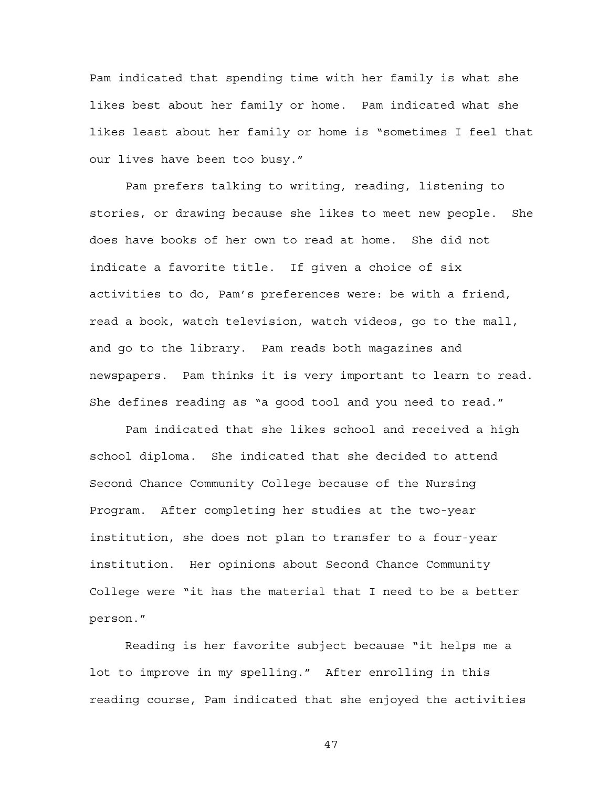Pam indicated that spending time with her family is what she likes best about her family or home. Pam indicated what she likes least about her family or home is "sometimes I feel that our lives have been too busy."

Pam prefers talking to writing, reading, listening to stories, or drawing because she likes to meet new people. She does have books of her own to read at home. She did not indicate a favorite title. If given a choice of six activities to do, Pam's preferences were: be with a friend, read a book, watch television, watch videos, go to the mall, and go to the library. Pam reads both magazines and newspapers. Pam thinks it is very important to learn to read. She defines reading as "a good tool and you need to read."

Pam indicated that she likes school and received a high school diploma. She indicated that she decided to attend Second Chance Community College because of the Nursing Program. After completing her studies at the two-year institution, she does not plan to transfer to a four-year institution. Her opinions about Second Chance Community College were "it has the material that I need to be a better person."

Reading is her favorite subject because "it helps me a lot to improve in my spelling." After enrolling in this reading course, Pam indicated that she enjoyed the activities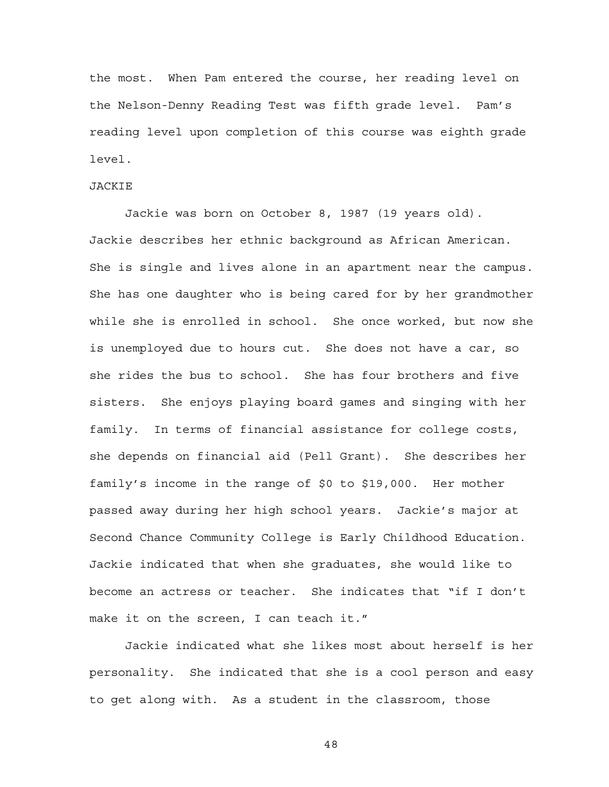the most. When Pam entered the course, her reading level on the Nelson-Denny Reading Test was fifth grade level. Pam's reading level upon completion of this course was eighth grade level.

#### JACKIE

Jackie was born on October 8, 1987 (19 years old). Jackie describes her ethnic background as African American. She is single and lives alone in an apartment near the campus. She has one daughter who is being cared for by her grandmother while she is enrolled in school. She once worked, but now she is unemployed due to hours cut. She does not have a car, so she rides the bus to school. She has four brothers and five sisters. She enjoys playing board games and singing with her family. In terms of financial assistance for college costs, she depends on financial aid (Pell Grant). She describes her family's income in the range of \$0 to \$19,000. Her mother passed away during her high school years. Jackie's major at Second Chance Community College is Early Childhood Education. Jackie indicated that when she graduates, she would like to become an actress or teacher. She indicates that "if I don't make it on the screen, I can teach it."

Jackie indicated what she likes most about herself is her personality. She indicated that she is a cool person and easy to get along with. As a student in the classroom, those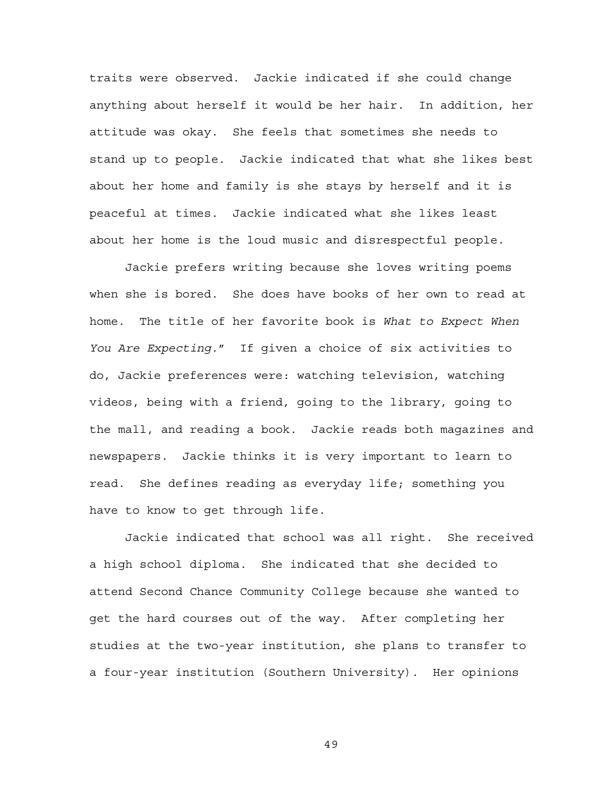traits were observed. Jackie indicated if she could change anything about herself it would be her hair. In addition, her attitude was okay. She feels that sometimes she needs to stand up to people. Jackie indicated that what she likes best about her home and family is she stays by herself and it is peaceful at times. Jackie indicated what she likes least about her home is the loud music and disrespectful people.

Jackie prefers writing because she loves writing poems when she is bored. She does have books of her own to read at home. The title of her favorite book is *What to Expect When You Are Expecting*." If given a choice of six activities to do, Jackie preferences were: watching television, watching videos, being with a friend, going to the library, going to the mall, and reading a book. Jackie reads both magazines and newspapers. Jackie thinks it is very important to learn to read. She defines reading as everyday life; something you have to know to get through life.

Jackie indicated that school was all right. She received a high school diploma. She indicated that she decided to attend Second Chance Community College because she wanted to get the hard courses out of the way. After completing her studies at the two-year institution, she plans to transfer to a four-year institution (Southern University). Her opinions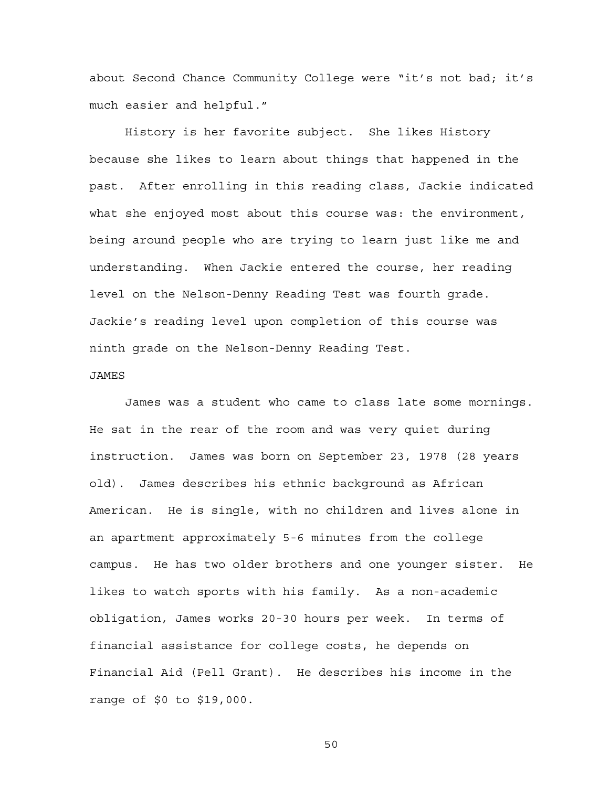about Second Chance Community College were "it's not bad; it's much easier and helpful."

History is her favorite subject. She likes History because she likes to learn about things that happened in the past. After enrolling in this reading class, Jackie indicated what she enjoyed most about this course was: the environment, being around people who are trying to learn just like me and understanding. When Jackie entered the course, her reading level on the Nelson-Denny Reading Test was fourth grade. Jackie's reading level upon completion of this course was ninth grade on the Nelson-Denny Reading Test.

#### JAMES

James was a student who came to class late some mornings. He sat in the rear of the room and was very quiet during instruction. James was born on September 23, 1978 (28 years old). James describes his ethnic background as African American. He is single, with no children and lives alone in an apartment approximately 5-6 minutes from the college campus. He has two older brothers and one younger sister. He likes to watch sports with his family. As a non-academic obligation, James works 20-30 hours per week. In terms of financial assistance for college costs, he depends on Financial Aid (Pell Grant). He describes his income in the range of \$0 to \$19,000.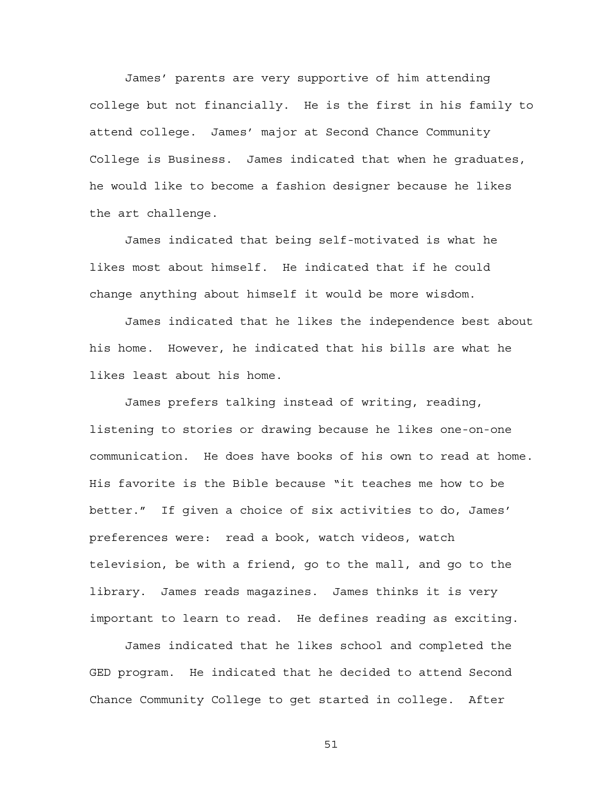James' parents are very supportive of him attending college but not financially. He is the first in his family to attend college. James' major at Second Chance Community College is Business. James indicated that when he graduates, he would like to become a fashion designer because he likes the art challenge.

James indicated that being self-motivated is what he likes most about himself. He indicated that if he could change anything about himself it would be more wisdom.

James indicated that he likes the independence best about his home. However, he indicated that his bills are what he likes least about his home.

James prefers talking instead of writing, reading, listening to stories or drawing because he likes one-on-one communication. He does have books of his own to read at home. His favorite is the Bible because "it teaches me how to be better." If given a choice of six activities to do, James' preferences were: read a book, watch videos, watch television, be with a friend, go to the mall, and go to the library. James reads magazines. James thinks it is very important to learn to read. He defines reading as exciting.

James indicated that he likes school and completed the GED program. He indicated that he decided to attend Second Chance Community College to get started in college. After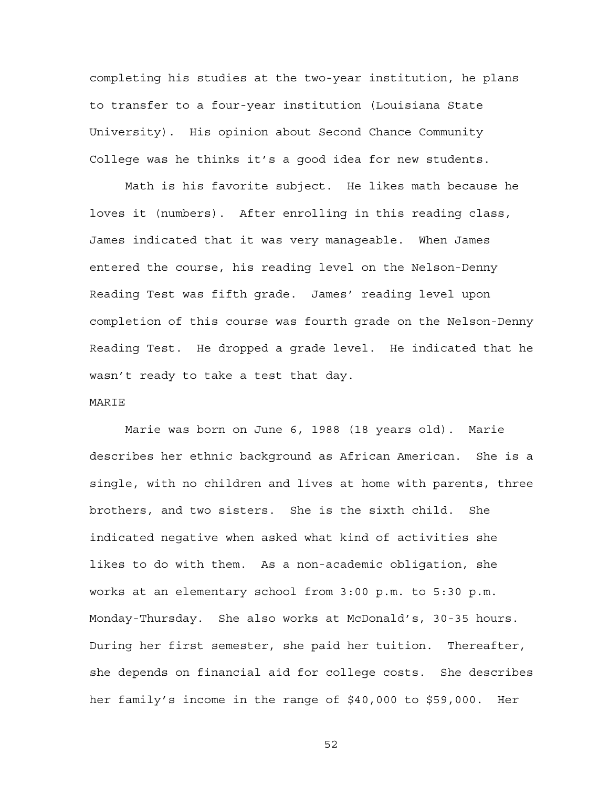completing his studies at the two-year institution, he plans to transfer to a four-year institution (Louisiana State University). His opinion about Second Chance Community College was he thinks it's a good idea for new students.

Math is his favorite subject. He likes math because he loves it (numbers). After enrolling in this reading class, James indicated that it was very manageable. When James entered the course, his reading level on the Nelson-Denny Reading Test was fifth grade. James' reading level upon completion of this course was fourth grade on the Nelson-Denny Reading Test. He dropped a grade level. He indicated that he wasn't ready to take a test that day.

#### MARIE

Marie was born on June 6, 1988 (18 years old). Marie describes her ethnic background as African American. She is a single, with no children and lives at home with parents, three brothers, and two sisters. She is the sixth child. She indicated negative when asked what kind of activities she likes to do with them. As a non-academic obligation, she works at an elementary school from 3:00 p.m. to 5:30 p.m. Monday-Thursday. She also works at McDonald's, 30-35 hours. During her first semester, she paid her tuition. Thereafter, she depends on financial aid for college costs. She describes her family's income in the range of \$40,000 to \$59,000. Her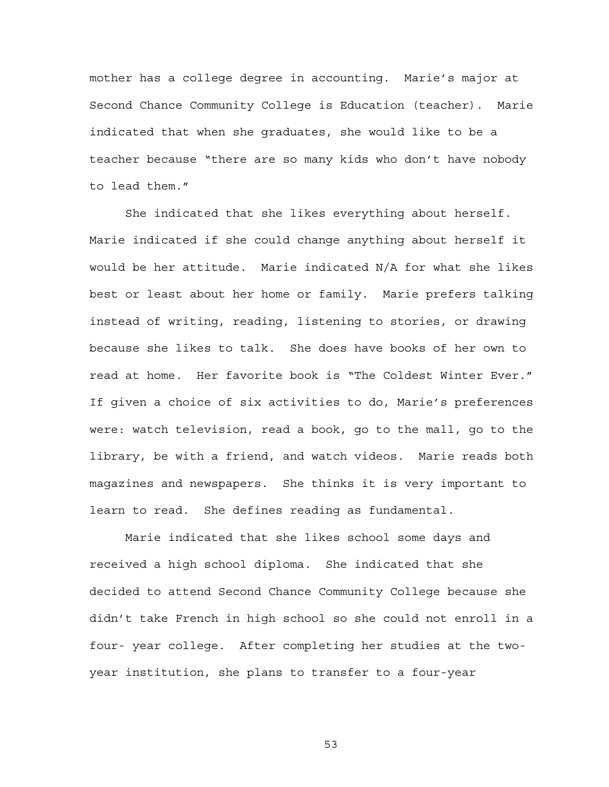mother has a college degree in accounting. Marie's major at Second Chance Community College is Education (teacher). Marie indicated that when she graduates, she would like to be a teacher because "there are so many kids who don't have nobody to lead them."

She indicated that she likes everything about herself. Marie indicated if she could change anything about herself it would be her attitude. Marie indicated N/A for what she likes best or least about her home or family. Marie prefers talking instead of writing, reading, listening to stories, or drawing because she likes to talk. She does have books of her own to read at home. Her favorite book is "The Coldest Winter Ever." If given a choice of six activities to do, Marie's preferences were: watch television, read a book, go to the mall, go to the library, be with a friend, and watch videos. Marie reads both magazines and newspapers. She thinks it is very important to learn to read. She defines reading as fundamental.

Marie indicated that she likes school some days and received a high school diploma. She indicated that she decided to attend Second Chance Community College because she didn't take French in high school so she could not enroll in a four- year college. After completing her studies at the twoyear institution, she plans to transfer to a four-year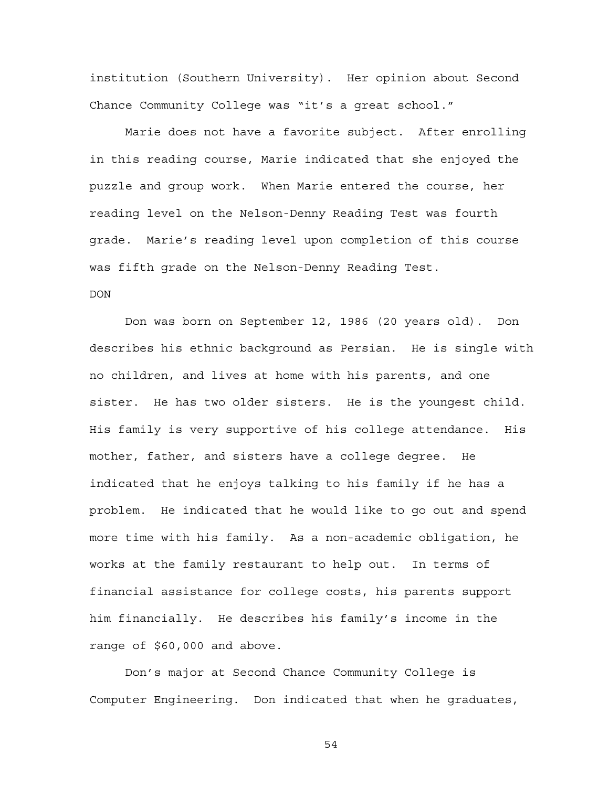institution (Southern University). Her opinion about Second Chance Community College was "it's a great school."

Marie does not have a favorite subject. After enrolling in this reading course, Marie indicated that she enjoyed the puzzle and group work. When Marie entered the course, her reading level on the Nelson-Denny Reading Test was fourth grade. Marie's reading level upon completion of this course was fifth grade on the Nelson-Denny Reading Test.

# DON

Don was born on September 12, 1986 (20 years old). Don describes his ethnic background as Persian. He is single with no children, and lives at home with his parents, and one sister. He has two older sisters. He is the youngest child. His family is very supportive of his college attendance. His mother, father, and sisters have a college degree. He indicated that he enjoys talking to his family if he has a problem. He indicated that he would like to go out and spend more time with his family. As a non-academic obligation, he works at the family restaurant to help out. In terms of financial assistance for college costs, his parents support him financially. He describes his family's income in the range of \$60,000 and above.

Don's major at Second Chance Community College is Computer Engineering. Don indicated that when he graduates,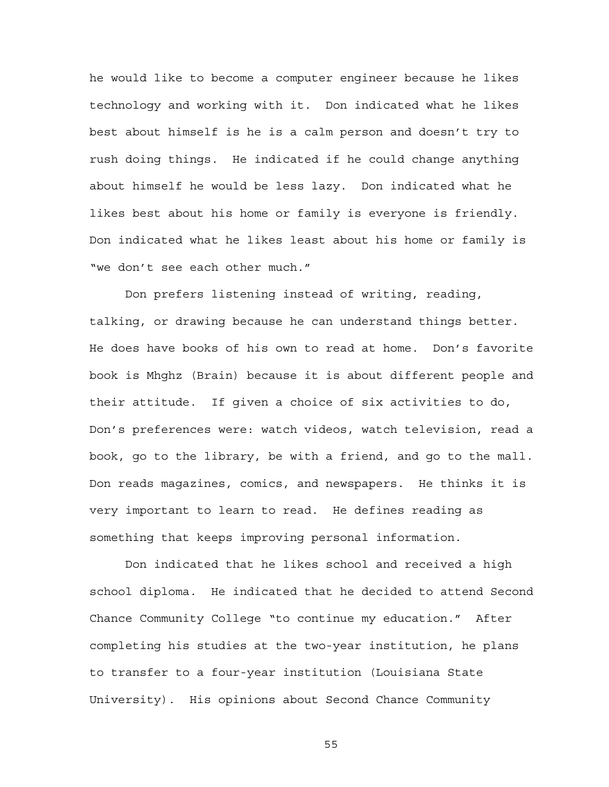he would like to become a computer engineer because he likes technology and working with it. Don indicated what he likes best about himself is he is a calm person and doesn't try to rush doing things. He indicated if he could change anything about himself he would be less lazy. Don indicated what he likes best about his home or family is everyone is friendly. Don indicated what he likes least about his home or family is "we don't see each other much."

Don prefers listening instead of writing, reading, talking, or drawing because he can understand things better. He does have books of his own to read at home. Don's favorite book is Mhghz (Brain) because it is about different people and their attitude. If given a choice of six activities to do, Don's preferences were: watch videos, watch television, read a book, go to the library, be with a friend, and go to the mall. Don reads magazines, comics, and newspapers. He thinks it is very important to learn to read. He defines reading as something that keeps improving personal information.

Don indicated that he likes school and received a high school diploma. He indicated that he decided to attend Second Chance Community College "to continue my education." After completing his studies at the two-year institution, he plans to transfer to a four-year institution (Louisiana State University). His opinions about Second Chance Community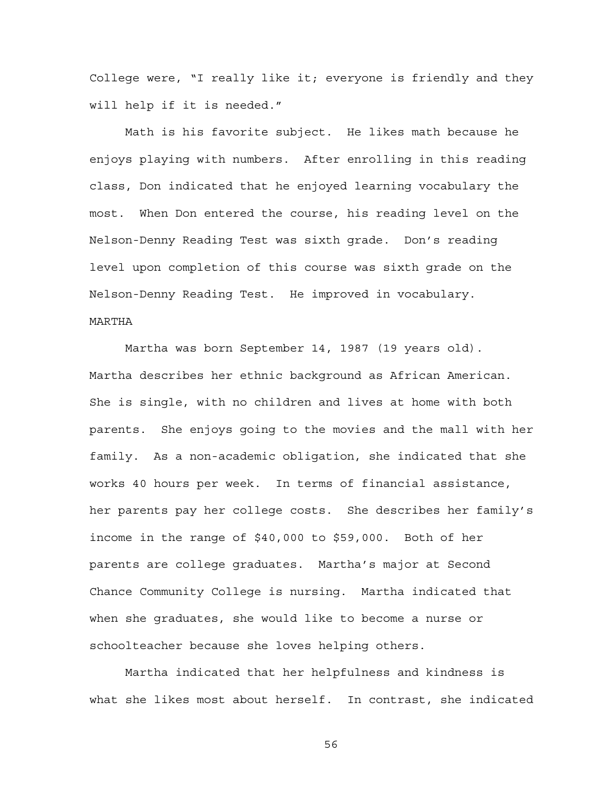College were, "I really like it; everyone is friendly and they will help if it is needed."

Math is his favorite subject. He likes math because he enjoys playing with numbers. After enrolling in this reading class, Don indicated that he enjoyed learning vocabulary the most. When Don entered the course, his reading level on the Nelson-Denny Reading Test was sixth grade. Don's reading level upon completion of this course was sixth grade on the Nelson-Denny Reading Test. He improved in vocabulary. MARTHA

Martha was born September 14, 1987 (19 years old). Martha describes her ethnic background as African American. She is single, with no children and lives at home with both parents. She enjoys going to the movies and the mall with her family. As a non-academic obligation, she indicated that she works 40 hours per week. In terms of financial assistance, her parents pay her college costs. She describes her family's income in the range of \$40,000 to \$59,000. Both of her parents are college graduates. Martha's major at Second Chance Community College is nursing. Martha indicated that when she graduates, she would like to become a nurse or schoolteacher because she loves helping others.

Martha indicated that her helpfulness and kindness is what she likes most about herself. In contrast, she indicated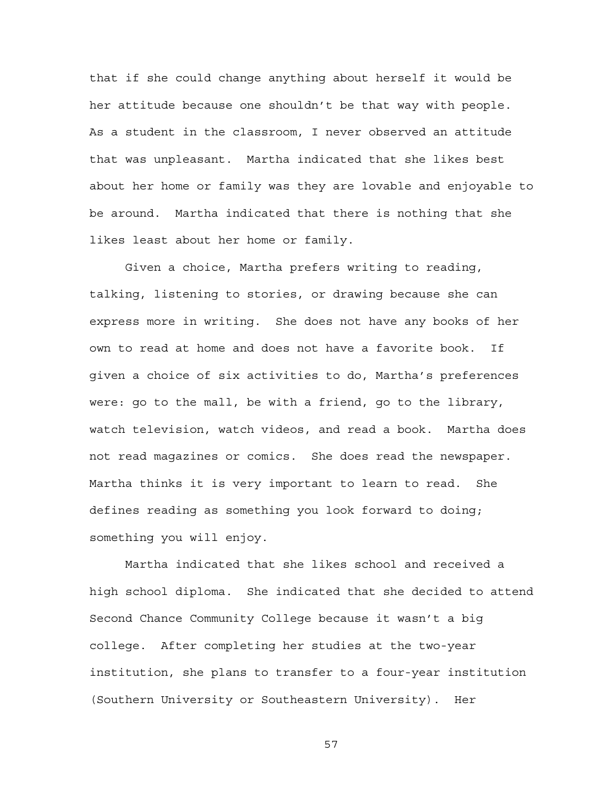that if she could change anything about herself it would be her attitude because one shouldn't be that way with people. As a student in the classroom, I never observed an attitude that was unpleasant. Martha indicated that she likes best about her home or family was they are lovable and enjoyable to be around. Martha indicated that there is nothing that she likes least about her home or family.

Given a choice, Martha prefers writing to reading, talking, listening to stories, or drawing because she can express more in writing. She does not have any books of her own to read at home and does not have a favorite book. If given a choice of six activities to do, Martha's preferences were: go to the mall, be with a friend, go to the library, watch television, watch videos, and read a book. Martha does not read magazines or comics. She does read the newspaper. Martha thinks it is very important to learn to read. She defines reading as something you look forward to doing; something you will enjoy.

Martha indicated that she likes school and received a high school diploma. She indicated that she decided to attend Second Chance Community College because it wasn't a big college. After completing her studies at the two-year institution, she plans to transfer to a four-year institution (Southern University or Southeastern University). Her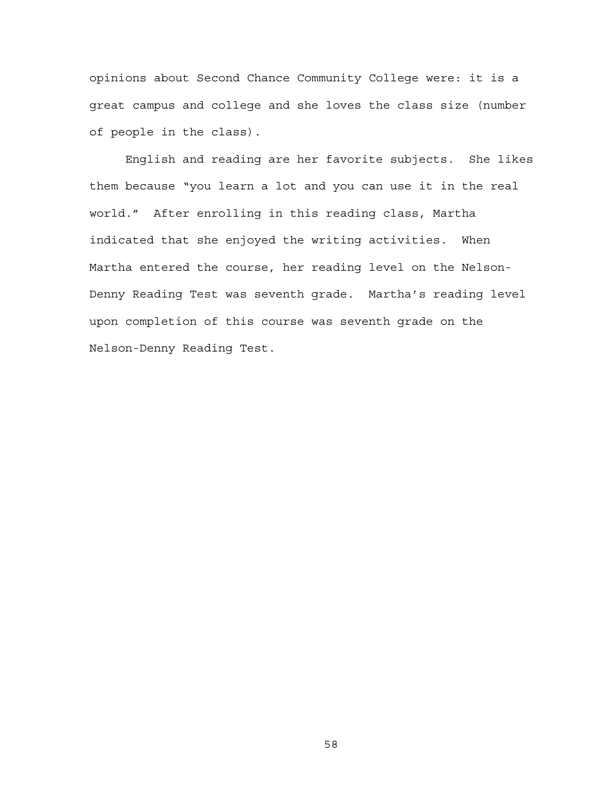opinions about Second Chance Community College were: it is a great campus and college and she loves the class size (number of people in the class).

English and reading are her favorite subjects. She likes them because "you learn a lot and you can use it in the real world." After enrolling in this reading class, Martha indicated that she enjoyed the writing activities. When Martha entered the course, her reading level on the Nelson-Denny Reading Test was seventh grade. Martha's reading level upon completion of this course was seventh grade on the Nelson-Denny Reading Test.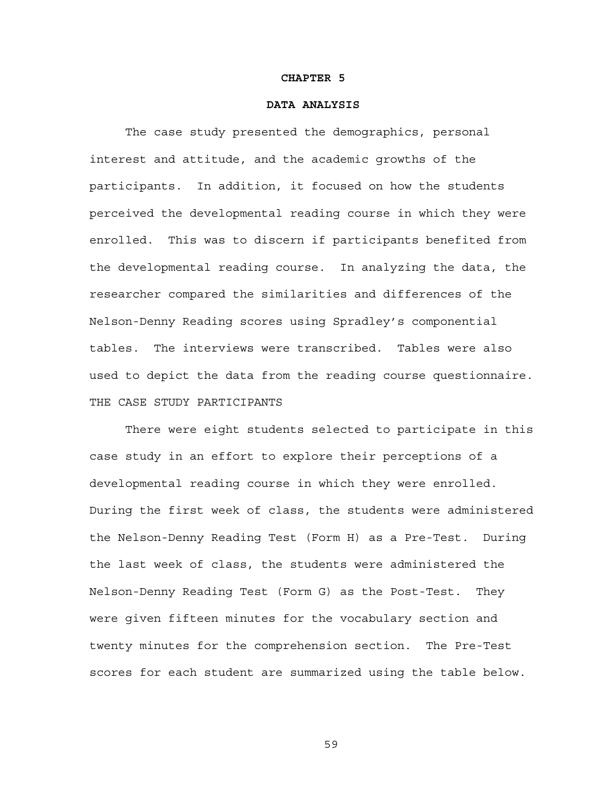#### **CHAPTER 5**

## **DATA ANALYSIS**

The case study presented the demographics, personal interest and attitude, and the academic growths of the participants. In addition, it focused on how the students perceived the developmental reading course in which they were enrolled. This was to discern if participants benefited from the developmental reading course. In analyzing the data, the researcher compared the similarities and differences of the Nelson-Denny Reading scores using Spradley's componential tables. The interviews were transcribed. Tables were also used to depict the data from the reading course questionnaire. THE CASE STUDY PARTICIPANTS

There were eight students selected to participate in this case study in an effort to explore their perceptions of a developmental reading course in which they were enrolled. During the first week of class, the students were administered the Nelson-Denny Reading Test (Form H) as a Pre-Test. During the last week of class, the students were administered the Nelson-Denny Reading Test (Form G) as the Post-Test. They were given fifteen minutes for the vocabulary section and twenty minutes for the comprehension section. The Pre-Test scores for each student are summarized using the table below.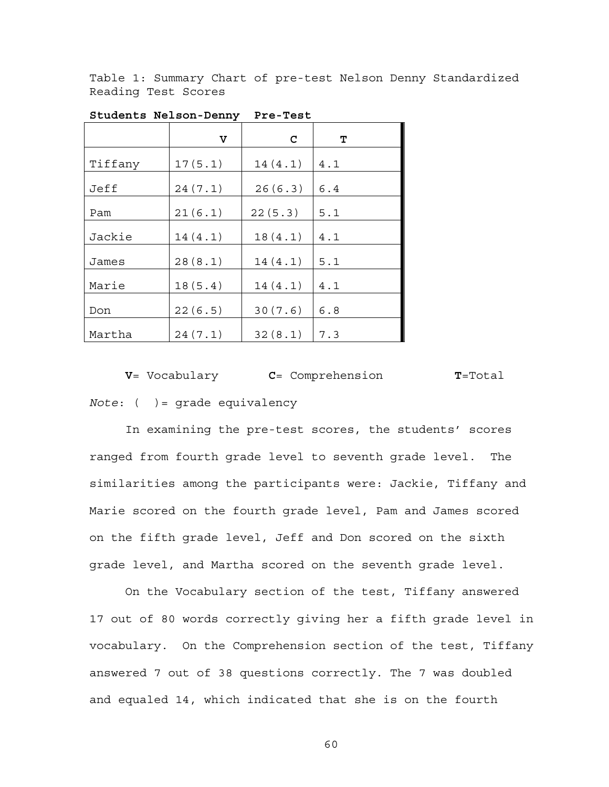Table 1: Summary Chart of pre-test Nelson Denny Standardized Reading Test Scores

|         | v       | C       | т   |
|---------|---------|---------|-----|
| Tiffany | 17(5.1) | 14(4.1) | 4.1 |
| Jeff    | 24(7.1) | 26(6.3) | 6.4 |
| Pam     | 21(6.1) | 22(5.3) | 5.1 |
| Jackie  | 14(4.1) | 18(4.1) | 4.1 |
| James   | 28(8.1) | 14(4.1) | 5.1 |
| Marie   | 18(5.4) | 14(4.1) | 4.1 |
| Don     | 22(6.5) | 30(7.6) | 6.8 |
| Martha  | 24(7.1) | 32(8.1) | 7.3 |

**Students Nelson-Denny Pre-Test** 

 **V**= Vocabulary **C**= Comprehension **T**=Total *Note*: ( )= grade equivalency

In examining the pre-test scores, the students' scores ranged from fourth grade level to seventh grade level. The similarities among the participants were: Jackie, Tiffany and Marie scored on the fourth grade level, Pam and James scored on the fifth grade level, Jeff and Don scored on the sixth grade level, and Martha scored on the seventh grade level.

On the Vocabulary section of the test, Tiffany answered 17 out of 80 words correctly giving her a fifth grade level in vocabulary. On the Comprehension section of the test, Tiffany answered 7 out of 38 questions correctly. The 7 was doubled and equaled 14, which indicated that she is on the fourth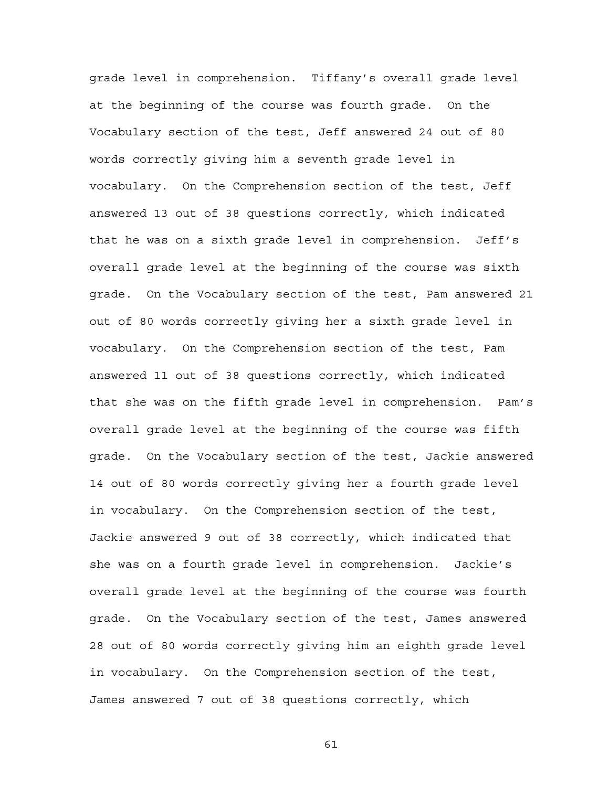grade level in comprehension. Tiffany's overall grade level at the beginning of the course was fourth grade. On the Vocabulary section of the test, Jeff answered 24 out of 80 words correctly giving him a seventh grade level in vocabulary. On the Comprehension section of the test, Jeff answered 13 out of 38 questions correctly, which indicated that he was on a sixth grade level in comprehension. Jeff's overall grade level at the beginning of the course was sixth grade. On the Vocabulary section of the test, Pam answered 21 out of 80 words correctly giving her a sixth grade level in vocabulary. On the Comprehension section of the test, Pam answered 11 out of 38 questions correctly, which indicated that she was on the fifth grade level in comprehension. Pam's overall grade level at the beginning of the course was fifth grade. On the Vocabulary section of the test, Jackie answered 14 out of 80 words correctly giving her a fourth grade level in vocabulary. On the Comprehension section of the test, Jackie answered 9 out of 38 correctly, which indicated that she was on a fourth grade level in comprehension. Jackie's overall grade level at the beginning of the course was fourth grade. On the Vocabulary section of the test, James answered 28 out of 80 words correctly giving him an eighth grade level in vocabulary. On the Comprehension section of the test, James answered 7 out of 38 questions correctly, which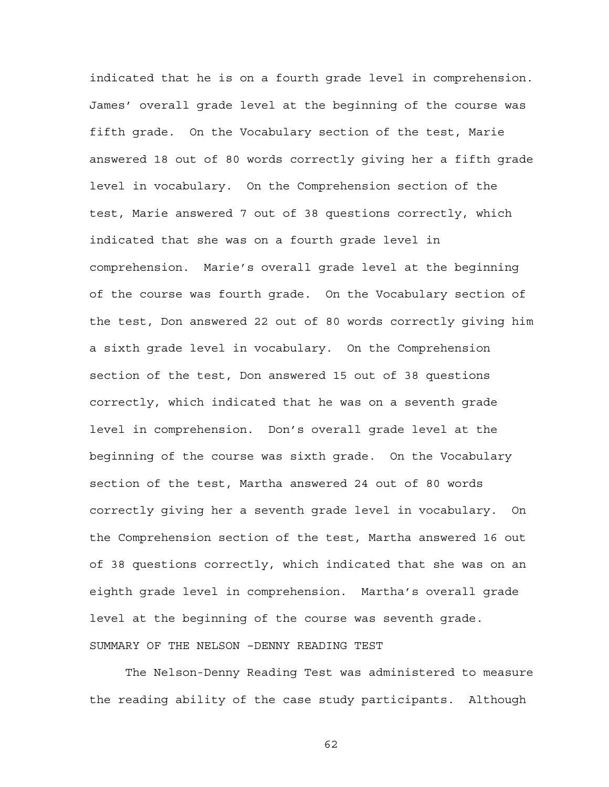indicated that he is on a fourth grade level in comprehension. James' overall grade level at the beginning of the course was fifth grade. On the Vocabulary section of the test, Marie answered 18 out of 80 words correctly giving her a fifth grade level in vocabulary. On the Comprehension section of the test, Marie answered 7 out of 38 questions correctly, which indicated that she was on a fourth grade level in comprehension. Marie's overall grade level at the beginning of the course was fourth grade. On the Vocabulary section of the test, Don answered 22 out of 80 words correctly giving him a sixth grade level in vocabulary. On the Comprehension section of the test, Don answered 15 out of 38 questions correctly, which indicated that he was on a seventh grade level in comprehension. Don's overall grade level at the beginning of the course was sixth grade. On the Vocabulary section of the test, Martha answered 24 out of 80 words correctly giving her a seventh grade level in vocabulary. On the Comprehension section of the test, Martha answered 16 out of 38 questions correctly, which indicated that she was on an eighth grade level in comprehension. Martha's overall grade level at the beginning of the course was seventh grade. SUMMARY OF THE NELSON –DENNY READING TEST

The Nelson-Denny Reading Test was administered to measure the reading ability of the case study participants. Although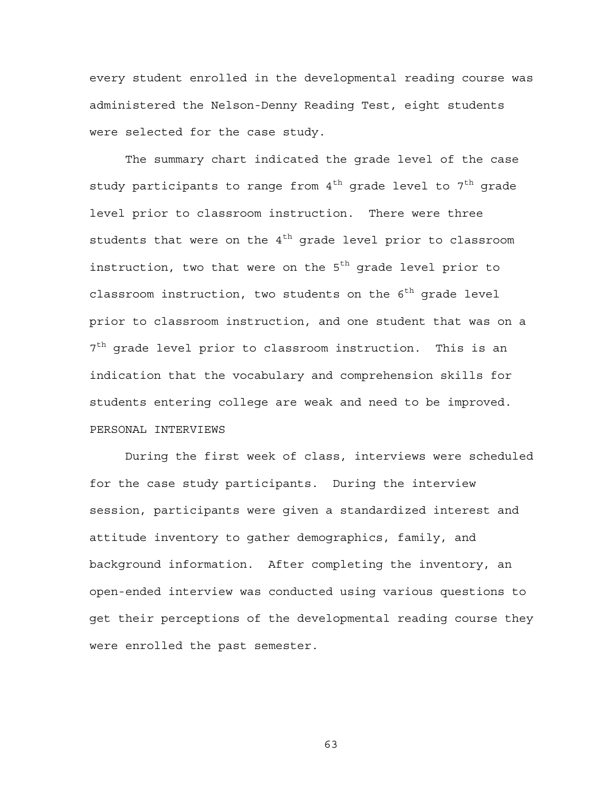every student enrolled in the developmental reading course was administered the Nelson-Denny Reading Test, eight students were selected for the case study.

The summary chart indicated the grade level of the case study participants to range from  $4^{th}$  grade level to  $7^{th}$  grade level prior to classroom instruction. There were three students that were on the  $4<sup>th</sup>$  grade level prior to classroom instruction, two that were on the  $5<sup>th</sup>$  grade level prior to classroom instruction, two students on the  $6^{th}$  grade level prior to classroom instruction, and one student that was on a  $7<sup>th</sup>$  grade level prior to classroom instruction. This is an indication that the vocabulary and comprehension skills for students entering college are weak and need to be improved. PERSONAL INTERVIEWS

During the first week of class, interviews were scheduled for the case study participants. During the interview session, participants were given a standardized interest and attitude inventory to gather demographics, family, and background information. After completing the inventory, an open-ended interview was conducted using various questions to get their perceptions of the developmental reading course they were enrolled the past semester.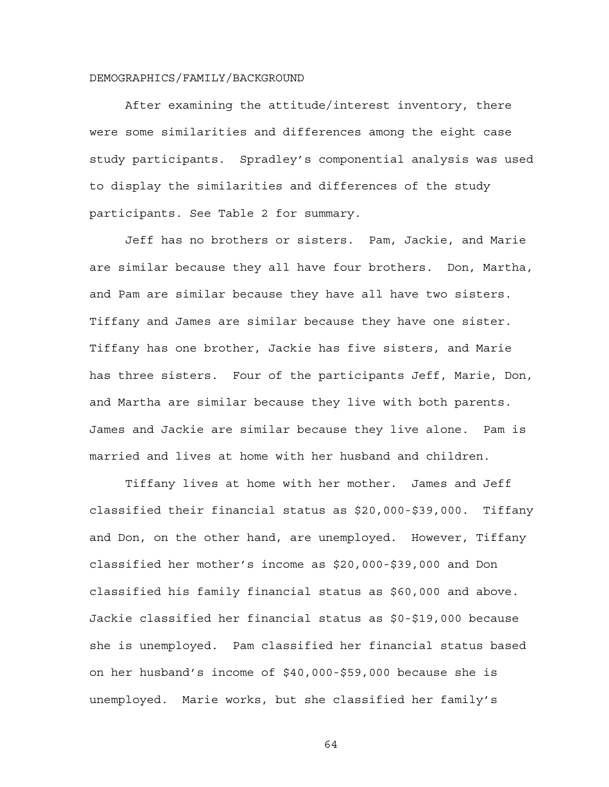#### DEMOGRAPHICS/FAMILY/BACKGROUND

After examining the attitude/interest inventory, there were some similarities and differences among the eight case study participants. Spradley's componential analysis was used to display the similarities and differences of the study participants. See Table 2 for summary.

Jeff has no brothers or sisters. Pam, Jackie, and Marie are similar because they all have four brothers. Don, Martha, and Pam are similar because they have all have two sisters. Tiffany and James are similar because they have one sister. Tiffany has one brother, Jackie has five sisters, and Marie has three sisters. Four of the participants Jeff, Marie, Don, and Martha are similar because they live with both parents. James and Jackie are similar because they live alone. Pam is married and lives at home with her husband and children.

Tiffany lives at home with her mother. James and Jeff classified their financial status as \$20,000-\$39,000. Tiffany and Don, on the other hand, are unemployed. However, Tiffany classified her mother's income as \$20,000-\$39,000 and Don classified his family financial status as \$60,000 and above. Jackie classified her financial status as \$0-\$19,000 because she is unemployed. Pam classified her financial status based on her husband's income of \$40,000-\$59,000 because she is unemployed. Marie works, but she classified her family's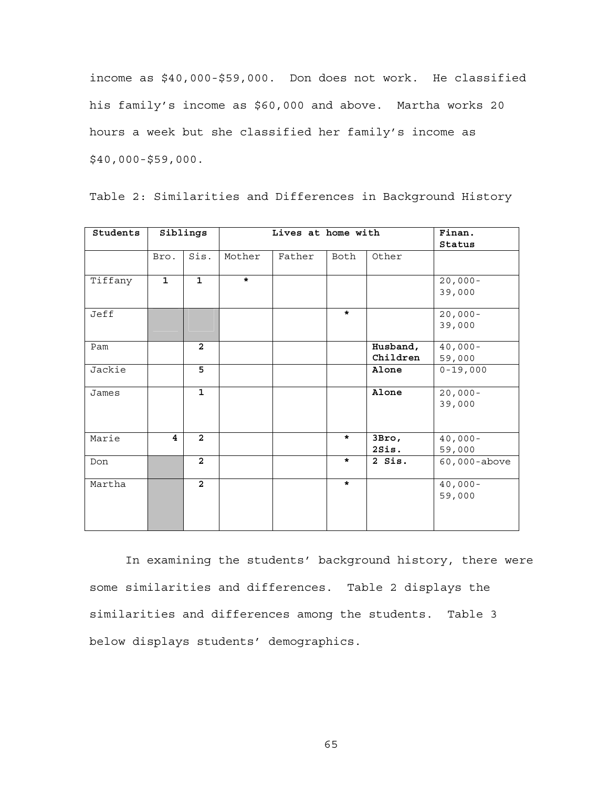income as \$40,000-\$59,000. Don does not work. He classified his family's income as \$60,000 and above. Martha works 20 hours a week but she classified her family's income as \$40,000-\$59,000.

| Students |              | Siblings       |         | Finan.<br>Status |         |                      |                      |
|----------|--------------|----------------|---------|------------------|---------|----------------------|----------------------|
|          | Bro.         | Sis.           | Mother  | Father           | Both    | Other                |                      |
| Tiffany  | $\mathbf{1}$ | $\overline{1}$ | $\star$ |                  |         |                      | $20,000 -$<br>39,000 |
| Jeff     |              |                |         |                  | $\star$ |                      | $20,000 -$<br>39,000 |
| Pam      |              | $\overline{2}$ |         |                  |         | Husband,<br>Children | $40,000 -$<br>59,000 |
| Jackie   |              | $\overline{5}$ |         |                  |         | Alone                | $0 - 19,000$         |
| James    |              | $\mathbf{1}$   |         |                  |         | Alone                | $20,000 -$<br>39,000 |
| Marie    | 4            | $\overline{2}$ |         |                  | $\star$ | 3Bro,<br>2Sis.       | $40,000 -$<br>59,000 |
| Don      |              | $\overline{2}$ |         |                  | $\star$ | 2 Sis.               | 60,000-above         |
| Martha   |              | $\overline{2}$ |         |                  | $\star$ |                      | $40,000 -$<br>59,000 |

Table 2: Similarities and Differences in Background History

In examining the students' background history, there were some similarities and differences. Table 2 displays the similarities and differences among the students. Table 3 below displays students' demographics.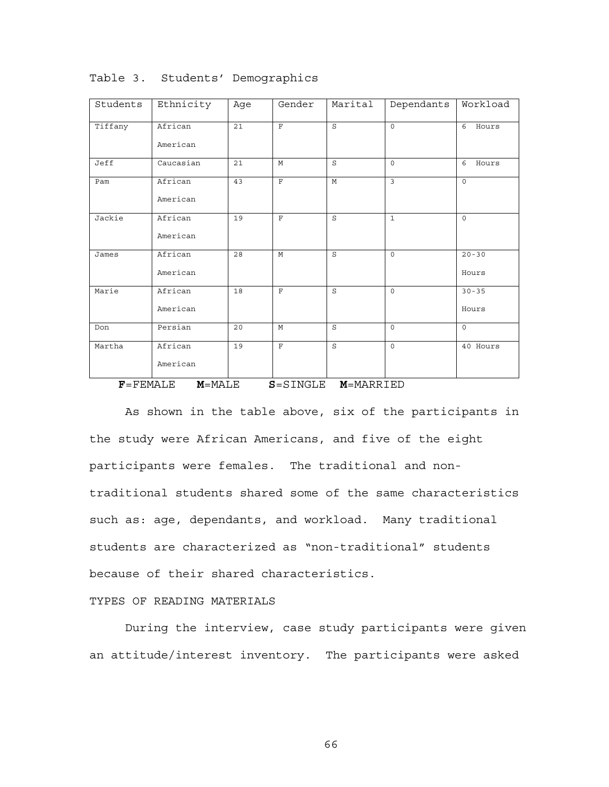| Students | Ethnicity           | Age | Gender                                                    | Marital | Dependants              | Workload           |
|----------|---------------------|-----|-----------------------------------------------------------|---------|-------------------------|--------------------|
| Tiffany  | African<br>American | 21  | $\mathbf{F}$                                              | S       | $\Omega$                | 6<br>Hours         |
| Jeff     | Caucasian           | 21  | M                                                         | S       | $\Omega$                | 6<br>Hours         |
| Pam      | African<br>American | 43  | $\mathbf{F}$                                              | M       | $\overline{\mathbf{z}}$ | $\Omega$           |
| Jackie   | African<br>American | 19  | $\mathbf{F}$                                              | S       | $\mathbf{1}$            | $\Omega$           |
| James    | African<br>American | 28  | M                                                         | S       | $\Omega$                | $20 - 30$<br>Hours |
| Marie    | African<br>American | 18  | $\mathbf{F}$                                              | S       | $\Omega$                | $30 - 35$<br>Hours |
| Don      | Persian             | 20  | M                                                         | S       | $\Omega$                | $\Omega$           |
| Martha   | African<br>American | 19  | $\mathbf{F}$<br>$\sim$ $\sim$ $\sim$ $\sim$ $\sim$ $\sim$ | S<br>   | $\Omega$                | 40 Hours           |

Table 3. Students' Demographics

 **F**=FEMALE **M**=MALE **S**=SINGLE **M**=MARRIED

As shown in the table above, six of the participants in the study were African Americans, and five of the eight participants were females. The traditional and nontraditional students shared some of the same characteristics such as: age, dependants, and workload. Many traditional students are characterized as "non-traditional" students because of their shared characteristics.

## TYPES OF READING MATERIALS

During the interview, case study participants were given an attitude/interest inventory. The participants were asked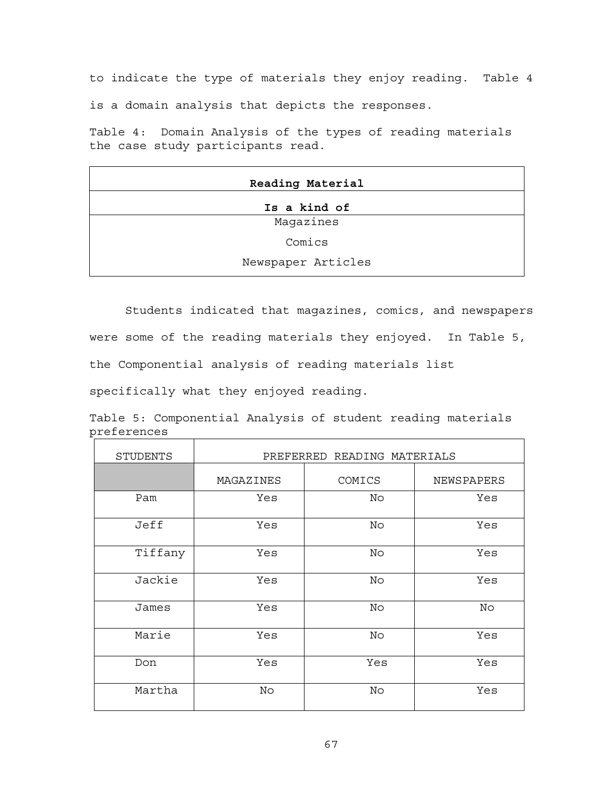to indicate the type of materials they enjoy reading. Table 4 is a domain analysis that depicts the responses.

Table 4: Domain Analysis of the types of reading materials the case study participants read.

| Reading Material   |
|--------------------|
| Is a kind of       |
| Magazines          |
| Comics             |
| Newspaper Articles |

Students indicated that magazines, comics, and newspapers were some of the reading materials they enjoyed. In Table 5, the Componential analysis of reading materials list

specifically what they enjoyed reading.

|             | Table 5: Componential Analysis of student reading materials |  |  |  |
|-------------|-------------------------------------------------------------|--|--|--|
| preferences |                                                             |  |  |  |
|             |                                                             |  |  |  |

 $\overline{\phantom{0}}$ 

| <b>STUDENTS</b> | PREFERRED READING MATERIALS |        |            |  |  |  |  |  |
|-----------------|-----------------------------|--------|------------|--|--|--|--|--|
|                 | MAGAZINES                   | COMICS | NEWSPAPERS |  |  |  |  |  |
| Pam             | Yes                         | No     | Yes        |  |  |  |  |  |
| Jeff            | Yes                         | No     | Yes        |  |  |  |  |  |
| Tiffany         | Yes                         | No     | Yes        |  |  |  |  |  |
| Jackie          | Yes                         | No     | Yes        |  |  |  |  |  |
| James           | Yes                         | No     | No         |  |  |  |  |  |
| Marie           | Yes                         | No     | Yes        |  |  |  |  |  |
| Don             | Yes                         | Yes    | Yes        |  |  |  |  |  |
| Martha          | No                          | No     | Yes        |  |  |  |  |  |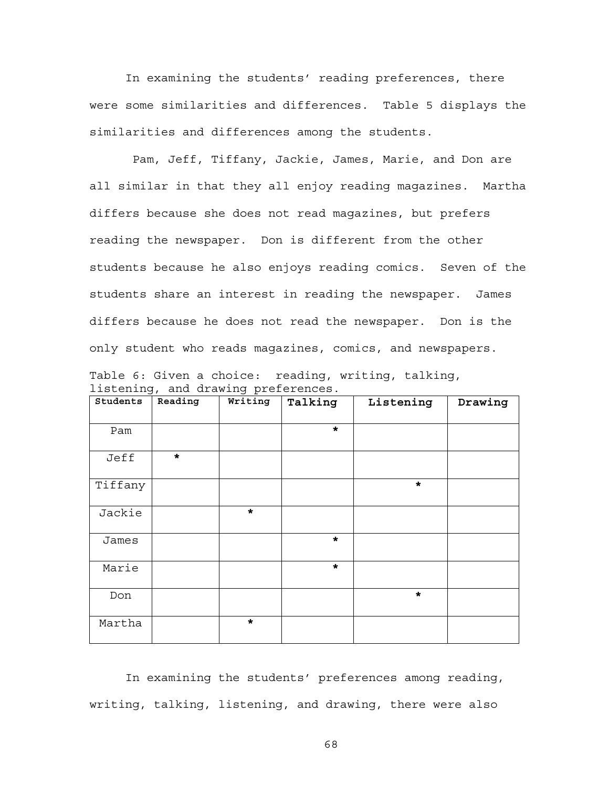In examining the students' reading preferences, there were some similarities and differences. Table 5 displays the similarities and differences among the students.

 Pam, Jeff, Tiffany, Jackie, James, Marie, and Don are all similar in that they all enjoy reading magazines. Martha differs because she does not read magazines, but prefers reading the newspaper. Don is different from the other students because he also enjoys reading comics. Seven of the students share an interest in reading the newspaper. James differs because he does not read the newspaper. Don is the only student who reads magazines, comics, and newspapers.

| ----- <i>-</i> - |         | - ים כ־ |         |           |         |
|------------------|---------|---------|---------|-----------|---------|
| Students         | Reading | Writing | Talking | Listening | Drawing |
| Pam              |         |         | $\star$ |           |         |
| Jeff             | $\star$ |         |         |           |         |
| Tiffany          |         |         |         | $\star$   |         |
| Jackie           |         | $\star$ |         |           |         |
| James            |         |         | $\star$ |           |         |
| Marie            |         |         | $\star$ |           |         |
| Don              |         |         |         | $\star$   |         |
| Martha           |         | $\star$ |         |           |         |

Table 6: Given a choice: reading, writing, talking, listening, and drawing preferences.

In examining the students' preferences among reading, writing, talking, listening, and drawing, there were also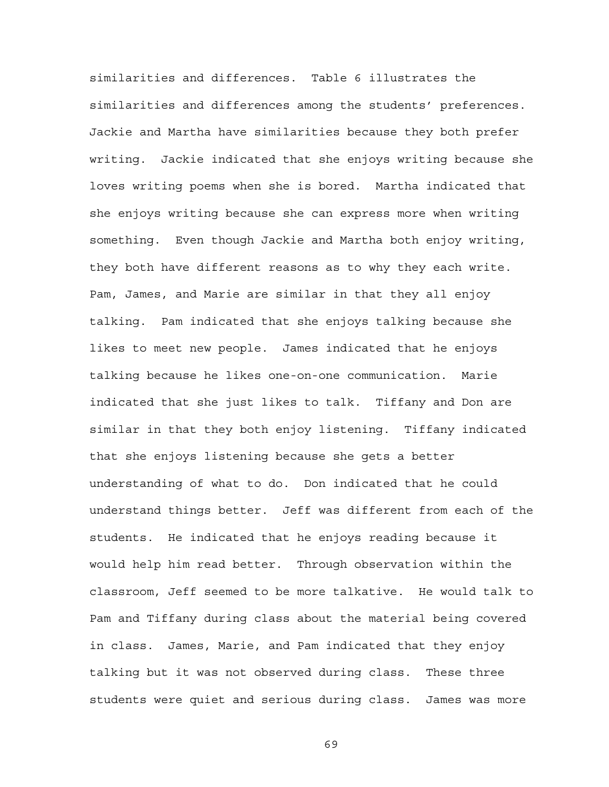similarities and differences. Table 6 illustrates the similarities and differences among the students' preferences. Jackie and Martha have similarities because they both prefer writing. Jackie indicated that she enjoys writing because she loves writing poems when she is bored. Martha indicated that she enjoys writing because she can express more when writing something. Even though Jackie and Martha both enjoy writing, they both have different reasons as to why they each write. Pam, James, and Marie are similar in that they all enjoy talking. Pam indicated that she enjoys talking because she likes to meet new people. James indicated that he enjoys talking because he likes one-on-one communication. Marie indicated that she just likes to talk. Tiffany and Don are similar in that they both enjoy listening. Tiffany indicated that she enjoys listening because she gets a better understanding of what to do. Don indicated that he could understand things better. Jeff was different from each of the students. He indicated that he enjoys reading because it would help him read better. Through observation within the classroom, Jeff seemed to be more talkative. He would talk to Pam and Tiffany during class about the material being covered in class. James, Marie, and Pam indicated that they enjoy talking but it was not observed during class. These three students were quiet and serious during class. James was more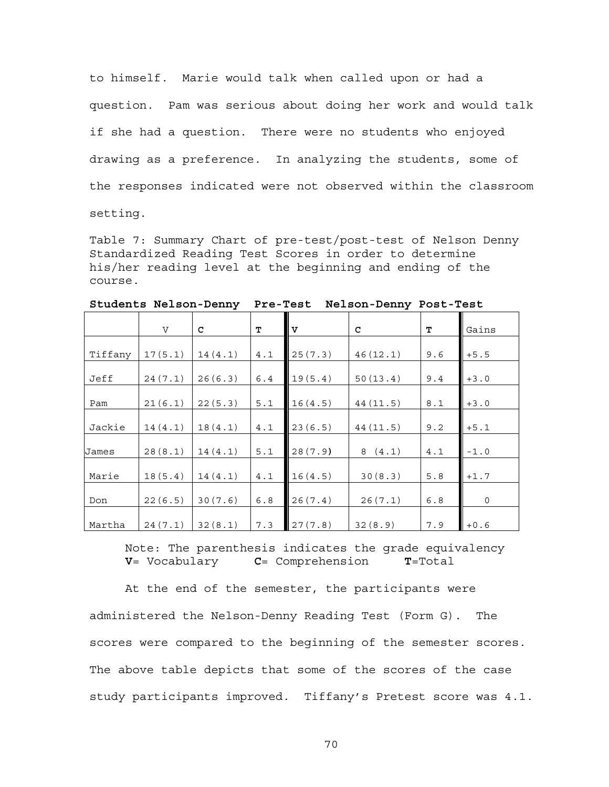to himself. Marie would talk when called upon or had a question. Pam was serious about doing her work and would talk if she had a question. There were no students who enjoyed drawing as a preference. In analyzing the students, some of the responses indicated were not observed within the classroom setting.

Table 7: Summary Chart of pre-test/post-test of Nelson Denny Standardized Reading Test Scores in order to determine his/her reading level at the beginning and ending of the course.

|  |  |  | Students Nelson-Denny Pre-Test Nelson-Denny Post-Test |  |
|--|--|--|-------------------------------------------------------|--|
|  |  |  |                                                       |  |

|         | $\overline{V}$ | C       | т   | $\mathbf{v}$ | C        | т   | Gains    |
|---------|----------------|---------|-----|--------------|----------|-----|----------|
| Tiffany | 17(5.1)        | 14(4.1) | 4.1 | 25(7.3)      | 46(12.1) | 9.6 | $+5.5$   |
| Jeff    | 24(7.1)        | 26(6.3) | 6.4 | 19(5.4)      | 50(13.4) | 9.4 | $+3.0$   |
| Pam     | 21(6.1)        | 22(5.3) | 5.1 | 16(4.5)      | 44(11.5) | 8.1 | $+3.0$   |
| Jackie  | 14(4.1)        | 18(4.1) | 4.1 | 23(6.5)      | 44(11.5) | 9.2 | $+5.1$   |
| James   | 28(8.1)        | 14(4.1) | 5.1 | 28(7.9)      | 8(4.1)   | 4.1 | $-1.0$   |
| Marie   | 18(5.4)        | 14(4.1) | 4.1 | 16(4.5)      | 30(8.3)  | 5.8 | $+1.7$   |
| Don     | 22(6.5)        | 30(7.6) | 6.8 | 26(7.4)      | 26(7.1)  | 6.8 | $\Omega$ |
| Martha  | 24(7.1)        | 32(8.1) | 7.3 | 27(7.8)      | 32(8.9)  | 7.9 | $+0.6$   |

Note: The parenthesis indicates the grade equivalency **V**= Vocabulary **C**= Comprehension **T**=Total

At the end of the semester, the participants were administered the Nelson-Denny Reading Test (Form G). The scores were compared to the beginning of the semester scores. The above table depicts that some of the scores of the case study participants improved. Tiffany's Pretest score was 4.1.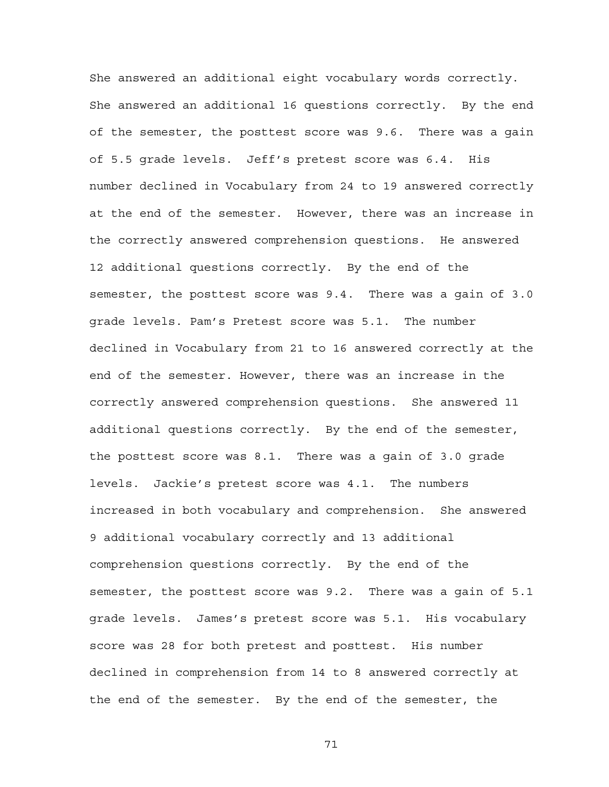She answered an additional eight vocabulary words correctly. She answered an additional 16 questions correctly. By the end of the semester, the posttest score was 9.6. There was a gain of 5.5 grade levels. Jeff's pretest score was 6.4. His number declined in Vocabulary from 24 to 19 answered correctly at the end of the semester. However, there was an increase in the correctly answered comprehension questions. He answered 12 additional questions correctly. By the end of the semester, the posttest score was 9.4. There was a gain of 3.0 grade levels. Pam's Pretest score was 5.1. The number declined in Vocabulary from 21 to 16 answered correctly at the end of the semester. However, there was an increase in the correctly answered comprehension questions. She answered 11 additional questions correctly. By the end of the semester, the posttest score was 8.1. There was a gain of 3.0 grade levels. Jackie's pretest score was 4.1. The numbers increased in both vocabulary and comprehension. She answered 9 additional vocabulary correctly and 13 additional comprehension questions correctly. By the end of the semester, the posttest score was 9.2. There was a gain of 5.1 grade levels. James's pretest score was 5.1. His vocabulary score was 28 for both pretest and posttest. His number declined in comprehension from 14 to 8 answered correctly at the end of the semester. By the end of the semester, the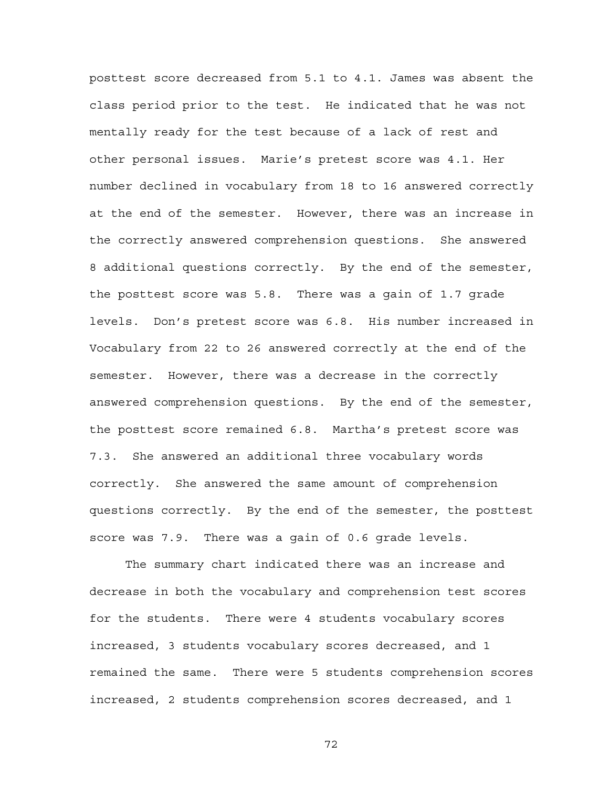posttest score decreased from 5.1 to 4.1. James was absent the class period prior to the test. He indicated that he was not mentally ready for the test because of a lack of rest and other personal issues. Marie's pretest score was 4.1. Her number declined in vocabulary from 18 to 16 answered correctly at the end of the semester. However, there was an increase in the correctly answered comprehension questions. She answered 8 additional questions correctly. By the end of the semester, the posttest score was 5.8. There was a gain of 1.7 grade levels. Don's pretest score was 6.8. His number increased in Vocabulary from 22 to 26 answered correctly at the end of the semester. However, there was a decrease in the correctly answered comprehension questions. By the end of the semester, the posttest score remained 6.8. Martha's pretest score was 7.3. She answered an additional three vocabulary words correctly. She answered the same amount of comprehension questions correctly. By the end of the semester, the posttest score was 7.9. There was a gain of 0.6 grade levels.

The summary chart indicated there was an increase and decrease in both the vocabulary and comprehension test scores for the students. There were 4 students vocabulary scores increased, 3 students vocabulary scores decreased, and 1 remained the same. There were 5 students comprehension scores increased, 2 students comprehension scores decreased, and 1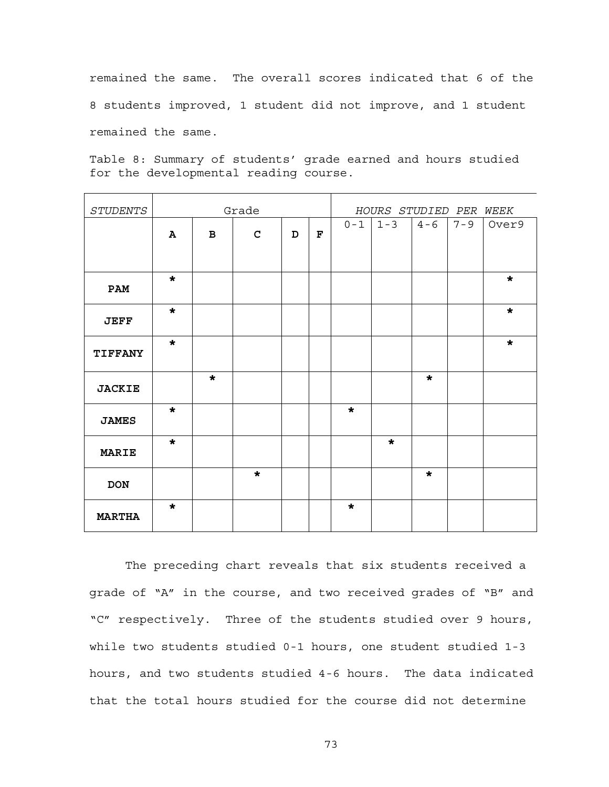remained the same. The overall scores indicated that 6 of the 8 students improved, 1 student did not improve, and 1 student remained the same.

Table 8: Summary of students' grade earned and hours studied for the developmental reading course.

| <b>STUDENTS</b> | Grade   |              |             |   |   | HOURS STUDIED PER WEEK |         |         |         |         |
|-----------------|---------|--------------|-------------|---|---|------------------------|---------|---------|---------|---------|
|                 | Α       | $\mathbf{B}$ | $\mathbf C$ | D | F | $0 - 1$                | $1 - 3$ | $4 - 6$ | $7 - 9$ | Over9   |
| PAM             | $\star$ |              |             |   |   |                        |         |         |         | $\star$ |
| <b>JEFF</b>     | $\star$ |              |             |   |   |                        |         |         |         | $\star$ |
| <b>TIFFANY</b>  | $\star$ |              |             |   |   |                        |         |         |         | $\star$ |
| <b>JACKIE</b>   |         | $\star$      |             |   |   |                        |         | $\star$ |         |         |
| <b>JAMES</b>    | $\star$ |              |             |   |   | $\star$                |         |         |         |         |
| <b>MARIE</b>    | $\star$ |              |             |   |   |                        | $\star$ |         |         |         |
| <b>DON</b>      |         |              | $\star$     |   |   |                        |         | $\star$ |         |         |
| <b>MARTHA</b>   | $\star$ |              |             |   |   | $\star$                |         |         |         |         |

The preceding chart reveals that six students received a grade of "A" in the course, and two received grades of "B" and "C" respectively. Three of the students studied over 9 hours, while two students studied 0-1 hours, one student studied 1-3 hours, and two students studied 4-6 hours. The data indicated that the total hours studied for the course did not determine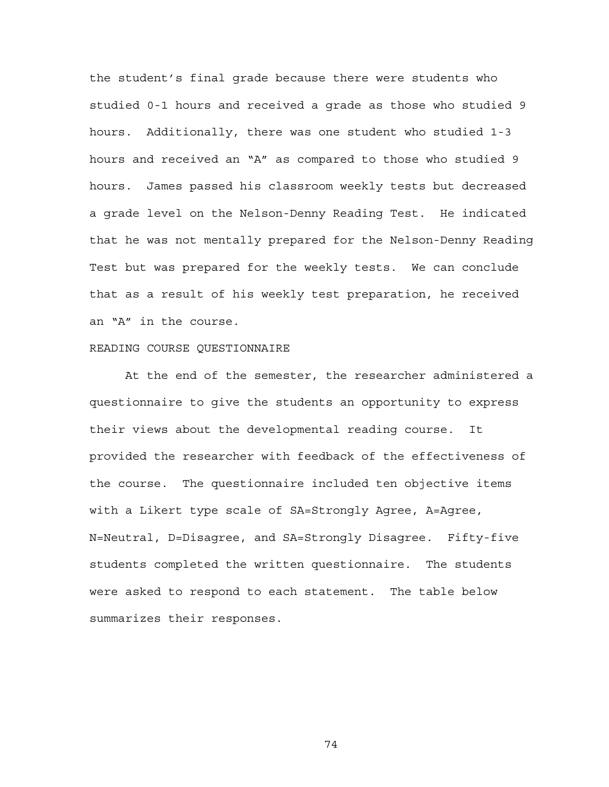the student's final grade because there were students who studied 0-1 hours and received a grade as those who studied 9 hours. Additionally, there was one student who studied 1-3 hours and received an "A" as compared to those who studied 9 hours. James passed his classroom weekly tests but decreased a grade level on the Nelson-Denny Reading Test. He indicated that he was not mentally prepared for the Nelson-Denny Reading Test but was prepared for the weekly tests. We can conclude that as a result of his weekly test preparation, he received an "A" in the course.

### READING COURSE QUESTIONNAIRE

At the end of the semester, the researcher administered a questionnaire to give the students an opportunity to express their views about the developmental reading course. It provided the researcher with feedback of the effectiveness of the course. The questionnaire included ten objective items with a Likert type scale of SA=Strongly Agree, A=Agree, N=Neutral, D=Disagree, and SA=Strongly Disagree. Fifty-five students completed the written questionnaire. The students were asked to respond to each statement. The table below summarizes their responses.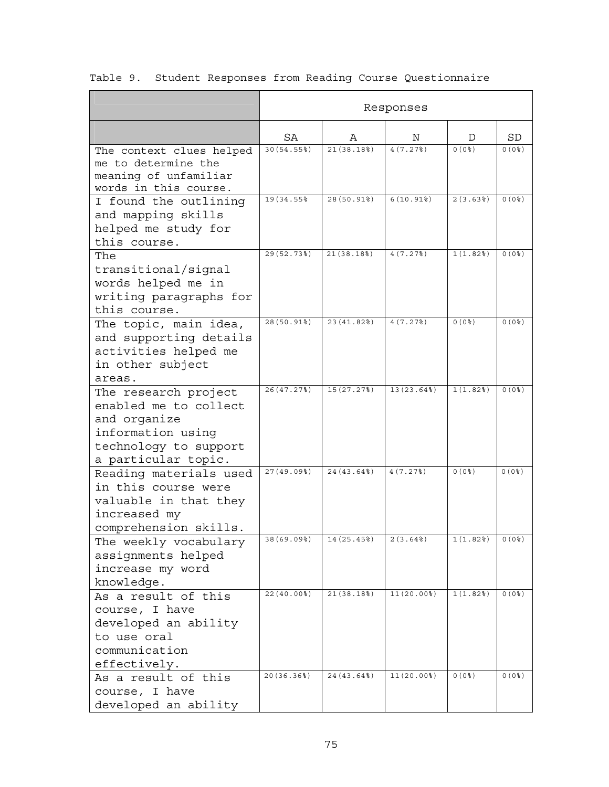|                                                                                                                                    |                   |             | Responses                |                    |               |  |
|------------------------------------------------------------------------------------------------------------------------------------|-------------------|-------------|--------------------------|--------------------|---------------|--|
|                                                                                                                                    | SA<br>Ν<br>Α<br>D |             |                          |                    |               |  |
| The context clues helped<br>me to determine the<br>meaning of unfamiliar<br>words in this course.                                  | 30(54.55%)        | 21(38.18)   | 4(7.27)                  | 0(0 <sup>8</sup> ) | $0(0$ $%$     |  |
| I found the outlining<br>and mapping skills<br>helped me study for<br>this course.                                                 | 19 (34.55%)       | 28 (50.91%) | $6(10.91$ <sup>8</sup> ) | 2(3.63)            | $0(0$ $8)$    |  |
| The<br>transitional/signal<br>words helped me in<br>writing paragraphs for<br>this course.                                         | 29(52.73%)        | 21(38.18)   | 4(7.27)                  | 1(1.82)            | $0(0$ $8)$    |  |
| The topic, main idea,<br>and supporting details<br>activities helped me<br>in other subject<br>areas.                              | 28 (50.91%)       | 23(41.82)   | 4(7.27)                  | $0(0$ $)$          | $0(0$ $)$     |  |
| The research project<br>enabled me to collect<br>and organize<br>information using<br>technology to support<br>a particular topic. | 26(47.27)         | 15(27.27)   | 13(23.64)                | 1(1.82)            | $0(0$ $8)$    |  |
| Reading materials used<br>in this course were<br>valuable in that they<br>increased my<br>comprehension skills.                    | 27(49.09)         | 24(43.64)   | 4(7.27)                  | $0(0$ $)$          | $0(0$ $)$     |  |
| The weekly vocabulary<br>assignments helped<br>increase my word<br>knowledge.                                                      | 38 (69.09%)       | 14 (25.45%) | <b>2 (3.64%)</b>         | 1(1.82)            | <b>0 (03)</b> |  |
| As a result of this<br>course, I have<br>developed an ability<br>to use oral<br>communication<br>effectively.                      | 22(40.00%         | 21(38.18)   | 11(20.00%                | 1(1.82)            | $0(0$ $)$     |  |
| As a result of this<br>course, I have<br>developed an ability                                                                      | 20(36.36%)        | 24 (43.64%) | 11(20.00%                | $0(0$ $8)$         | $0(0$ $%$     |  |

Table 9. Student Responses from Reading Course Questionnaire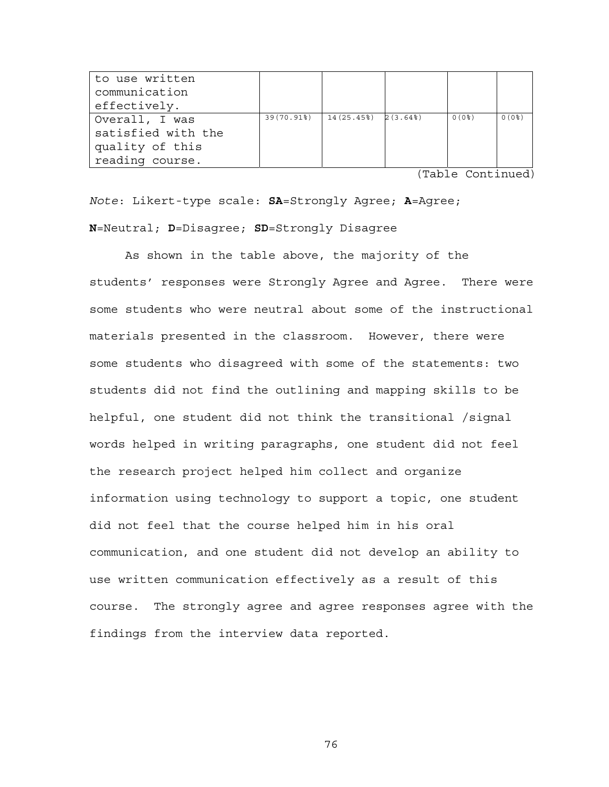| to use written     |            |                         |            |           |
|--------------------|------------|-------------------------|------------|-----------|
| communication      |            |                         |            |           |
| effectively.       |            |                         |            |           |
| Overall, I was     | 39(70.91%) | $14(25.45%)$ $2(3.64%)$ | $0(0$ $8)$ | $0(0$ $)$ |
| satisfied with the |            |                         |            |           |
| quality of this    |            |                         |            |           |
| reading course.    |            |                         |            |           |

(Table Continued)

*Note*: Likert-type scale: **SA**=Strongly Agree; **A**=Agree; **N**=Neutral; **D**=Disagree; **SD**=Strongly Disagree

As shown in the table above, the majority of the students' responses were Strongly Agree and Agree. There were some students who were neutral about some of the instructional materials presented in the classroom. However, there were some students who disagreed with some of the statements: two students did not find the outlining and mapping skills to be helpful, one student did not think the transitional /signal words helped in writing paragraphs, one student did not feel the research project helped him collect and organize information using technology to support a topic, one student did not feel that the course helped him in his oral communication, and one student did not develop an ability to use written communication effectively as a result of this course. The strongly agree and agree responses agree with the findings from the interview data reported.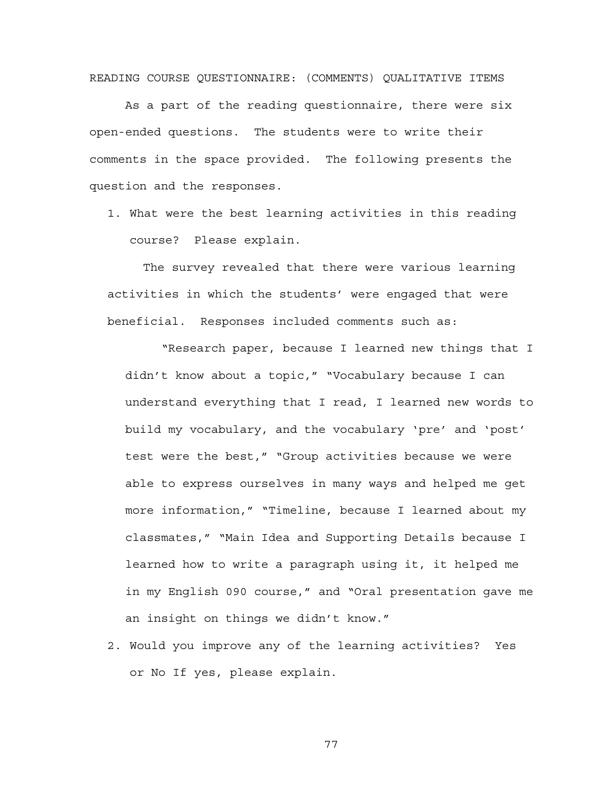READING COURSE QUESTIONNAIRE: (COMMENTS) QUALITATIVE ITEMS

As a part of the reading questionnaire, there were six open-ended questions. The students were to write their comments in the space provided. The following presents the question and the responses.

1. What were the best learning activities in this reading course? Please explain.

The survey revealed that there were various learning activities in which the students' were engaged that were beneficial. Responses included comments such as:

 "Research paper, because I learned new things that I didn't know about a topic," "Vocabulary because I can understand everything that I read, I learned new words to build my vocabulary, and the vocabulary 'pre' and 'post' test were the best," "Group activities because we were able to express ourselves in many ways and helped me get more information," "Timeline, because I learned about my classmates," "Main Idea and Supporting Details because I learned how to write a paragraph using it, it helped me in my English 090 course," and "Oral presentation gave me an insight on things we didn't know."

2. Would you improve any of the learning activities? Yes or No If yes, please explain.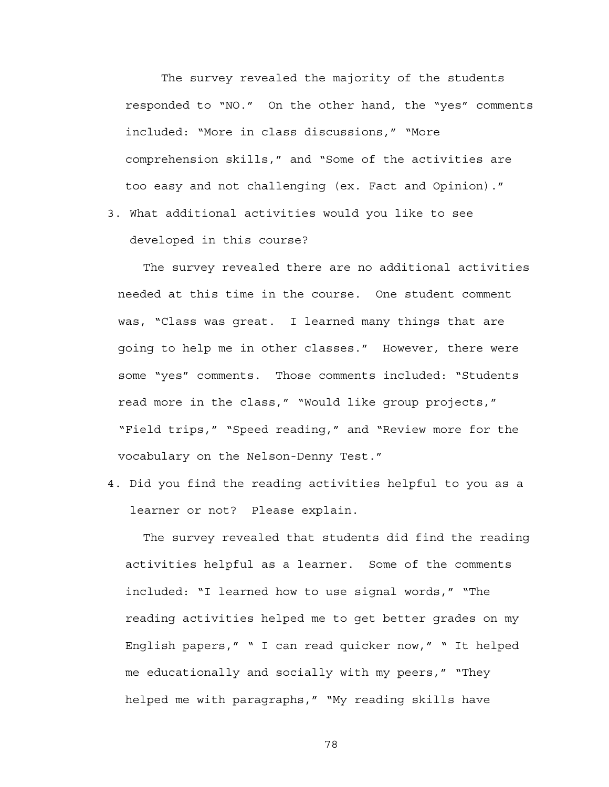The survey revealed the majority of the students responded to "NO." On the other hand, the "yes" comments included: "More in class discussions," "More comprehension skills," and "Some of the activities are too easy and not challenging (ex. Fact and Opinion)."

3. What additional activities would you like to see developed in this course?

The survey revealed there are no additional activities needed at this time in the course. One student comment was, "Class was great. I learned many things that are going to help me in other classes." However, there were some "yes" comments. Those comments included: "Students read more in the class," "Would like group projects," "Field trips," "Speed reading," and "Review more for the vocabulary on the Nelson-Denny Test."

4. Did you find the reading activities helpful to you as a learner or not? Please explain.

The survey revealed that students did find the reading activities helpful as a learner. Some of the comments included: "I learned how to use signal words," "The reading activities helped me to get better grades on my English papers," " I can read quicker now," " It helped me educationally and socially with my peers," "They helped me with paragraphs," "My reading skills have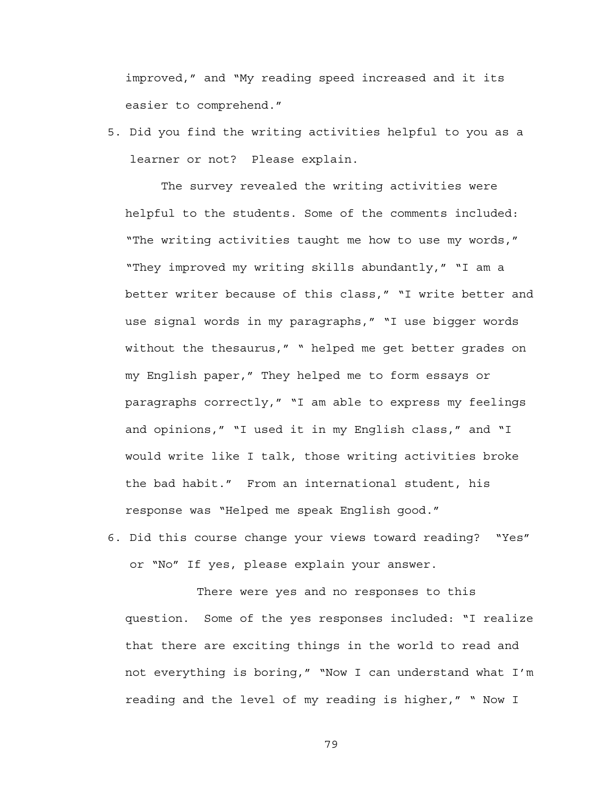improved," and "My reading speed increased and it its easier to comprehend."

5. Did you find the writing activities helpful to you as a learner or not? Please explain.

 The survey revealed the writing activities were helpful to the students. Some of the comments included: "The writing activities taught me how to use my words," "They improved my writing skills abundantly," "I am a better writer because of this class," "I write better and use signal words in my paragraphs," "I use bigger words without the thesaurus," " helped me get better grades on my English paper," They helped me to form essays or paragraphs correctly," "I am able to express my feelings and opinions," "I used it in my English class," and "I would write like I talk, those writing activities broke the bad habit." From an international student, his response was "Helped me speak English good."

6. Did this course change your views toward reading? "Yes" or "No" If yes, please explain your answer.

 There were yes and no responses to this question. Some of the yes responses included: "I realize that there are exciting things in the world to read and not everything is boring," "Now I can understand what I'm reading and the level of my reading is higher," " Now I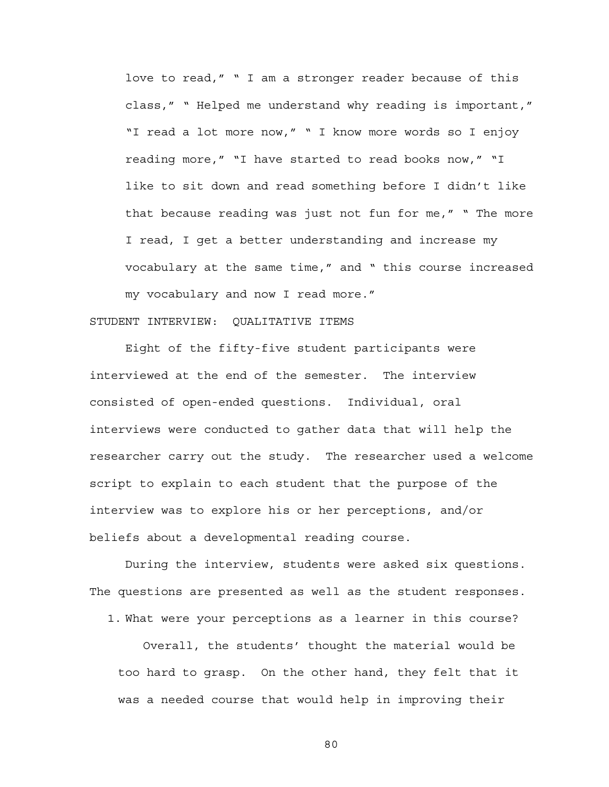love to read," " I am a stronger reader because of this class," " Helped me understand why reading is important," "I read a lot more now," " I know more words so I enjoy reading more," "I have started to read books now," "I like to sit down and read something before I didn't like that because reading was just not fun for me," " The more I read, I get a better understanding and increase my vocabulary at the same time," and " this course increased my vocabulary and now I read more."

#### STUDENT INTERVIEW: QUALITATIVE ITEMS

 Eight of the fifty-five student participants were interviewed at the end of the semester. The interview consisted of open-ended questions. Individual, oral interviews were conducted to gather data that will help the researcher carry out the study. The researcher used a welcome script to explain to each student that the purpose of the interview was to explore his or her perceptions, and/or beliefs about a developmental reading course.

During the interview, students were asked six questions. The questions are presented as well as the student responses.

1. What were your perceptions as a learner in this course?

Overall, the students' thought the material would be too hard to grasp. On the other hand, they felt that it was a needed course that would help in improving their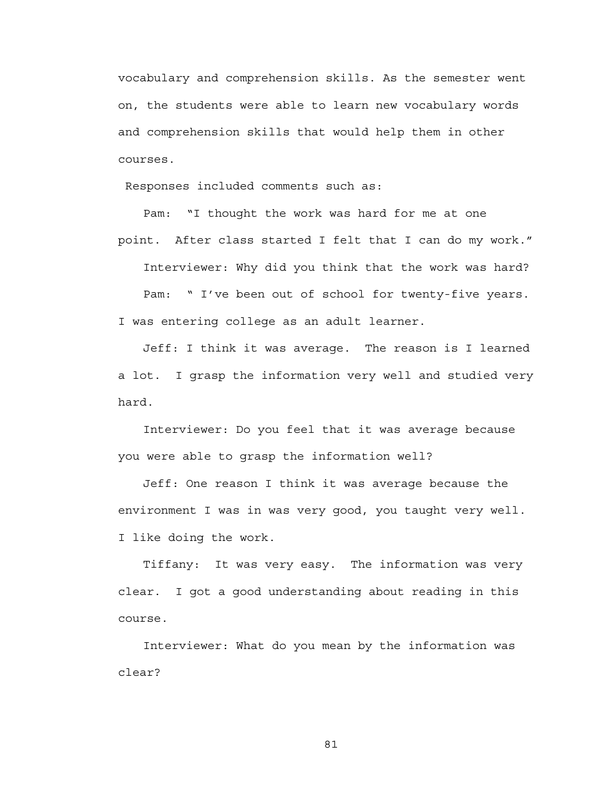vocabulary and comprehension skills. As the semester went on, the students were able to learn new vocabulary words and comprehension skills that would help them in other courses.

Responses included comments such as:

Pam: "I thought the work was hard for me at one point. After class started I felt that I can do my work."

Interviewer: Why did you think that the work was hard?

Pam: " I've been out of school for twenty-five years. I was entering college as an adult learner.

Jeff: I think it was average. The reason is I learned a lot. I grasp the information very well and studied very hard.

Interviewer: Do you feel that it was average because you were able to grasp the information well?

Jeff: One reason I think it was average because the environment I was in was very good, you taught very well. I like doing the work.

Tiffany: It was very easy. The information was very clear. I got a good understanding about reading in this course.

Interviewer: What do you mean by the information was clear?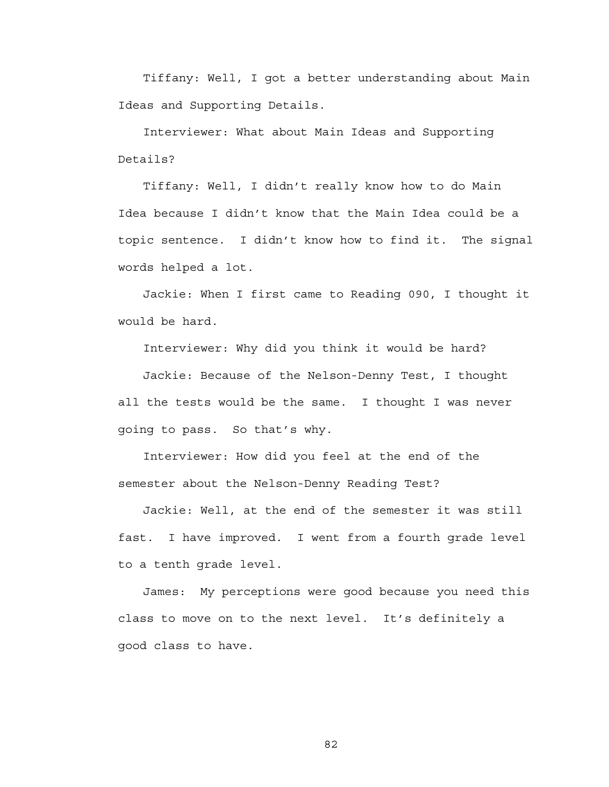Tiffany: Well, I got a better understanding about Main Ideas and Supporting Details.

Interviewer: What about Main Ideas and Supporting Details?

Tiffany: Well, I didn't really know how to do Main Idea because I didn't know that the Main Idea could be a topic sentence. I didn't know how to find it. The signal words helped a lot.

Jackie: When I first came to Reading 090, I thought it would be hard.

Interviewer: Why did you think it would be hard?

Jackie: Because of the Nelson-Denny Test, I thought all the tests would be the same. I thought I was never going to pass. So that's why.

Interviewer: How did you feel at the end of the semester about the Nelson-Denny Reading Test?

Jackie: Well, at the end of the semester it was still fast. I have improved. I went from a fourth grade level to a tenth grade level.

James: My perceptions were good because you need this class to move on to the next level. It's definitely a good class to have.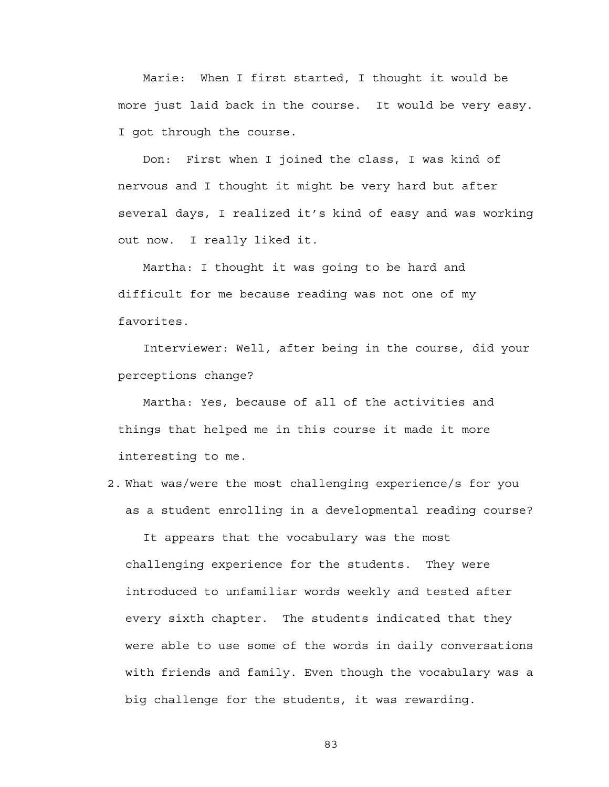Marie: When I first started, I thought it would be more just laid back in the course. It would be very easy. I got through the course.

Don: First when I joined the class, I was kind of nervous and I thought it might be very hard but after several days, I realized it's kind of easy and was working out now. I really liked it.

Martha: I thought it was going to be hard and difficult for me because reading was not one of my favorites.

Interviewer: Well, after being in the course, did your perceptions change?

Martha: Yes, because of all of the activities and things that helped me in this course it made it more interesting to me.

2. What was/were the most challenging experience/s for you as a student enrolling in a developmental reading course?

It appears that the vocabulary was the most challenging experience for the students. They were introduced to unfamiliar words weekly and tested after every sixth chapter. The students indicated that they were able to use some of the words in daily conversations with friends and family. Even though the vocabulary was a big challenge for the students, it was rewarding.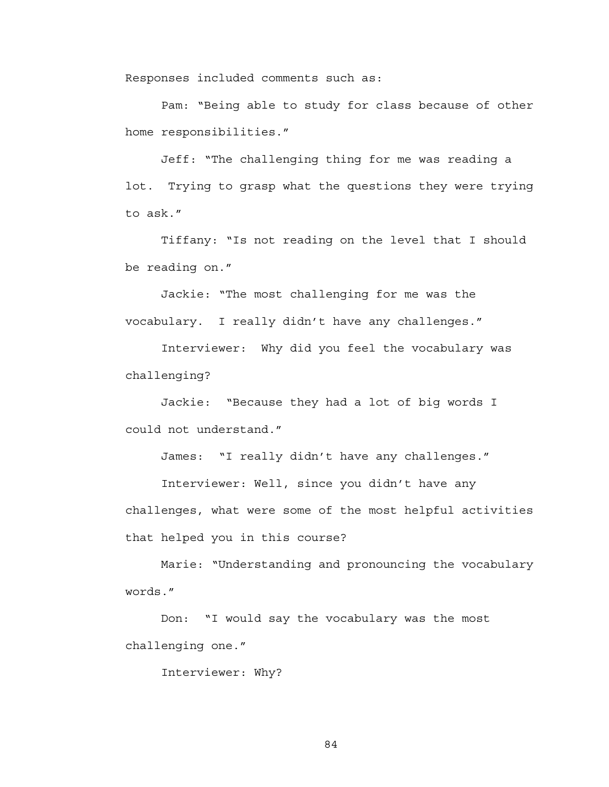Responses included comments such as:

 Pam: "Being able to study for class because of other home responsibilities."

 Jeff: "The challenging thing for me was reading a lot. Trying to grasp what the questions they were trying to ask."

 Tiffany: "Is not reading on the level that I should be reading on."

 Jackie: "The most challenging for me was the vocabulary. I really didn't have any challenges."

 Interviewer: Why did you feel the vocabulary was challenging?

 Jackie: "Because they had a lot of big words I could not understand."

James: "I really didn't have any challenges."

 Interviewer: Well, since you didn't have any challenges, what were some of the most helpful activities that helped you in this course?

 Marie: "Understanding and pronouncing the vocabulary words."

 Don: "I would say the vocabulary was the most challenging one."

Interviewer: Why?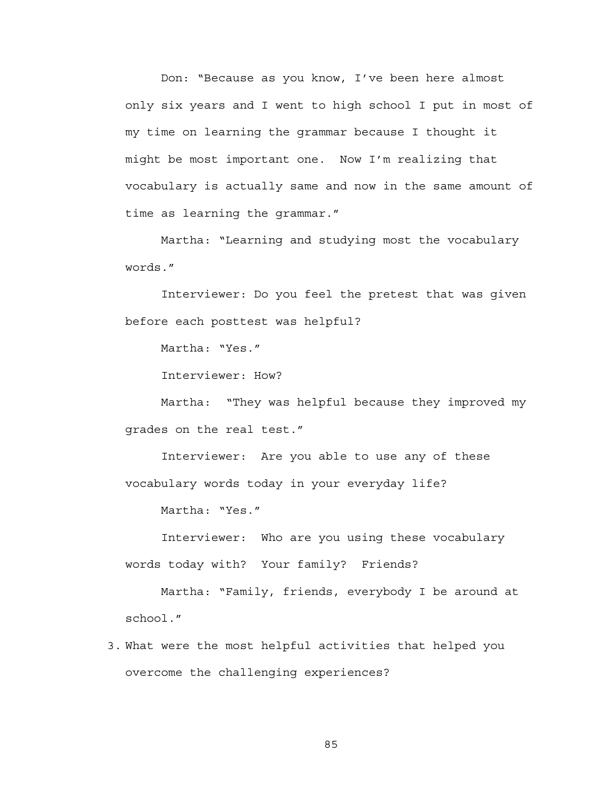Don: "Because as you know, I've been here almost only six years and I went to high school I put in most of my time on learning the grammar because I thought it might be most important one. Now I'm realizing that vocabulary is actually same and now in the same amount of time as learning the grammar."

 Martha: "Learning and studying most the vocabulary words."

 Interviewer: Do you feel the pretest that was given before each posttest was helpful?

Martha: "Yes."

Interviewer: How?

 Martha: "They was helpful because they improved my grades on the real test."

 Interviewer: Are you able to use any of these vocabulary words today in your everyday life?

Martha: "Yes."

 Interviewer: Who are you using these vocabulary words today with? Your family? Friends?

 Martha: "Family, friends, everybody I be around at school."

3. What were the most helpful activities that helped you overcome the challenging experiences?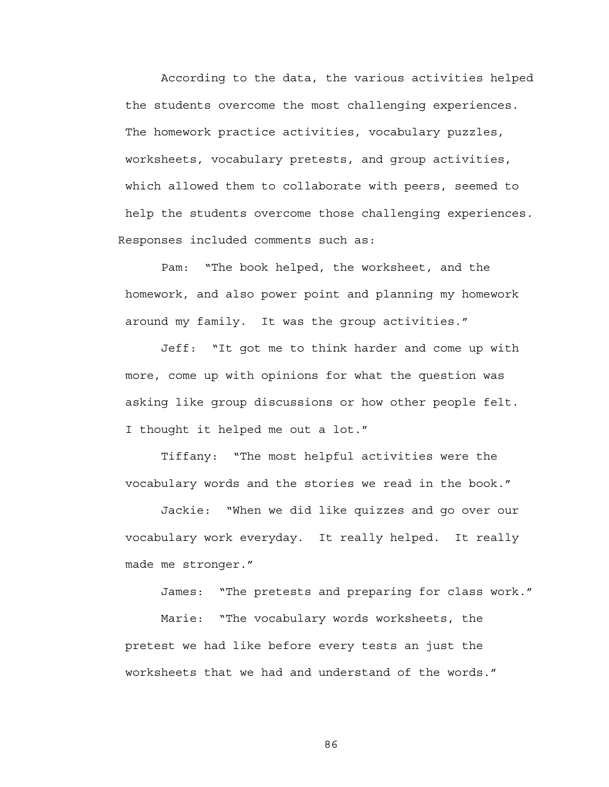According to the data, the various activities helped the students overcome the most challenging experiences. The homework practice activities, vocabulary puzzles, worksheets, vocabulary pretests, and group activities, which allowed them to collaborate with peers, seemed to help the students overcome those challenging experiences. Responses included comments such as:

 Pam: "The book helped, the worksheet, and the homework, and also power point and planning my homework around my family. It was the group activities."

 Jeff: "It got me to think harder and come up with more, come up with opinions for what the question was asking like group discussions or how other people felt. I thought it helped me out a lot."

 Tiffany: "The most helpful activities were the vocabulary words and the stories we read in the book."

 Jackie: "When we did like quizzes and go over our vocabulary work everyday. It really helped. It really made me stronger."

James: "The pretests and preparing for class work."

 Marie: "The vocabulary words worksheets, the pretest we had like before every tests an just the worksheets that we had and understand of the words."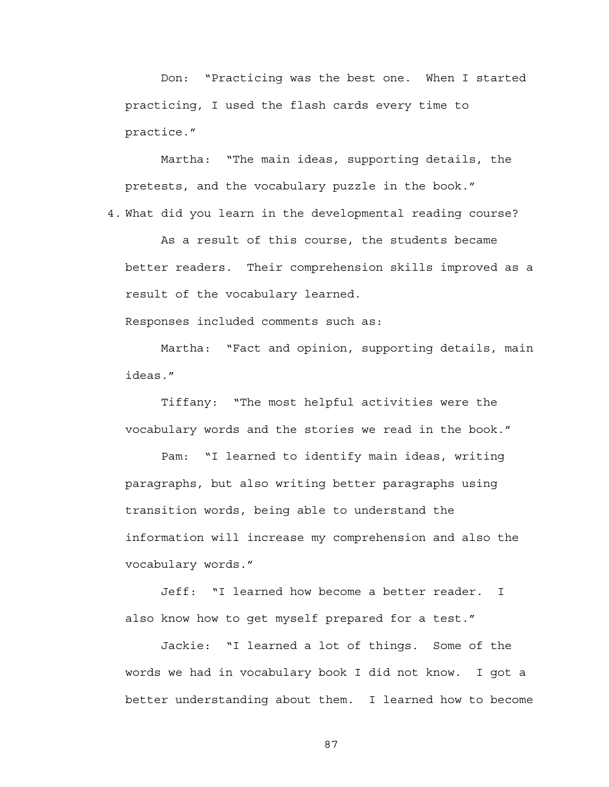Don: "Practicing was the best one. When I started practicing, I used the flash cards every time to practice."

 Martha: "The main ideas, supporting details, the pretests, and the vocabulary puzzle in the book." 4. What did you learn in the developmental reading course?

As a result of this course, the students became better readers. Their comprehension skills improved as a result of the vocabulary learned.

Responses included comments such as:

 Martha: "Fact and opinion, supporting details, main ideas."

 Tiffany: "The most helpful activities were the vocabulary words and the stories we read in the book."

 Pam: "I learned to identify main ideas, writing paragraphs, but also writing better paragraphs using transition words, being able to understand the information will increase my comprehension and also the vocabulary words."

 Jeff: "I learned how become a better reader. I also know how to get myself prepared for a test."

 Jackie: "I learned a lot of things. Some of the words we had in vocabulary book I did not know. I got a better understanding about them. I learned how to become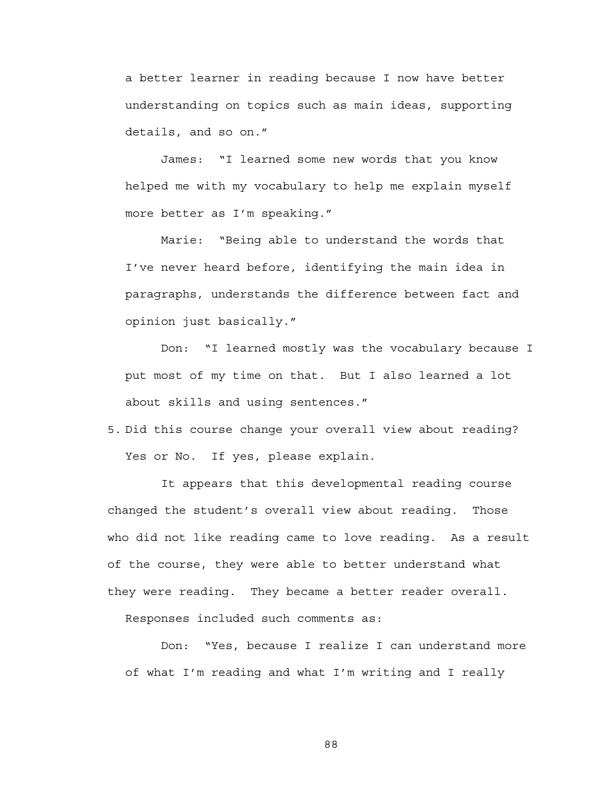a better learner in reading because I now have better understanding on topics such as main ideas, supporting details, and so on."

 James: "I learned some new words that you know helped me with my vocabulary to help me explain myself more better as I'm speaking."

 Marie: "Being able to understand the words that I've never heard before, identifying the main idea in paragraphs, understands the difference between fact and opinion just basically."

 Don: "I learned mostly was the vocabulary because I put most of my time on that. But I also learned a lot about skills and using sentences."

5. Did this course change your overall view about reading? Yes or No. If yes, please explain.

It appears that this developmental reading course changed the student's overall view about reading. Those who did not like reading came to love reading. As a result of the course, they were able to better understand what they were reading. They became a better reader overall.

Responses included such comments as:

 Don: "Yes, because I realize I can understand more of what I'm reading and what I'm writing and I really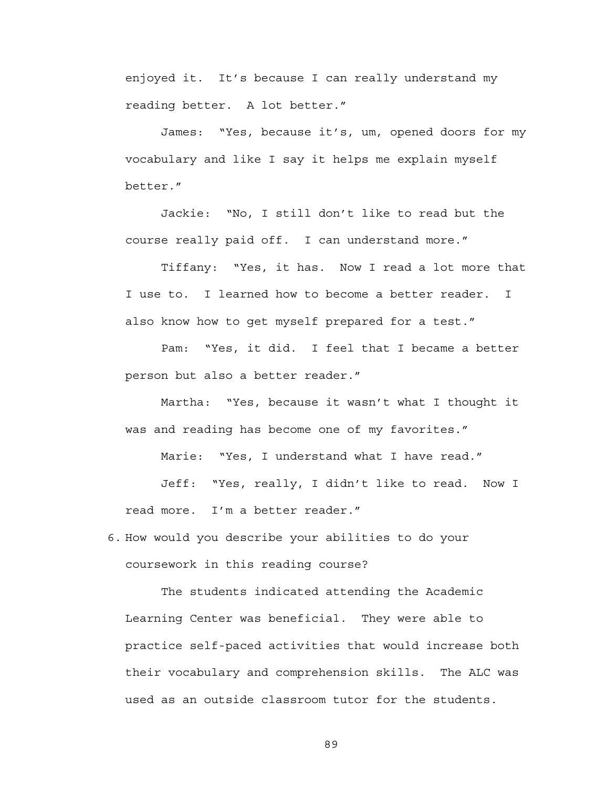enjoyed it. It's because I can really understand my reading better. A lot better."

 James: "Yes, because it's, um, opened doors for my vocabulary and like I say it helps me explain myself better."

 Jackie: "No, I still don't like to read but the course really paid off. I can understand more."

 Tiffany: "Yes, it has. Now I read a lot more that I use to. I learned how to become a better reader. I also know how to get myself prepared for a test."

 Pam: "Yes, it did. I feel that I became a better person but also a better reader."

 Martha: "Yes, because it wasn't what I thought it was and reading has become one of my favorites."

Marie: "Yes, I understand what I have read."

 Jeff: "Yes, really, I didn't like to read. Now I read more. I'm a better reader."

6. How would you describe your abilities to do your coursework in this reading course?

The students indicated attending the Academic Learning Center was beneficial. They were able to practice self-paced activities that would increase both their vocabulary and comprehension skills. The ALC was used as an outside classroom tutor for the students.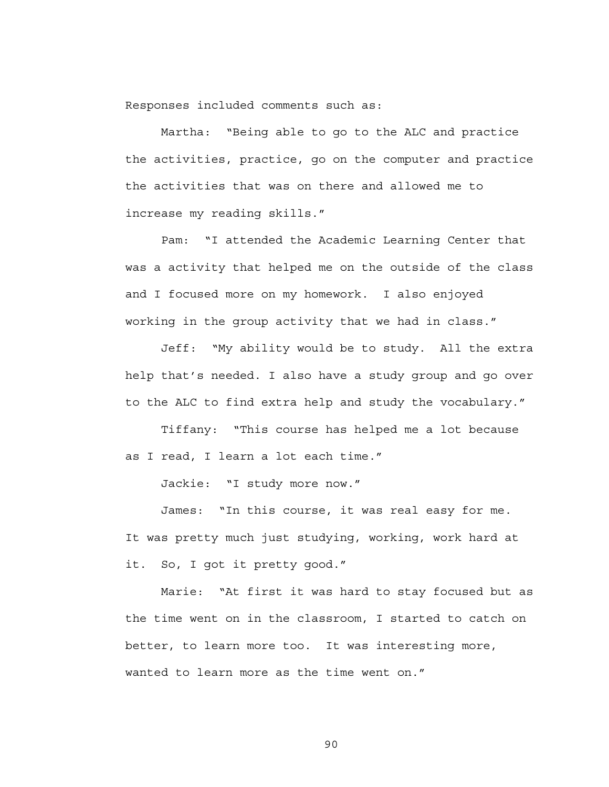Responses included comments such as:

 Martha: "Being able to go to the ALC and practice the activities, practice, go on the computer and practice the activities that was on there and allowed me to increase my reading skills."

 Pam: "I attended the Academic Learning Center that was a activity that helped me on the outside of the class and I focused more on my homework. I also enjoyed working in the group activity that we had in class."

 Jeff: "My ability would be to study. All the extra help that's needed. I also have a study group and go over to the ALC to find extra help and study the vocabulary."

 Tiffany: "This course has helped me a lot because as I read, I learn a lot each time."

Jackie: "I study more now."

 James: "In this course, it was real easy for me. It was pretty much just studying, working, work hard at it. So, I got it pretty good."

 Marie: "At first it was hard to stay focused but as the time went on in the classroom, I started to catch on better, to learn more too. It was interesting more, wanted to learn more as the time went on."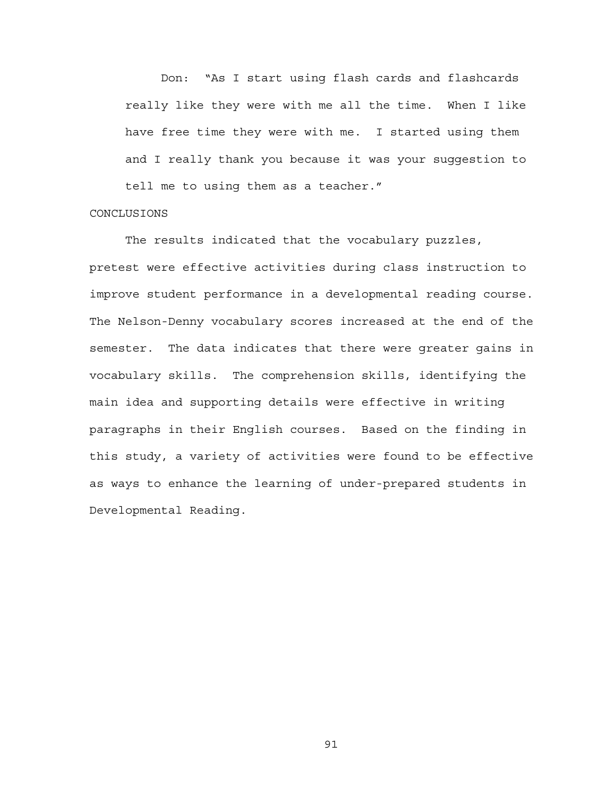Don: "As I start using flash cards and flashcards really like they were with me all the time. When I like have free time they were with me. I started using them and I really thank you because it was your suggestion to tell me to using them as a teacher."

### **CONCLUSIONS**

 The results indicated that the vocabulary puzzles, pretest were effective activities during class instruction to improve student performance in a developmental reading course. The Nelson-Denny vocabulary scores increased at the end of the semester. The data indicates that there were greater gains in vocabulary skills. The comprehension skills, identifying the main idea and supporting details were effective in writing paragraphs in their English courses. Based on the finding in this study, a variety of activities were found to be effective as ways to enhance the learning of under-prepared students in Developmental Reading.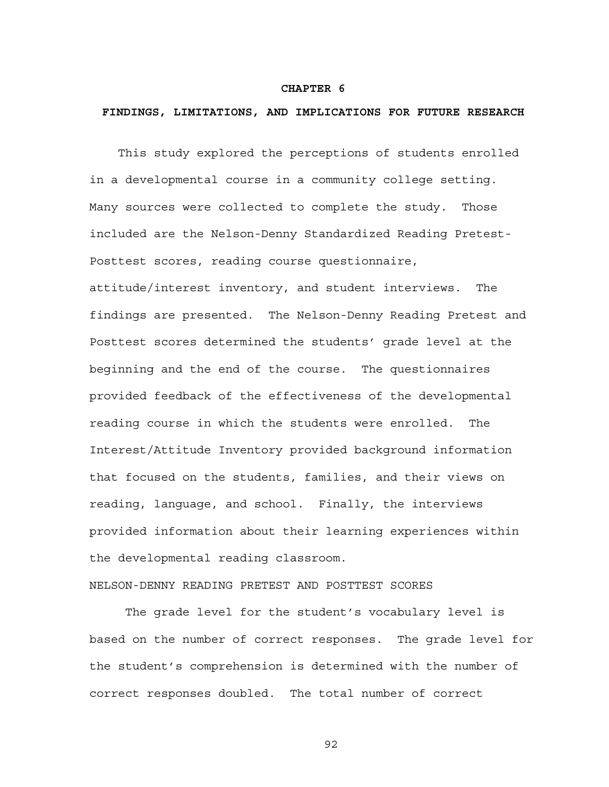### **CHAPTER 6**

## **FINDINGS, LIMITATIONS, AND IMPLICATIONS FOR FUTURE RESEARCH**

 This study explored the perceptions of students enrolled in a developmental course in a community college setting. Many sources were collected to complete the study. Those included are the Nelson-Denny Standardized Reading Pretest-Posttest scores, reading course questionnaire, attitude/interest inventory, and student interviews. The findings are presented. The Nelson-Denny Reading Pretest and Posttest scores determined the students' grade level at the beginning and the end of the course. The questionnaires provided feedback of the effectiveness of the developmental reading course in which the students were enrolled. The Interest/Attitude Inventory provided background information that focused on the students, families, and their views on reading, language, and school. Finally, the interviews provided information about their learning experiences within the developmental reading classroom.

# NELSON-DENNY READING PRETEST AND POSTTEST SCORES

The grade level for the student's vocabulary level is based on the number of correct responses. The grade level for the student's comprehension is determined with the number of correct responses doubled. The total number of correct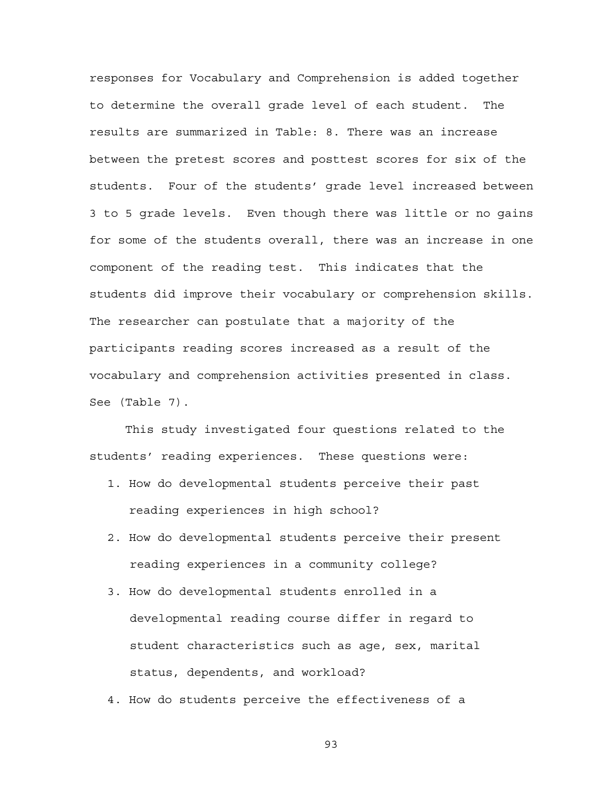responses for Vocabulary and Comprehension is added together to determine the overall grade level of each student. The results are summarized in Table: 8. There was an increase between the pretest scores and posttest scores for six of the students. Four of the students' grade level increased between 3 to 5 grade levels. Even though there was little or no gains for some of the students overall, there was an increase in one component of the reading test. This indicates that the students did improve their vocabulary or comprehension skills. The researcher can postulate that a majority of the participants reading scores increased as a result of the vocabulary and comprehension activities presented in class. See (Table 7).

This study investigated four questions related to the students' reading experiences. These questions were:

- 1. How do developmental students perceive their past reading experiences in high school?
- 2. How do developmental students perceive their present reading experiences in a community college?
- 3. How do developmental students enrolled in a developmental reading course differ in regard to student characteristics such as age, sex, marital status, dependents, and workload?
- 4. How do students perceive the effectiveness of a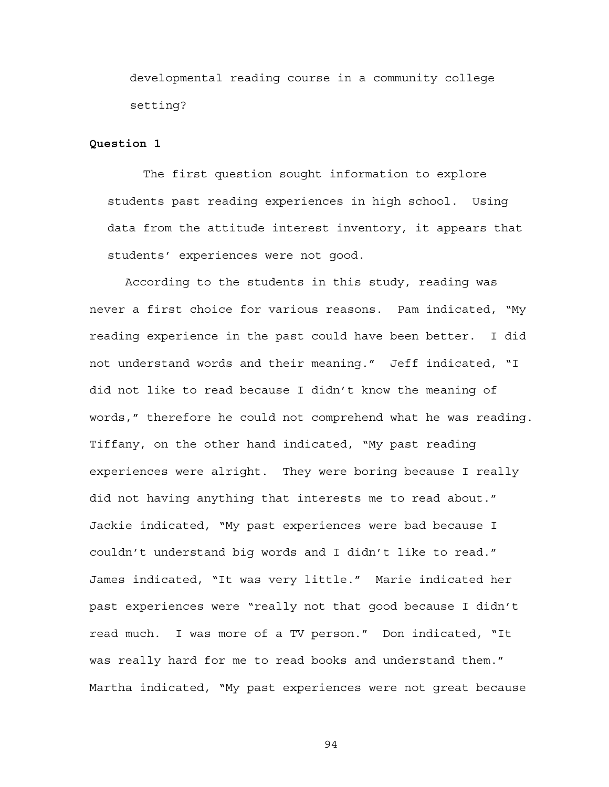developmental reading course in a community college setting?

## **Question 1**

The first question sought information to explore students past reading experiences in high school. Using data from the attitude interest inventory, it appears that students' experiences were not good.

According to the students in this study, reading was never a first choice for various reasons. Pam indicated, "My reading experience in the past could have been better. I did not understand words and their meaning." Jeff indicated, "I did not like to read because I didn't know the meaning of words," therefore he could not comprehend what he was reading. Tiffany, on the other hand indicated, "My past reading experiences were alright. They were boring because I really did not having anything that interests me to read about." Jackie indicated, "My past experiences were bad because I couldn't understand big words and I didn't like to read." James indicated, "It was very little." Marie indicated her past experiences were "really not that good because I didn't read much. I was more of a TV person." Don indicated, "It was really hard for me to read books and understand them." Martha indicated, "My past experiences were not great because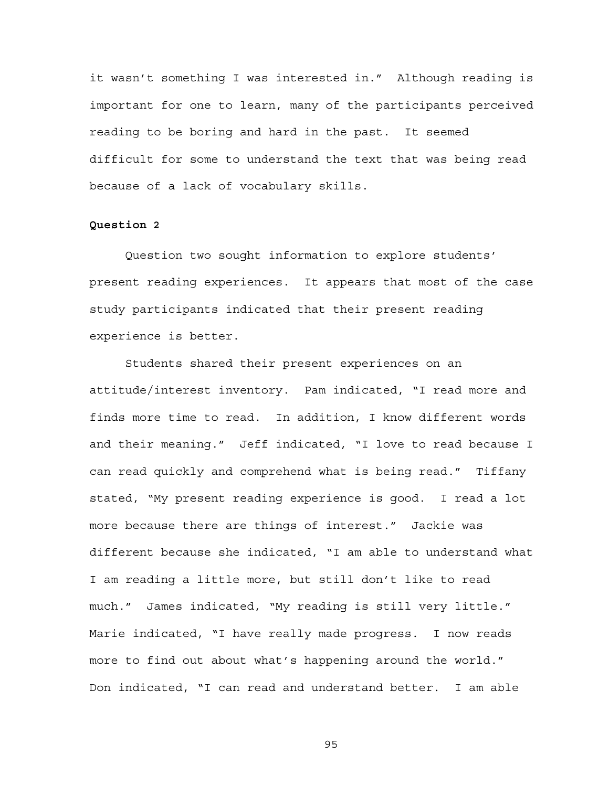it wasn't something I was interested in." Although reading is important for one to learn, many of the participants perceived reading to be boring and hard in the past. It seemed difficult for some to understand the text that was being read because of a lack of vocabulary skills.

# **Question 2**

Question two sought information to explore students' present reading experiences. It appears that most of the case study participants indicated that their present reading experience is better.

Students shared their present experiences on an attitude/interest inventory. Pam indicated, "I read more and finds more time to read. In addition, I know different words and their meaning." Jeff indicated, "I love to read because I can read quickly and comprehend what is being read." Tiffany stated, "My present reading experience is good. I read a lot more because there are things of interest." Jackie was different because she indicated, "I am able to understand what I am reading a little more, but still don't like to read much." James indicated, "My reading is still very little." Marie indicated, "I have really made progress. I now reads more to find out about what's happening around the world." Don indicated, "I can read and understand better. I am able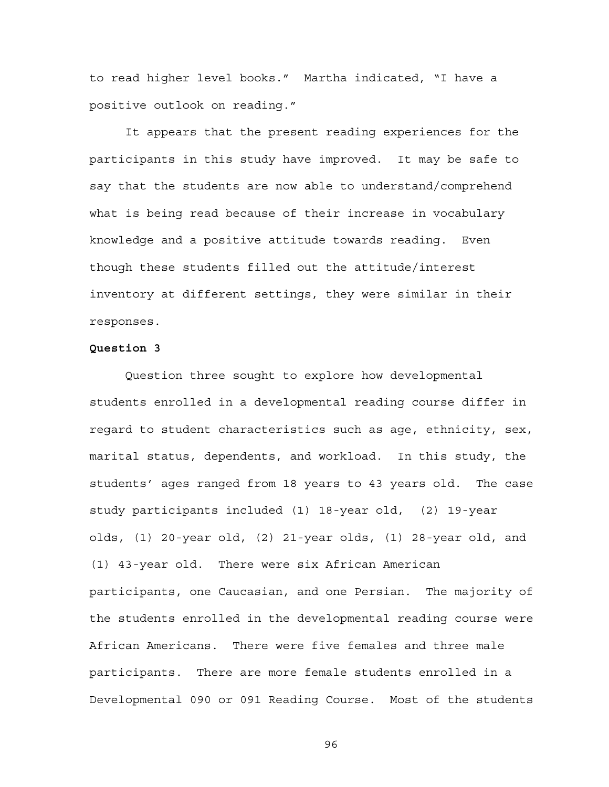to read higher level books." Martha indicated, "I have a positive outlook on reading."

It appears that the present reading experiences for the participants in this study have improved. It may be safe to say that the students are now able to understand/comprehend what is being read because of their increase in vocabulary knowledge and a positive attitude towards reading. Even though these students filled out the attitude/interest inventory at different settings, they were similar in their responses.

### **Question 3**

Question three sought to explore how developmental students enrolled in a developmental reading course differ in regard to student characteristics such as age, ethnicity, sex, marital status, dependents, and workload. In this study, the students' ages ranged from 18 years to 43 years old. The case study participants included (1) 18-year old, (2) 19-year olds, (1) 20-year old, (2) 21-year olds, (1) 28-year old, and (1) 43-year old. There were six African American participants, one Caucasian, and one Persian. The majority of the students enrolled in the developmental reading course were African Americans. There were five females and three male participants. There are more female students enrolled in a Developmental 090 or 091 Reading Course. Most of the students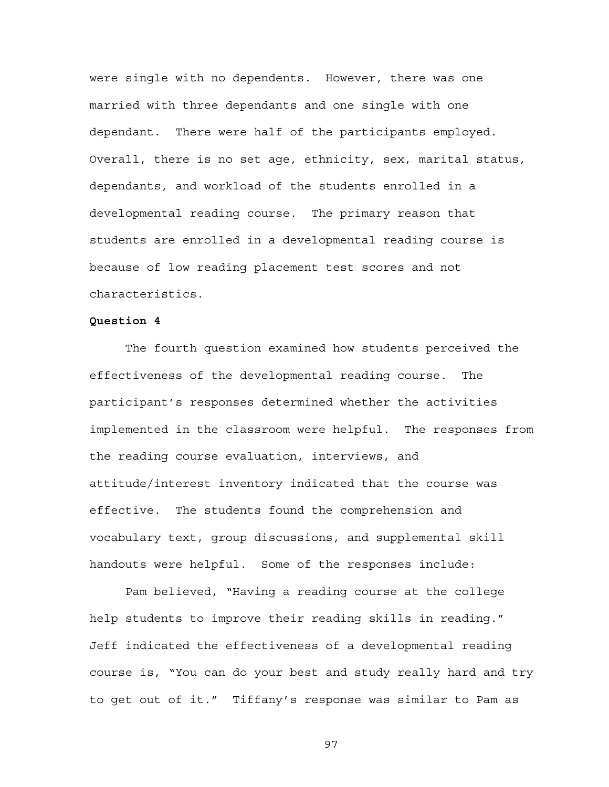were single with no dependents. However, there was one married with three dependants and one single with one dependant. There were half of the participants employed. Overall, there is no set age, ethnicity, sex, marital status, dependants, and workload of the students enrolled in a developmental reading course. The primary reason that students are enrolled in a developmental reading course is because of low reading placement test scores and not characteristics.

## **Question 4**

The fourth question examined how students perceived the effectiveness of the developmental reading course. The participant's responses determined whether the activities implemented in the classroom were helpful. The responses from the reading course evaluation, interviews, and attitude/interest inventory indicated that the course was effective. The students found the comprehension and vocabulary text, group discussions, and supplemental skill handouts were helpful. Some of the responses include:

Pam believed, "Having a reading course at the college help students to improve their reading skills in reading." Jeff indicated the effectiveness of a developmental reading course is, "You can do your best and study really hard and try to get out of it." Tiffany's response was similar to Pam as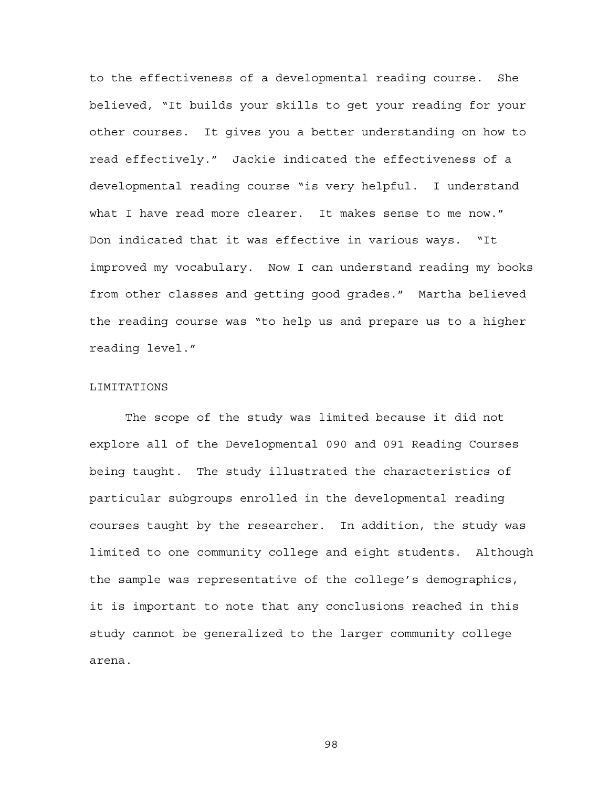to the effectiveness of a developmental reading course. She believed, "It builds your skills to get your reading for your other courses. It gives you a better understanding on how to read effectively." Jackie indicated the effectiveness of a developmental reading course "is very helpful. I understand what I have read more clearer. It makes sense to me now." Don indicated that it was effective in various ways. "It improved my vocabulary. Now I can understand reading my books from other classes and getting good grades." Martha believed the reading course was "to help us and prepare us to a higher reading level."

### LIMITATIONS

The scope of the study was limited because it did not explore all of the Developmental 090 and 091 Reading Courses being taught. The study illustrated the characteristics of particular subgroups enrolled in the developmental reading courses taught by the researcher. In addition, the study was limited to one community college and eight students. Although the sample was representative of the college's demographics, it is important to note that any conclusions reached in this study cannot be generalized to the larger community college arena.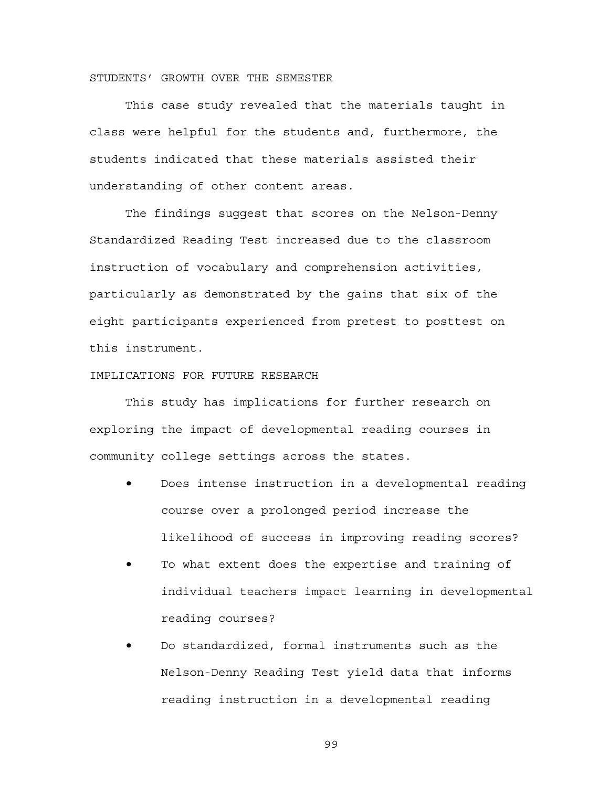# STUDENTS' GROWTH OVER THE SEMESTER

This case study revealed that the materials taught in class were helpful for the students and, furthermore, the students indicated that these materials assisted their understanding of other content areas.

The findings suggest that scores on the Nelson-Denny Standardized Reading Test increased due to the classroom instruction of vocabulary and comprehension activities, particularly as demonstrated by the gains that six of the eight participants experienced from pretest to posttest on this instrument.

# IMPLICATIONS FOR FUTURE RESEARCH

This study has implications for further research on exploring the impact of developmental reading courses in community college settings across the states.

- Does intense instruction in a developmental reading course over a prolonged period increase the likelihood of success in improving reading scores?
- To what extent does the expertise and training of individual teachers impact learning in developmental reading courses?
- Do standardized, formal instruments such as the Nelson-Denny Reading Test yield data that informs reading instruction in a developmental reading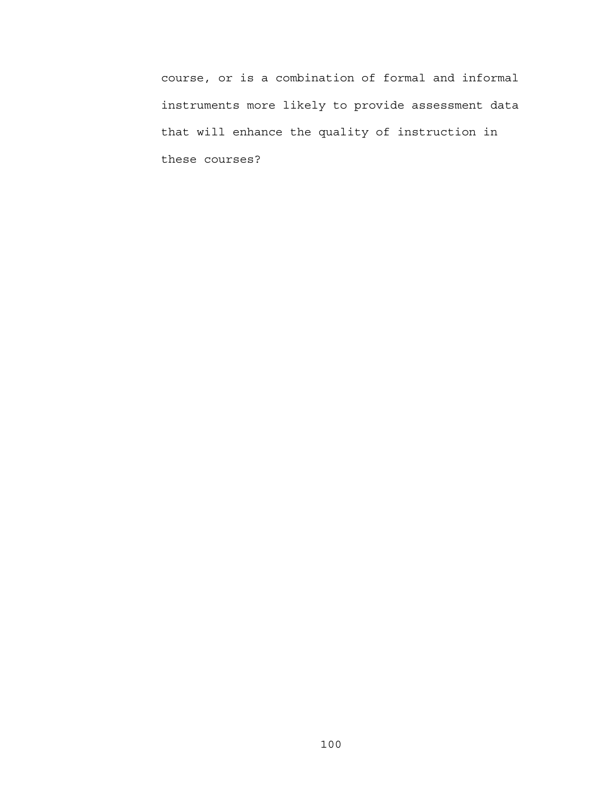course, or is a combination of formal and informal instruments more likely to provide assessment data that will enhance the quality of instruction in these courses?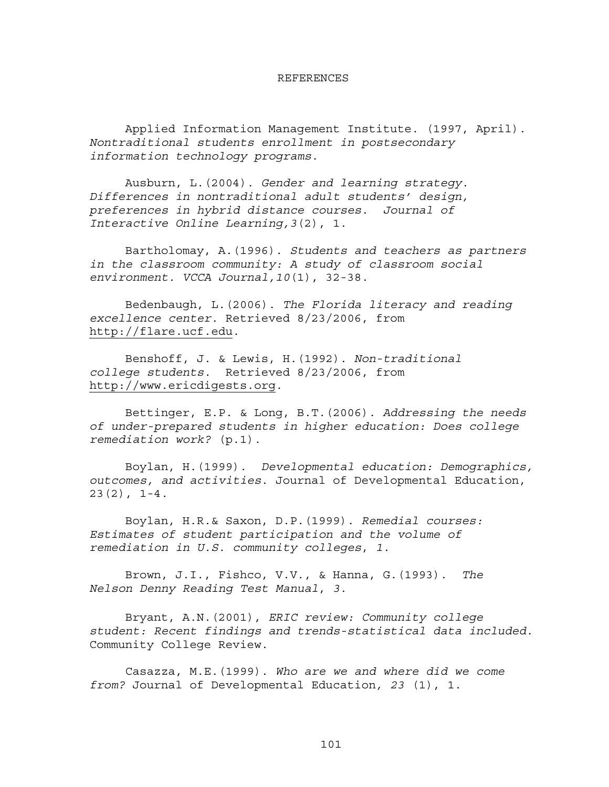#### REFERENCES

Applied Information Management Institute. (1997, April). *Nontraditional students enrollment in postsecondary information technology programs.* 

Ausburn, L.(2004). *Gender and learning strategy*. *Differences in nontraditional adult students' design, preferences in hybrid distance courses*. *Journal of Interactive Online Learning,3*(2), 1.

Bartholomay, A.(1996). *Students and teachers as partners in the classroom community: A study of classroom social environment. VCCA Journal,10*(1), 32-38.

Bedenbaugh, L.(2006). *The Florida literacy and reading excellence center*. Retrieved 8/23/2006, from [http://flare.ucf.edu](http://flare.ucf.edu/).

Benshoff, J. & Lewis, H.(1992). *Non-traditional college students.* Retrieved 8/23/2006, from [http://www.ericdigests.org](http://www.ericdigests.org/).

Bettinger, E.P. & Long, B.T.(2006). *Addressing the needs of under-prepared students in higher education: Does college remediation work?* (p.1).

Boylan, H.(1999). *Developmental education: Demographics, outcomes, and activities*. Journal of Developmental Education, 23(2), 1-4.

Boylan, H.R.& Saxon, D.P.(1999). *Remedial courses: Estimates of student participation and the volume of remediation in U.S. community colleges*, *1*.

Brown, J.I., Fishco, V.V., & Hanna, G.(1993). *The Nelson Denny Reading Test Manual*, *3*.

Bryant, A.N.(2001), *ERIC review: Community college student: Recent findings and trends-statistical data included*. Community College Review.

Casazza, M.E.(1999). *Who are we and where did we come from?* Journal of Developmental Education*, 23* (1), 1.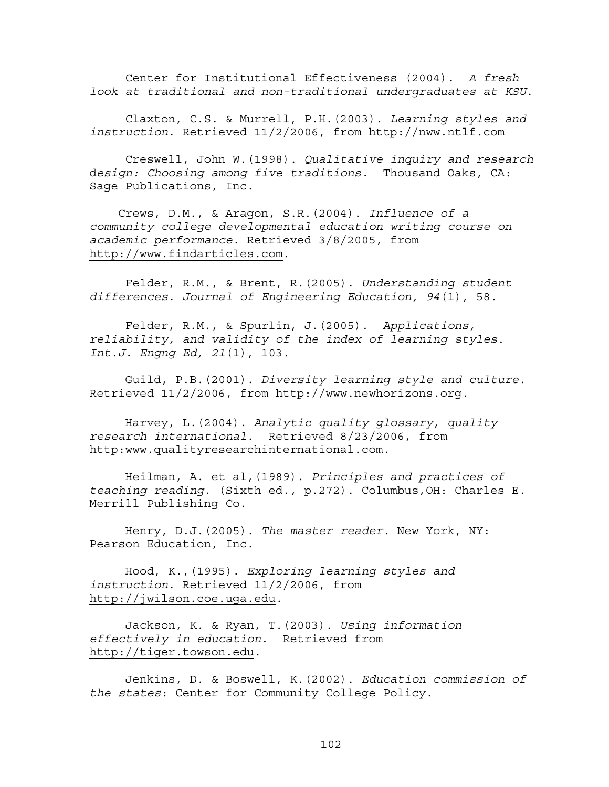Center for Institutional Effectiveness (2004). *A fresh look at traditional and non-traditional undergraduates at KSU*.

Claxton, C.S. & Murrell, P.H.(2003). *Learning styles and instruction*. Retrieved 11/2/2006, from [http://nww.ntlf.com](http://nww.ntlf.com/)

Creswell, John W.(1998). *Qualitative inquiry and research* d*esign: Choosing among five traditions.* Thousand Oaks, CA: Sage Publications, Inc.

 Crews, D.M., & Aragon, S.R.(2004). *Influence of a community college developmental education writing course on academic performance.* Retrieved 3/8/2005, from [http://www.findarticles.com](http://www.findarticles.com/).

Felder, R.M., & Brent, R.(2005). *Understanding student differences*. *Journal of Engineering Education, 94*(1), 58.

Felder, R.M., & Spurlin, J.(2005). *Applications, reliability, and validity of the index of learning styles*. *Int.J. Engng Ed, 21*(1), 103.

Guild, P.B.(2001). *Diversity learning style and culture*. Retrieved 11/2/2006, from [http://www.newhorizons.org](http://www/).

Harvey, L.(2004). *Analytic quality glossary, quality research international*. Retrieved 8/23/2006, from <http:www.qualityresearchinternational.com>.

Heilman, A. et al,(1989). *Principles and practices of teaching reading.* (Sixth ed., p.272). Columbus,OH: Charles E. Merrill Publishing Co.

Henry, D.J.(2005). *The master reader.* New York, NY: Pearson Education, Inc.

Hood, K.,(1995). *Exploring learning styles and instruction*. Retrieved 11/2/2006, from [http://jwilson.coe.uga.edu](http://jwilson/).

Jackson, K. & Ryan, T.(2003). *Using information effectively in education*. Retrieved from [http://tiger.towson.edu.](http://tiger/)

Jenkins, D. & Boswell, K.(2002). *Education commission of the states*: Center for Community College Policy.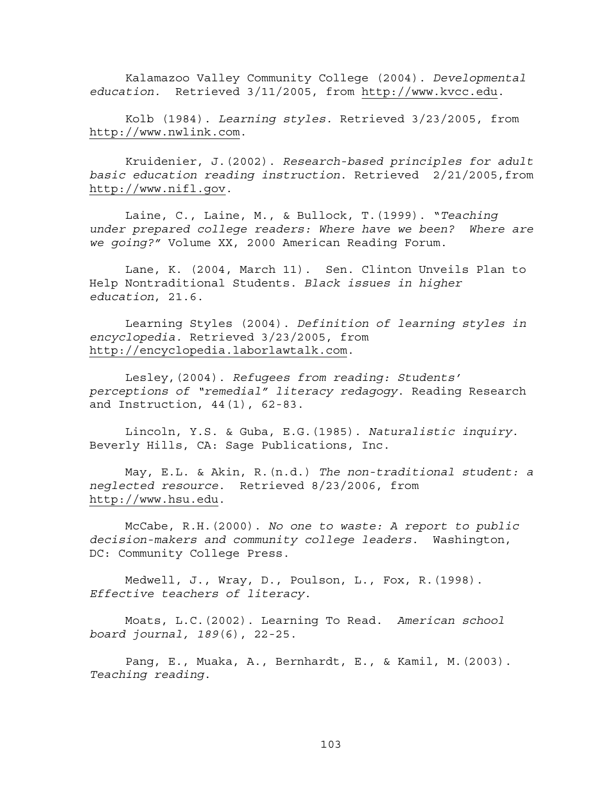Kalamazoo Valley Community College (2004). *Developmental education.* Retrieved 3/11/2005, from [http://www.kvcc.edu](http://www/).

Kolb (1984). *Learning styles.* Retrieved 3/23/2005, from [http://www.nwlink.com](http://www.nwlink.com/).

Kruidenier, J.(2002). *Research-based principles for adult basic education reading instruction*. Retrieved 2/21/2005,from [http://www.nifl.gov.](http://www.nifl.gov/)

Laine, C., Laine, M., & Bullock, T.(1999). "*Teaching under prepared college readers: Where have we been? Where are we going?"* Volume XX, 2000 American Reading Forum.

Lane, K. (2004, March 11). Sen. Clinton Unveils Plan to Help Nontraditional Students. *Black issues in higher education*, 21.6.

Learning Styles (2004). *Definition of learning styles in encyclopedia.* Retrieved 3/23/2005, from [http://encyclopedia.laborlawtalk.com](http://encyclopedia.laborlawtalk.com/).

Lesley,(2004). *Refugees from reading: Students' perceptions of "remedial" literacy redagogy*. Reading Research and Instruction, 44(1), 62-83.

Lincoln, Y.S. & Guba, E.G.(1985). *Naturalistic inquiry*. Beverly Hills, CA: Sage Publications, Inc.

May, E.L. & Akin, R.(n.d.) *The non-traditional student: a neglected resource*. Retrieved 8/23/2006, from [http://www.hsu.edu.](http://www/)

McCabe, R.H.(2000). *No one to waste: A report to public decision-makers and community college leaders*. Washington, DC: Community College Press.

Medwell, J., Wray, D., Poulson, L., Fox, R.(1998). *Effective teachers of literacy*.

Moats, L.C.(2002). Learning To Read. *American school board journal, 189*(6), 22-25.

Pang, E., Muaka, A., Bernhardt, E., & Kamil, M.(2003). *Teaching reading*.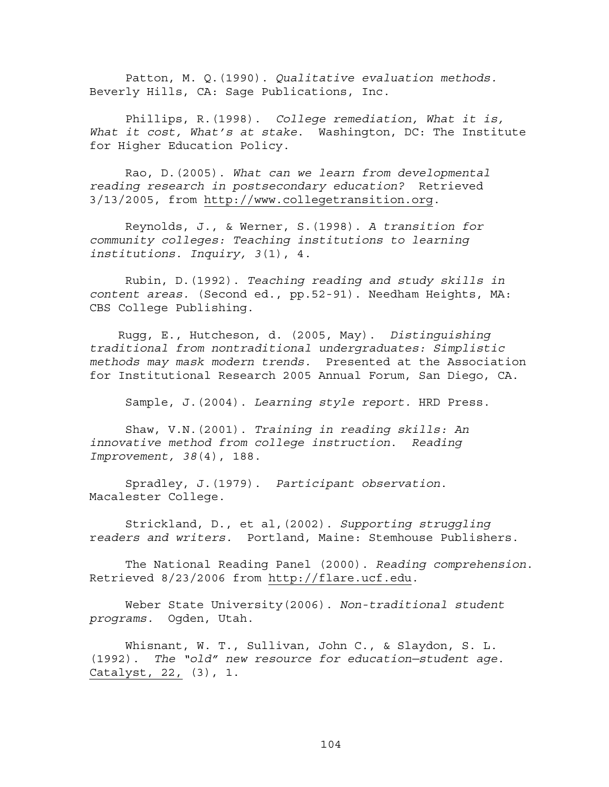Patton, M. Q.(1990). *Qualitative evaluation methods.* Beverly Hills, CA: Sage Publications, Inc.

Phillips, R.(1998). *College remediation, What it is, What it cost, What's at stake*. Washington, DC: The Institute for Higher Education Policy.

Rao, D.(2005). *What can we learn from developmental reading research in postsecondary education?* Retrieved 3/13/2005, from [http://www.collegetransition.org.](http://www.collegetransition.org/)

Reynolds, J., & Werner, S.(1998). *A transition for community colleges: Teaching institutions to learning institutions*. *Inquiry, 3*(1), 4.

Rubin, D.(1992). *Teaching reading and study skills in content areas.* (Second ed., pp.52-91). Needham Heights, MA: CBS College Publishing.

 Rugg, E., Hutcheson, d. (2005, May). *Distinguishing traditional from nontraditional undergraduates: Simplistic methods may mask modern trends.* Presented at the Association for Institutional Research 2005 Annual Forum, San Diego, CA.

Sample, J.(2004). *Learning style report.* HRD Press.

Shaw, V.N.(2001). *Training in reading skills: An innovative method from college instruction*. *Reading Improvement, 38*(4), 188.

Spradley, J.(1979). *Participant observation*. Macalester College.

Strickland, D., et al,(2002). *Supporting struggling* r*eaders and writers.* Portland, Maine: Stemhouse Publishers.

The National Reading Panel (2000). *Reading comprehension*. Retrieved 8/23/2006 from [http://flare.ucf.edu](http://flare/).

Weber State University(2006). *Non-traditional student programs.* Ogden, Utah.

Whisnant, W. T., Sullivan, John C., & Slaydon, S. L. (1992). *The "old" new resource for education—student age*. Catalyst, 22, (3), 1.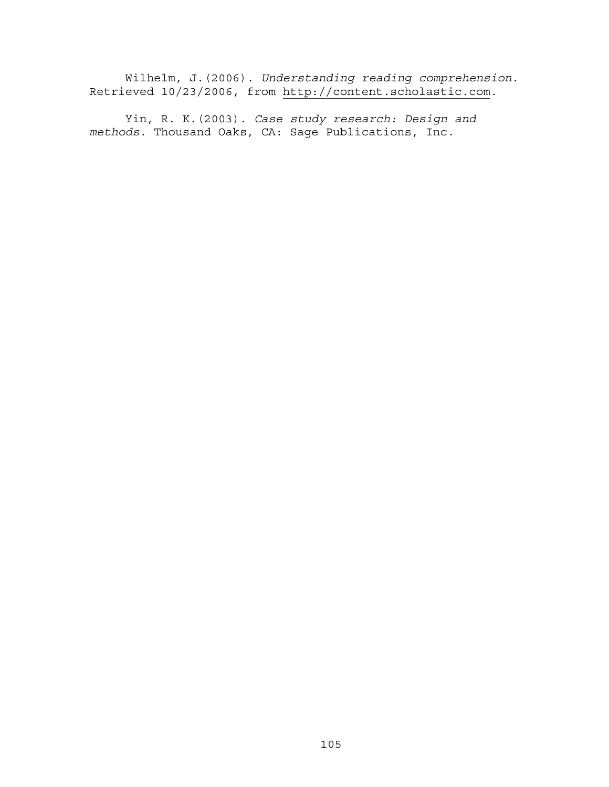Wilhelm, J.(2006). *Understanding reading comprehension*. Retrieved 10/23/2006, from [http://content.scholastic.com](http://content/).

Yin, R. K.(2003). *Case study research: Design and methods.* Thousand Oaks, CA: Sage Publications, Inc.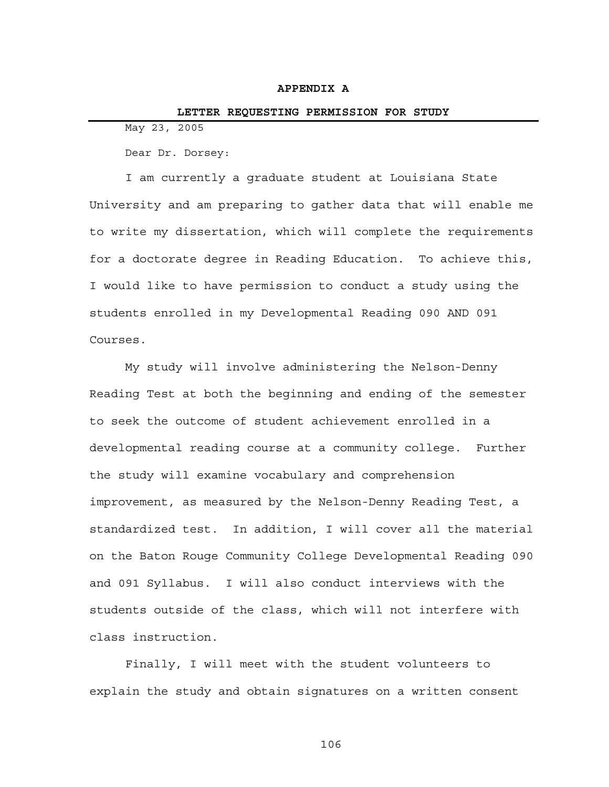#### **APPENDIX A**

#### **LETTER REQUESTING PERMISSION FOR STUDY**

May 23, 2005

Dear Dr. Dorsey:

I am currently a graduate student at Louisiana State University and am preparing to gather data that will enable me to write my dissertation, which will complete the requirements for a doctorate degree in Reading Education. To achieve this, I would like to have permission to conduct a study using the students enrolled in my Developmental Reading 090 AND 091 Courses.

My study will involve administering the Nelson-Denny Reading Test at both the beginning and ending of the semester to seek the outcome of student achievement enrolled in a developmental reading course at a community college. Further the study will examine vocabulary and comprehension improvement, as measured by the Nelson-Denny Reading Test, a standardized test. In addition, I will cover all the material on the Baton Rouge Community College Developmental Reading 090 and 091 Syllabus. I will also conduct interviews with the students outside of the class, which will not interfere with class instruction.

Finally, I will meet with the student volunteers to explain the study and obtain signatures on a written consent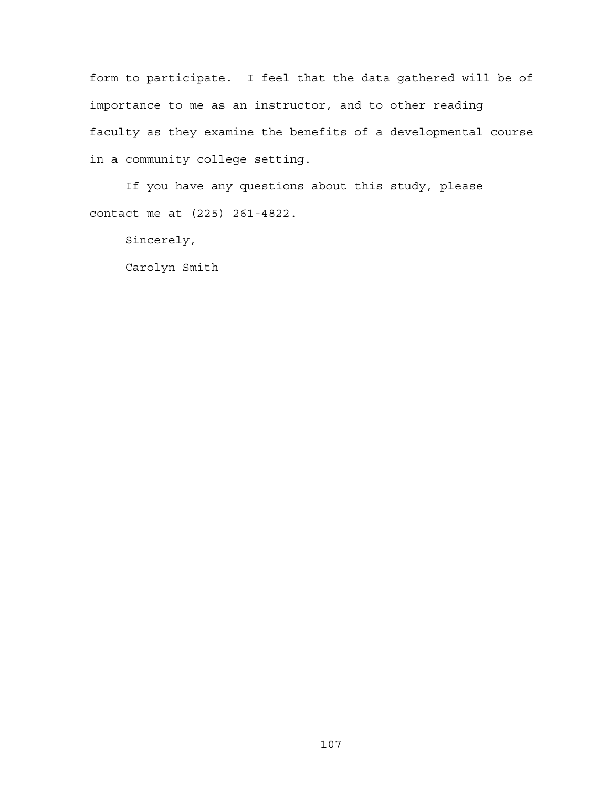form to participate. I feel that the data gathered will be of importance to me as an instructor, and to other reading faculty as they examine the benefits of a developmental course in a community college setting.

If you have any questions about this study, please contact me at (225) 261-4822.

Sincerely,

Carolyn Smith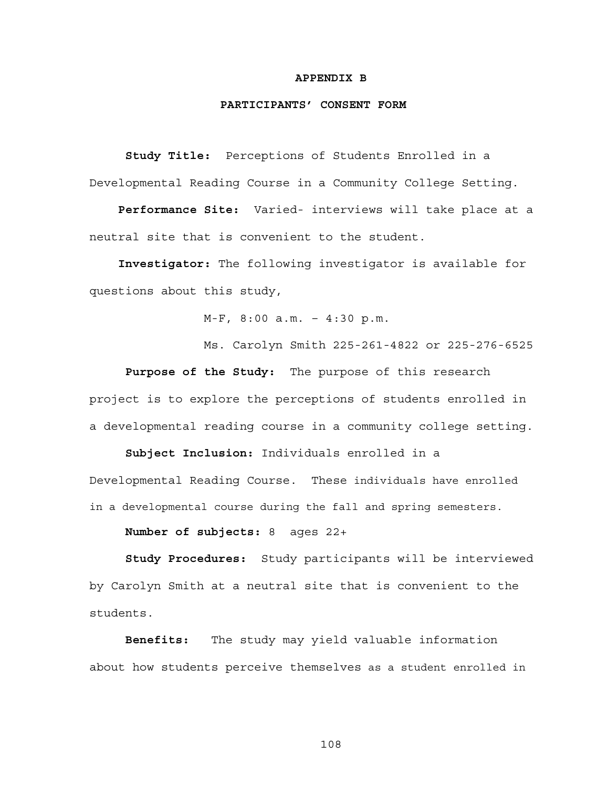#### **APPENDIX B**

#### **PARTICIPANTS' CONSENT FORM**

**Study Title:** Perceptions of Students Enrolled in a Developmental Reading Course in a Community College Setting.

 **Performance Site:** Varied- interviews will take place at a neutral site that is convenient to the student.

**Investigator:** The following investigator is available for questions about this study,

M-F, 8:00 a.m. – 4:30 p.m.

Ms. Carolyn Smith 225-261-4822 or 225-276-6525

**Purpose of the Study:** The purpose of this research project is to explore the perceptions of students enrolled in a developmental reading course in a community college setting.

**Subject Inclusion:** Individuals enrolled in a Developmental Reading Course. These individuals have enrolled in a developmental course during the fall and spring semesters.

**Number of subjects:** 8 ages 22+

**Study Procedures:** Study participants will be interviewed by Carolyn Smith at a neutral site that is convenient to the students.

**Benefits:** The study may yield valuable information about how students perceive themselves as a student enrolled in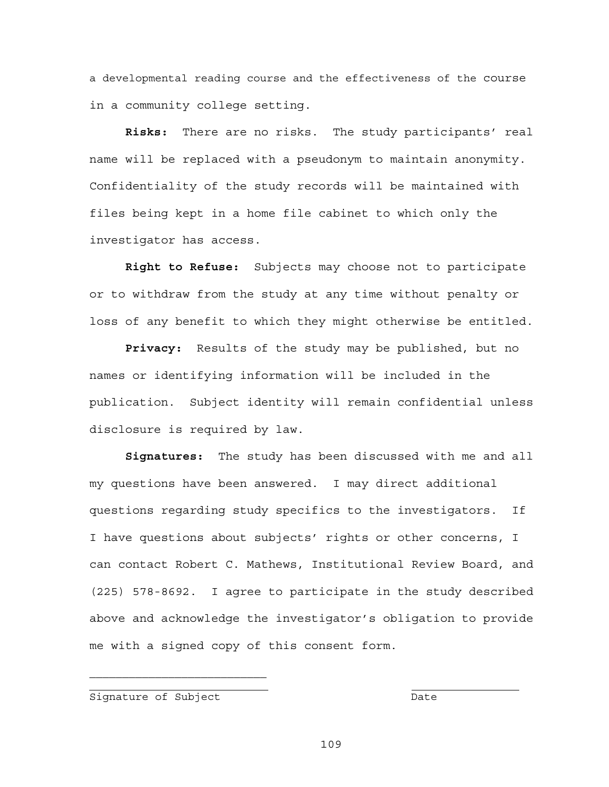a developmental reading course and the effectiveness of the course in a community college setting.

**Risks:** There are no risks. The study participants' real name will be replaced with a pseudonym to maintain anonymity. Confidentiality of the study records will be maintained with files being kept in a home file cabinet to which only the investigator has access.

**Right to Refuse:** Subjects may choose not to participate or to withdraw from the study at any time without penalty or loss of any benefit to which they might otherwise be entitled.

**Privacy:** Results of the study may be published, but no names or identifying information will be included in the publication. Subject identity will remain confidential unless disclosure is required by law.

**Signatures:** The study has been discussed with me and all my questions have been answered. I may direct additional questions regarding study specifics to the investigators. If I have questions about subjects' rights or other concerns, I can contact Robert C. Mathews, Institutional Review Board, and (225) 578-8692. I agree to participate in the study described above and acknowledge the investigator's obligation to provide me with a signed copy of this consent form.

Signature of Subject Date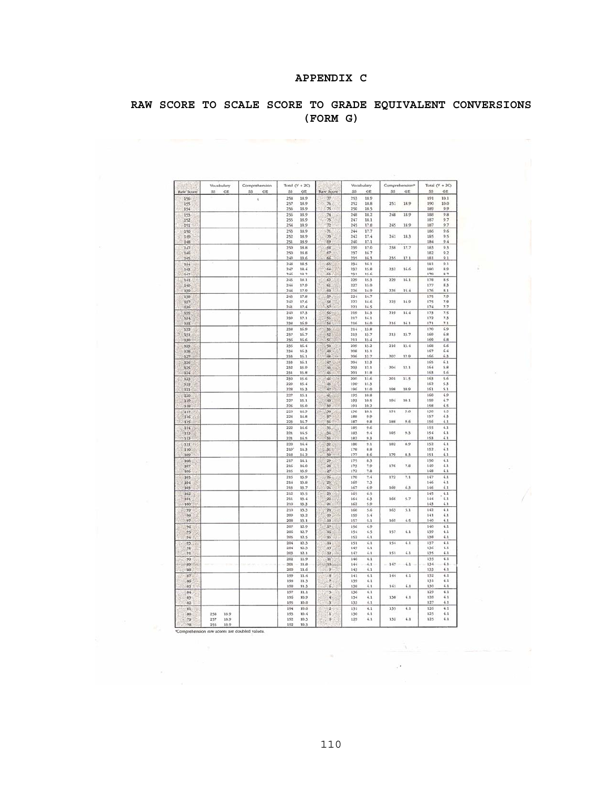# **APPENDIX C**

# **RAW SCORE TO SCALE SCORE TO GRADE EQUIVALENT CONVERSIONS (FORM G)**

|            | Vocabulary  | Comprehension | Total $(V + 2C)$           |                         | Vocabulary                 | Comprehension <sup>®</sup> | Total $(V + 2C)$          |
|------------|-------------|---------------|----------------------------|-------------------------|----------------------------|----------------------------|---------------------------|
| Raw Score  | SS<br>GE    | SS.<br>GE     | <b>SS</b><br>GE            | Raw Score               | SS <sub></sub><br>GE       | <b>SS</b><br>GE            | SS <sub></sub><br>GE      |
| 156        |             | Ł             | 258<br>18.9                | 77                      | 253<br>18.9                |                            | 191<br>10.1               |
| 155<br>154 |             |               | 257<br>18.9<br>256<br>18.9 | 76<br>75.               | 252<br>18.8<br>250<br>18.5 | 18.9<br>251                | 190<br>10.0<br>189<br>9.9 |
| 153        |             |               | 256<br>18.9                | 74                      | 248<br>18.2                | 248<br>18.9                | 188<br>9.8                |
| 152        |             |               | 18.9<br>255                | 73                      | 247<br>18.1                |                            | 187<br>9.7                |
| 151        |             |               | 254<br>18.9                | 72                      | 245<br>17.8                | 245<br>18.9                | 187<br>9.7                |
| 150        |             |               | 253<br>18.9                | 71                      | 244<br>17.7                |                            | 186<br>9.6                |
| 149        |             |               | 252<br>18.9                | 70                      | 242<br>17.4                | 241<br>18.3                | 185<br>9.5                |
| 148        |             |               | 251<br>18.9                | 69                      | 240<br>17.1                |                            | 184<br>9.4                |
| 147        |             | ¥             | 250<br>18.8                | 68                      | 239<br>17.0                | 238<br>17.7                | 183<br>9.3                |
| 146        |             |               | 18.8<br>250<br>249<br>18.6 | 67<br>66                | 237<br>16.7<br>235<br>16.3 | 235<br>17.1                | 182<br>9.2<br>181<br>9.1  |
| 145<br>144 |             |               | 248<br>18.5                | 65                      | 234<br>16.1                |                            | 181<br>9.1                |
| 143        |             |               | 247<br>18.4                | 64                      | 232<br>15.8                | 232<br>16.6                | 180<br>8.9                |
| 142        |             |               | 246<br>18.2                | 63                      | 231<br>15.6                |                            | 179<br>8.7                |
| 141        |             |               | 245<br>18.1                | 62                      | 220<br>15.3                | 229<br>16.1                | 178<br>8.5                |
| 140        |             |               | 17.9<br>244                | 61                      | 227<br>15.0                |                            | 177<br>83                 |
| 139        |             |               | 244<br>17.9                | 60                      | 226<br>14.9                | 226<br>15.4                | 176<br>8.1                |
| 138        |             |               | 17.8<br>243                | 59                      | 224<br>14.7                |                            | 7.9<br>175                |
| 157<br>136 |             |               | 17.6<br>242<br>241<br>17.4 | 58<br>57                | 222<br>14.6<br>221<br>14.5 | 223<br>14.9                | 175<br>7.9<br>174<br>7.7  |
| 135        |             |               | 240<br>17.3                | 56                      | 219<br>14.3                | 219<br>14.4                | 173<br>7.5                |
| 134        |             |               | 239<br>17.1                | 55                      | 217<br>14.1                |                            | 172<br>73                 |
| 133        |             |               | 16.9<br>238                | 54                      | 216<br>14.0                | 216<br>14.1                | 7.1<br>171                |
| 132        |             |               | 238<br>16.9                | 53                      | 214<br>13.8                |                            | 170<br>6.9                |
| 131        |             |               | 237<br>16.7                | 52                      | 213<br>13.7                | 213<br>13.7                | 169<br>6.8                |
| 130        |             |               | 16.6<br>236                | śέ                      | 211<br>13.4                |                            | 6.8<br>169                |
| 129        |             |               | 16.4<br>235                | 50                      | 209<br>13.2                | 210<br>13.4                | 168<br>6.6                |
| 128<br>127 |             |               | 234<br>16.3<br>233<br>16.1 | Ò<br>涵                  | 208<br>13.1<br>206<br>12.7 | 207<br>12.9                | 167<br>6.4<br>166<br>63   |
| 126        |             |               | 233<br>16.1                | 47                      | 204<br>12.3                |                            | 165<br>6.1                |
| 125        |             |               | 232<br>15.9                | $^{36}$                 | 203<br>12.1                | 204<br>12.1                | 164<br>5.8                |
| 124        |             |               | 231<br>15.8                | $45 -$                  | 201<br>11.8                |                            | 163<br>5.6                |
| 123        |             |               | 230<br>15.6                | 44                      | 200<br>11.6                | 201<br>11.5                | 163<br>5.6                |
| 122        |             |               | 229<br>15.4                | Ø                       | 198<br>11.3                |                            | 162<br>53                 |
| 121        |             |               | 228<br>15.3                | $\sqrt{2}$              | 196<br>11.0                | 198<br>10.9                | 161<br>5.1                |
| 120        |             |               | 227<br>15.1                | 41                      | 10.8<br>195                |                            | 160<br>4.9                |
| 119        |             |               | 227<br>15.1<br>226<br>15.0 | 40<br>39                | 193<br>10.5<br>191<br>10.2 | 194<br>10.1                | 159<br>4.7<br>158<br>4.5  |
| 118<br>117 |             |               | 225<br>14.9                | 38                      | 190<br>10.1                | 191<br>9.8                 | 158<br>4.5                |
| 116        |             |               | 224<br>14.8                | 37                      | 188<br>9.9                 |                            | 4.5<br>157                |
| 115        |             |               | 223<br>14.7                | 36                      | 187<br>9.8                 | 9.6<br>188                 | 156<br>$^{4.1}$           |
| 114        |             |               | 222<br>14.6                | 35                      | 185<br>9.6                 |                            | 155<br>4.1                |
| 113        |             |               | 221<br>14.5                | 34                      | 183<br>9.4                 | 185<br>9.3                 | 154<br>4.1                |
| 112        |             |               | 221<br>14.5                | 33                      | 182<br>9.3                 |                            | 153<br>4.1                |
| 111        |             |               | 220<br>14.4                | 32                      | 180<br>9.1                 | 182<br>8,9                 | 152<br>4.1                |
| 110<br>109 |             |               | 219<br>14.3<br>218<br>14.2 | 51<br>30                | 178<br>8.8<br>177<br>8.6   | 179<br>8.3                 | 4.1<br>152<br>4.1<br>151  |
| 108        |             |               | 217<br>14.1                | 29                      | 175<br>83                  |                            | 150<br>4.1                |
| 107        |             |               | 216<br>14.0                | 28                      | 173<br>7.9                 | 176<br>7.8                 | 149<br>4.1                |
| 106        |             |               | 215<br>13.9                | 27                      | 172<br>7.8                 |                            | 148<br>4.1                |
| 105        |             |               | 215<br>13.9                | 26                      | 170<br>7.4                 | 172<br>7.1                 | 147<br>4.1                |
| $10-1$     |             |               | 214<br>13.8                | 25                      | 160<br>7.3                 |                            | 146<br>4.1                |
| 103        |             |               | 213<br>13.7                | 24                      | 6.9<br>167                 | 169<br>6.3                 | 146<br>4.1                |
| 102        |             |               | 212<br>13.5                | 23                      | 165<br>6.5                 |                            | 145<br>4.1                |
| 101        |             |               | 211<br>13.4<br>210         | 22<br>$_{21}$           | 164<br>6.3<br>162<br>5.9   | 166<br>5.7                 | 4.1<br>$1 + 4$<br>4.1     |
| 100        |             |               | 13.3<br>210<br>13.3        | 20                      | 160<br>5.6                 | 163<br>5.1                 | 143<br>142<br>4.1         |
| 99<br>98   |             |               | 209<br>13.2                | 19                      | 159<br>5.4                 |                            | 141<br>4.1                |
| 97         |             |               | 206<br>13.1                | 18                      | 157<br>5.1                 | 160<br>4.5                 | 140<br>4.1                |
| 96         |             |               | 207<br>12.9                | 17                      | 156<br>4.9                 |                            | 140<br>4.1                |
| 95         |             |               | 206<br>12.7                | 16                      | 154<br>4.5                 | 157<br>4.1                 | 139<br>4.1                |
| 94         |             |               | 205<br>12.5                | 15                      | 4.1<br>152                 |                            | 138<br>4.1                |
| 93         |             |               | 204<br>12.3                | 14                      | 151<br>4.1                 | 154<br>4.1                 | 137<br>4.1                |
| 92<br>91   |             |               | 204<br>12.3<br>203<br>12.1 | 13<br>12                | 149<br>4.1<br>147<br>4.1   | 4.1<br>151                 | 136<br>4.1<br>4.1<br>135  |
| 90         |             |               | 202<br>11.9                | 'n                      | 146<br>4.1                 |                            | 135<br>4.1                |
| 89         |             |               | 201<br>11.8                | 10                      | 144<br>4.1                 | 147<br>4.1                 | 134<br>4.1                |
| 88         |             |               | 200<br>11.6                | $\overline{9}$          | 143<br>4.1                 |                            | 133<br>4.1                |
| 87         |             |               | 199<br>11.4                | $\bf8$                  | 141<br>4.1                 | 144<br>4.1                 | 132<br>4.1                |
| 86         |             |               | 198<br>11.3                | Ż                       | 139<br>4.1                 |                            | 4.1<br>131                |
| 85         |             |               | 198<br>11.3                | 6                       | 138<br>4.1                 | 141<br>4.1                 | 130<br>4.1                |
| 84         |             |               | 197<br>11.1                | $\overline{\mathbf{S}}$ | 136<br>4.1                 |                            | 129<br>4.1                |
| 83         |             |               | 196<br>10.9                | ¥                       | 134<br>4.1                 | 138<br>4.1                 | 128<br>41                 |
| 82         |             |               | 195<br>10.8                | з                       | 133<br>4.1                 |                            | 127<br>4.1                |
| 81         |             |               | 194<br>10.6                | ż                       | 131<br>4.1                 | 4.1<br>135                 | 126<br>41                 |
| 80         | 18.9<br>258 |               | 193<br>10.4<br>192<br>10.3 | ĭ<br>ö                  | 130<br>4.1<br>4.1<br>129   | 132<br>4.1                 | 125<br>4.1<br>4.1<br>125  |
| 79         | 257<br>18.9 |               |                            |                         |                            |                            |                           |

255 18.9 <br>
Comprehension raw scores are doubled values.

 $\mathcal{F}$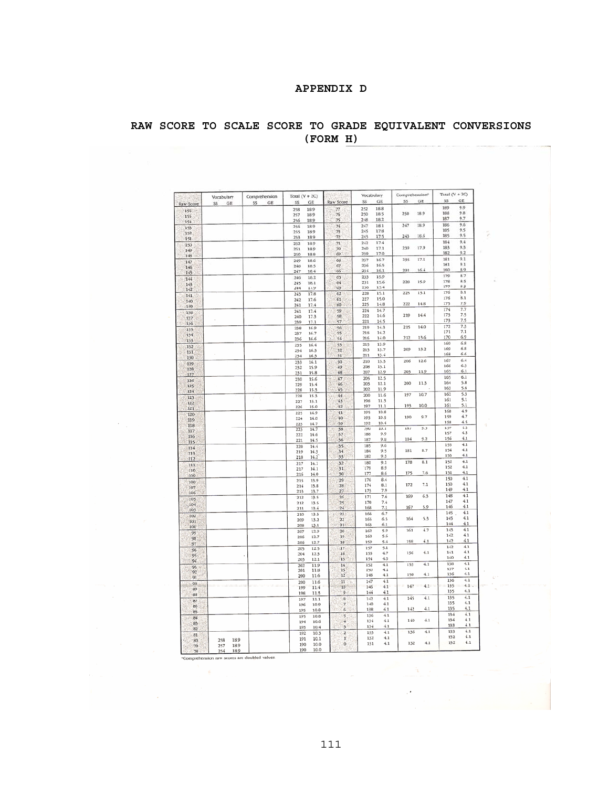# **APPENDIX D**

# **RAW SCORE TO SCALE SCORE TO GRADE EQUIVALENT CONVERSIONS (FORM H)**

|            | Vocabulary  | Comprehension | Total $(V + 2C)$           |                         | Vocabulary                 |              | Comprehension <sup>®</sup> | Total $(V + 2C)$ |            |
|------------|-------------|---------------|----------------------------|-------------------------|----------------------------|--------------|----------------------------|------------------|------------|
| Raw Score  | SS.<br>GE   | SS<br>GE      | SS<br>GE                   | Raw Score               | GE<br>SS <sub></sub>       |              | GE<br>SS                   | SS               | GE         |
| 156        |             |               | 258<br>18.9                | 77                      | 18.8<br>252                |              |                            | 189<br>188       | 9.9<br>9.8 |
| 155        |             |               | 257<br>18.9                | 76                      | 250<br>18.5<br>248<br>18.2 |              | 250<br>18.9                | 187              | 9.7        |
| 154        |             |               | 256<br>18.9<br>256<br>18.9 | 75<br>74                | 247<br>18.1                |              | 247<br>18.9                | 186              | 9.6        |
| 153<br>152 |             |               | 18.9<br>255                | 73                      | 17.8<br>245                |              |                            | 185              | 9.5        |
| 151        |             |               | 253<br>18.9                | 72                      | 17.5<br>243                |              | 243<br>18.6                | 185              | 9.5        |
| 150        |             |               | 18.9<br>252                | 71                      | 17.4<br>242                |              |                            | 184              | 9.4        |
| 149        |             |               | 251<br>18.9                | 70                      | 17.1<br>240                |              | 239<br>17.9                | 183              | 9.3        |
| 148        |             |               | 250<br>18.8                | 69                      | 239<br>17.0                |              |                            | 182              | 9.2        |
| 147        |             |               | 249<br>18.6                | 68                      | 16.7<br>237                |              | 235<br>17.1                | 181<br>181       | 9.1<br>9.1 |
| 146        |             |               | 248<br>18.5<br>18.4        | 67<br>66                | 236<br>16.5<br>16.1<br>234 |              | 231<br>16.4                | 180              | 8.9        |
| 145        |             |               | 247<br>246<br>18.2         | 65                      | 233<br>15.9                |              |                            | 179              | 8.7        |
| 144<br>143 |             |               | 245<br>18.1                | 64                      | 231<br>15.6                |              | 228<br>15.9                | 178              | 8.5        |
| 142        |             |               | 244<br>17.9                | ΰ3                      | 230<br>15.4                |              |                            | 177              | 8.3        |
| 141        |             |               | 243<br>17.8                | 62                      | 228<br>15.1                |              | 225<br>15.1                | 176              | 8.1        |
| 140        |             |               | 17.6<br>242                | 61                      | 227<br>15.0                |              | 14.8<br>222                | 176<br>175       | 8.1<br>7.9 |
| 139        |             |               | 241<br>17.4                | 60                      | 225<br>14.8<br>14.7        |              |                            | 174              | 7.7        |
| 138        |             |               | 241<br>17.4<br>240<br>17.3 | 59<br>58                | 224<br>222<br>14.6         |              | 219<br>14.4                | 173              | 7.5        |
| 137        |             |               | 239<br>17.1                | 57                      | 221<br>14.5                |              |                            | 173              | 7.5        |
| 136        |             |               | 16.9<br>238                | 56                      | 219<br>14.3                |              | 14.0<br>215                | 172              | 7.3        |
| 135<br>134 |             |               | 237<br>16.7                | 55                      | 218                        | 14.2         |                            | 171              | 7.1        |
| 133        |             |               | 236<br>16.6                | 54                      | 216                        | 14.0         | 212<br>13.6                | 170              | 6.9        |
| 132        |             |               | 16.4<br>235                | 53                      | 13.9<br>215                |              | 209<br>13.2                | 169<br>169       | 6.8<br>6.8 |
| 131        |             |               | 16.3<br>234                | 52                      | 213<br>211                 | 13.7<br>13.4 |                            | 168              | 6.6        |
| 130        |             |               | 234<br>16.3                | 51                      | 210                        | 13.3         | 12.6<br>206                | 167              | 6,4        |
| 129        |             |               | 233<br>16.1<br>15.9<br>232 | 50<br>49                | 208                        | 13.1         |                            | 166              | 6.3        |
| 128        |             |               | 231<br>15.8                | 48                      | 207                        | 12.9         | 11.9<br>203                | 165              | 6.1        |
| 127<br>126 |             |               | 15.6<br>230                | 47                      | 205                        | 12.5         |                            | 165              | 6.1        |
| i25        |             |               | 229<br>15.4                | 46                      | 203                        | 12.1         | 200<br>11.3                | 164              | 5.8        |
| 124        |             |               | 228<br>15.3                | 45                      | 202                        | 11.9         |                            | 163              | 5.6        |
| 123        |             |               | 228<br>15.3                | 44                      | 200                        | 11.6         | 10.7<br>197                | 162<br>161       | 5.3<br>5.1 |
| 122        |             |               | 227<br>15.1<br>15.0        | 43<br>42                | 198<br>197                 | 11.3<br>11.1 | 10.0<br>193                | 161              | 5.1        |
| 121        |             |               | 226<br>14.9<br>225         | 41                      | 195                        | 10.8         |                            | 160              | 4.9        |
| 120        |             |               | 224<br>14.8                | 40                      | 193                        | 10.5         | 190<br>9.7                 | 159              | 4.7        |
| 119<br>118 |             |               | 14.7<br>223                | 39                      | 192                        | 10.4         |                            | 158              | 4.5        |
| 117        |             |               | 223<br>14.7                | 38                      | 190                        | 10.1         | 9.5<br>187                 | 157              | 4.3        |
| 116        |             |               | 14.6<br>222                | 37                      | 188                        | 9.9          |                            | 157              | 4.3<br>4.1 |
| 115        |             |               | 14.5<br>221                | 36                      | 187                        | 9.8          | 9.2<br>184                 | 156<br>155       | 4.1        |
| 114        |             |               | 220<br>14.4                | 35<br>34                | 185<br>184                 | 9.6<br>9.5   | 8.7<br>181                 | 154              | 4.1        |
| 113        |             |               | 219<br>14.3<br>14.2<br>218 | 33                      | 182                        | 9.3          |                            | 153              | 4.1        |
| 112        |             |               | 217<br>14.1                | 32                      | 180                        | 9.1          | 178<br>8.1                 | 152              | 4.1        |
| 111<br>110 |             |               | 217<br>14.1                | 31                      | 179                        | 8.9          |                            | 152              | 4.1        |
| TOO        |             |               | 216<br>14.0                | 30                      | 177                        | 8.6          | 175<br>7.6                 | 151              | 4.1        |
| 108        |             |               | 215<br>13.9                | 29                      | 176                        | 8.4          |                            | 150              | 4.1        |
| 107        |             |               | 13.8<br>214                | 28                      | 174                        | 8.1          | 7.1<br>172                 | 150<br>149       | 4.1<br>4.1 |
| 106        |             |               | 13.7<br>213                | 27                      | 173                        | 7.9          | 63<br>169                  | 148              | 4.1        |
| 105        |             |               | 13.5<br>212                | 26<br>25                | 171<br>170                 | 7.6<br>7.4   |                            | 147              | 4.1        |
| 104        |             |               | 212<br>13.5<br>211<br>13.4 | 24                      | 168                        | 7.1          | 5.9<br>167                 | 146              | 4.1        |
| 103        |             |               | 210<br>13.3                | 23                      | 166                        | 6.7          |                            | 145              | 4.1        |
| 102<br>101 |             |               | 209<br>13.2                | 22                      | 165                        | 6.5          | 164<br>5.3                 | 145              | 4.1        |
| 100        |             |               | 208<br>13.1                | 21                      | 163                        | 6.1          |                            | 144              | 4.1        |
| 99         |             |               | 207<br>12.9                | 20                      | 162                        | 5.9          | 161<br>4.7                 | 143<br>142       | 4.1<br>4.1 |
| 98         |             |               | 206<br>12.7                | 19                      | 160                        | 5.6          | 4.1                        | 142              | 4.1        |
| 97         |             |               | 206<br>12.7                | 18                      | 159                        | 5.4          | 158                        | 142              | 4.1        |
| 96         |             |               | 12.5<br>205<br>12.3<br>204 | 17<br>16                | 157<br>155                 | 5.1<br>4.7   | 4.1<br>156                 | 141              | 4.1        |
| 05         |             |               | 203<br>12.1                | 15                      | 154                        | 4.5          |                            | 140              | 4.1        |
| 94         |             |               | 202<br>11.9                | 14                      | 152                        | 4.1          | 4.1<br>153                 | 138              | 4.1        |
| 93<br>92   |             |               | 201<br>11.8                | 15                      | 150                        | 4.1          |                            | 137              | 4.1        |
| 91         |             |               | 11.6<br>200                | 12                      | 148                        | 4.1          | 4.1<br>150                 | 136              | 4.1        |
| 90         |             |               | 200<br>11.6                | 11                      | 147                        | 4.1          |                            | 136<br>135       | 4.1<br>4.1 |
| 89         |             |               | 11.4<br>199                | 10                      | 146                        | 4.1          | 147<br>4.1                 | 135              | 4.1        |
| 88         |             |               | 198<br>11.3                | 9                       | 144<br>142                 | 4.1<br>4.1   | 145<br>4.1                 | 135              | 4.1        |
| 87         |             |               | 197<br>11.1                | 8<br>7                  | 140                        | 4.1          |                            | 135              | 4.1        |
| 86         |             |               | 196<br>10.9<br>10.8<br>195 | ő.                      | 138                        | 4.1          | 4.1<br>142                 | 135              | 4.1        |
| 85         |             |               | 10.8<br>195                | 5                       | 136                        | 4.1          |                            | 134              | 4.1        |
| 84         |             |               | 194<br>10.6                | 4                       | 134                        | 4.1          | 140<br>4.1                 | 134              | $-4.1$     |
| 83<br>82   |             |               | 10.4<br>193                | 3                       | $13 - 4$                   | $-4.1$       |                            | 133              | 4.1        |
| 81         |             |               | 192<br>10.3                | $\overline{\mathbf{2}}$ | 133                        | 4.1          | 136<br>4.1                 | 133              | 4.1        |
| 80         | 18.9<br>258 |               | 191<br>10.1                | Ŧ                       | 132                        | 4.1          |                            | 132              | 4.1<br>4.1 |
| 79         | 18.9<br>257 |               | 10.0<br>190                | ö                       | 131                        | 4.1          | 4.1<br>132                 | 132              |            |
|            | 190<br>754  |               | 190<br>10.0                |                         |                            |              |                            |                  |            |

 $\frac{254}{8}$   $\frac{1254}{8}$   $\frac{18.9}{8}$   $\frac{1}{16.2}$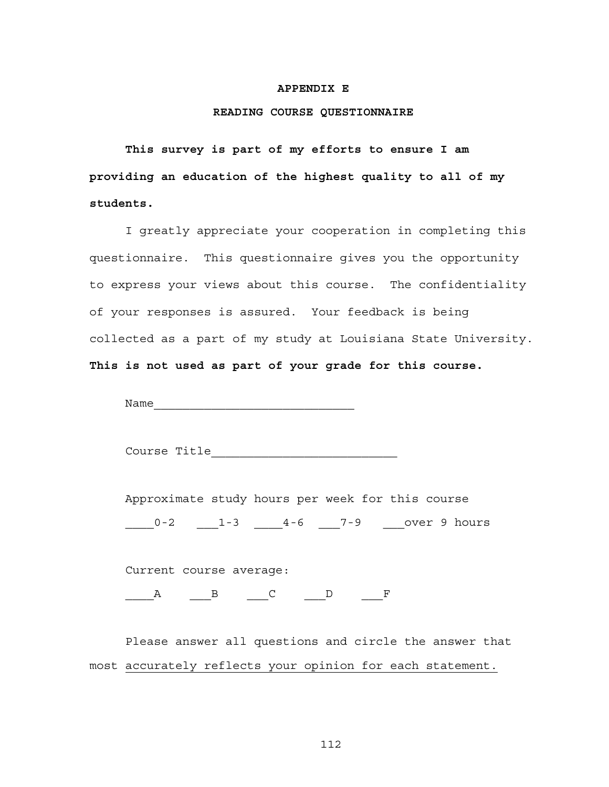#### **APPENDIX E**

#### **READING COURSE QUESTIONNAIRE**

**This survey is part of my efforts to ensure I am providing an education of the highest quality to all of my students.** 

I greatly appreciate your cooperation in completing this questionnaire. This questionnaire gives you the opportunity to express your views about this course. The confidentiality of your responses is assured. Your feedback is being collected as a part of my study at Louisiana State University. **This is not used as part of your grade for this course.** 

Name

Course Title\_\_\_\_\_\_\_\_\_\_\_\_\_\_\_\_\_\_\_\_\_\_\_\_\_\_

Approximate study hours per week for this course 0-2 1-3 4-6 7-9 over 9 hours

Current course average:

 $\begin{array}{ccccccccccccccccc}\n & & A & & \text{\_B} & & \text{\_C} & & \text{\_D} & & \text{\_F}\n\end{array}$ 

Please answer all questions and circle the answer that most accurately reflects your opinion for each statement.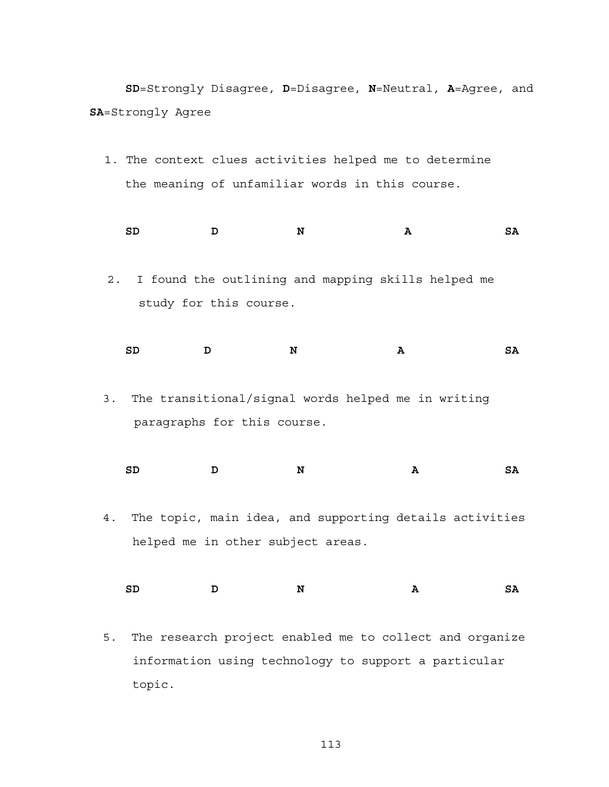**SD**=Strongly Disagree, **D**=Disagree, **N**=Neutral, **A**=Agree, and **SA**=Strongly Agree

1. The context clues activities helped me to determine the meaning of unfamiliar words in this course.

**SD D N A SA** 

2. I found the outlining and mapping skills helped me study for this course.

**SD D N A SA** 

3. The transitional/signal words helped me in writing paragraphs for this course.

**SD D N A SA** 

4. The topic, main idea, and supporting details activities helped me in other subject areas.

**SD D N A SA** 

5. The research project enabled me to collect and organize information using technology to support a particular topic.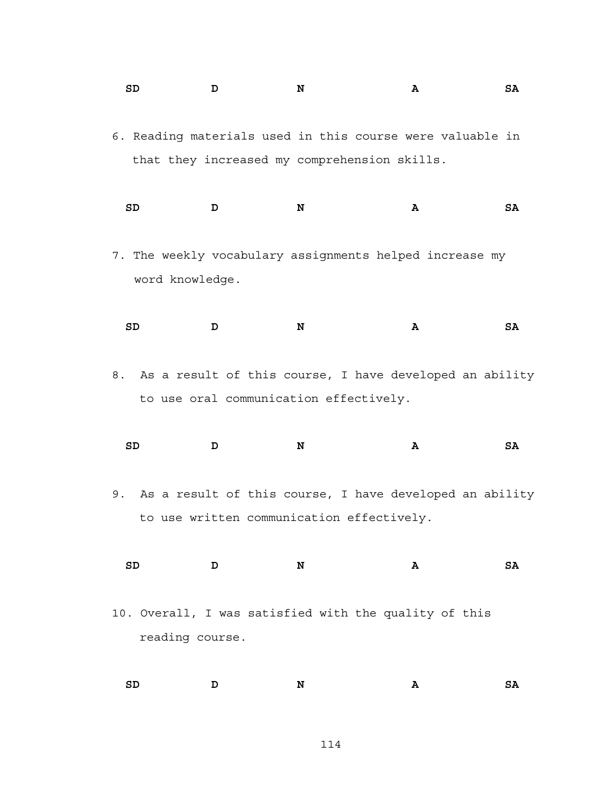- **SD D N A SA**  6. Reading materials used in this course were valuable in
	- that they increased my comprehension skills.
	- **SD D N A SA**
- 7. The weekly vocabulary assignments helped increase my word knowledge.
- SD D N A SA
- 8. As a result of this course, I have developed an ability to use oral communication effectively.

| SD | N | Α<br>$ -$ | SA |
|----|---|-----------|----|
|    |   |           |    |

- 9. As a result of this course, I have developed an ability to use written communication effectively.
	- **SD D N A SA**
- 10. Overall, I was satisfied with the quality of this reading course.

**SD D N A SA**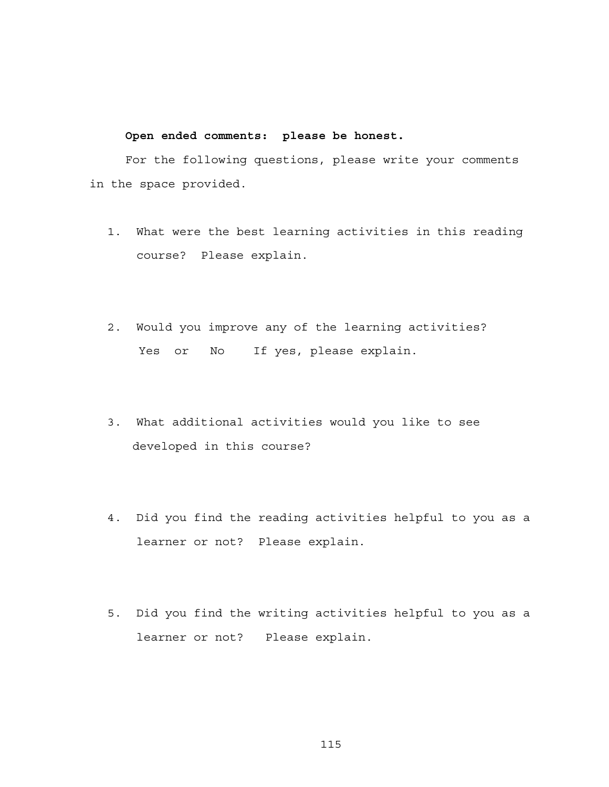# **Open ended comments: please be honest.**

For the following questions, please write your comments in the space provided.

- 1. What were the best learning activities in this reading course? Please explain.
- 2. Would you improve any of the learning activities? Yes or No If yes, please explain.
- 3. What additional activities would you like to see developed in this course?
- 4. Did you find the reading activities helpful to you as a learner or not? Please explain.
- 5. Did you find the writing activities helpful to you as a learner or not? Please explain.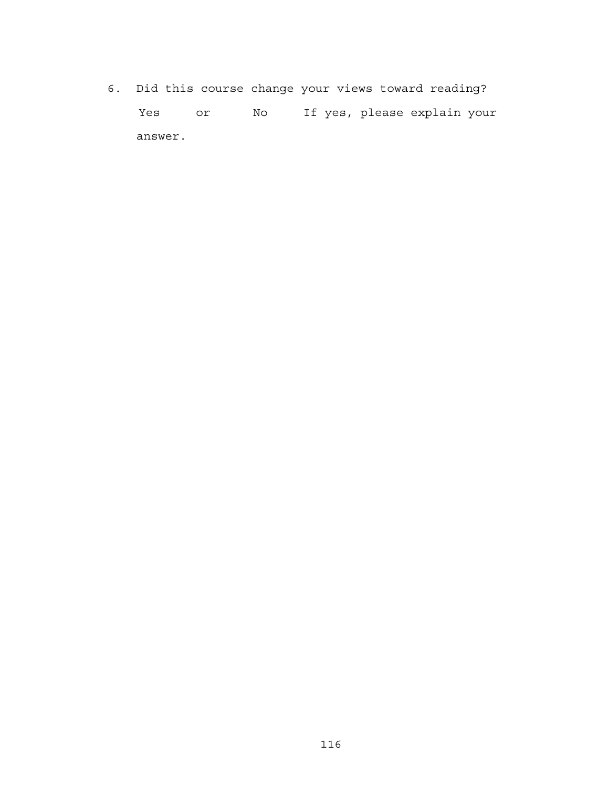6. Did this course change your views toward reading? Yes or No If yes, please explain your answer.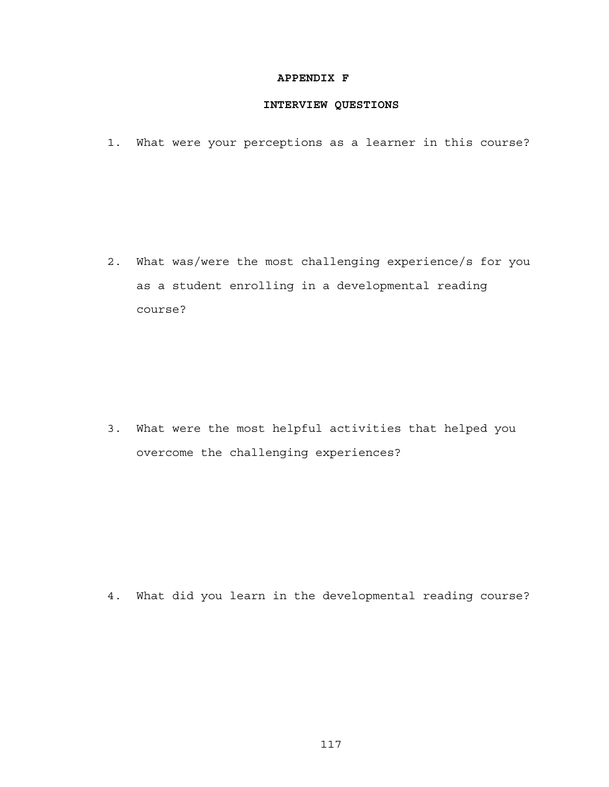# **APPENDIX F**

# **INTERVIEW QUESTIONS**

1. What were your perceptions as a learner in this course?

2. What was/were the most challenging experience/s for you as a student enrolling in a developmental reading course?

3. What were the most helpful activities that helped you overcome the challenging experiences?

4. What did you learn in the developmental reading course?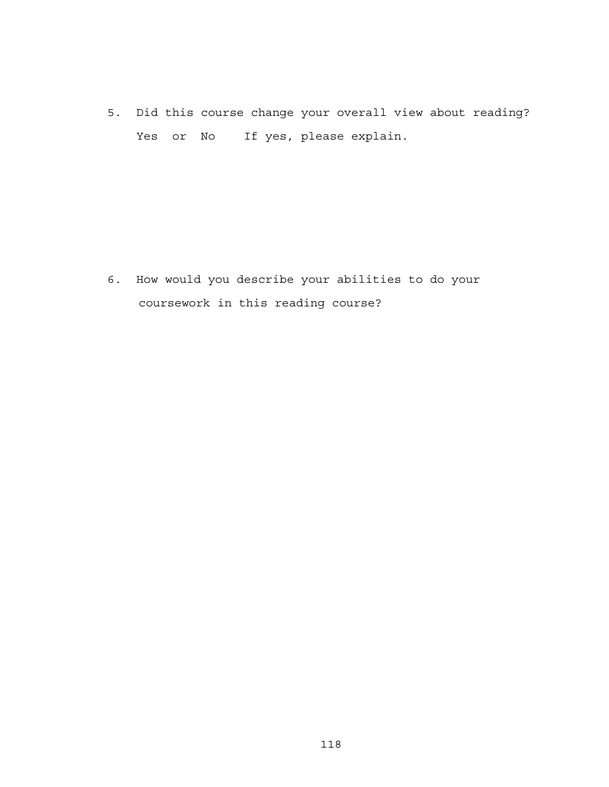5. Did this course change your overall view about reading? Yes or No If yes, please explain.

6. How would you describe your abilities to do your coursework in this reading course?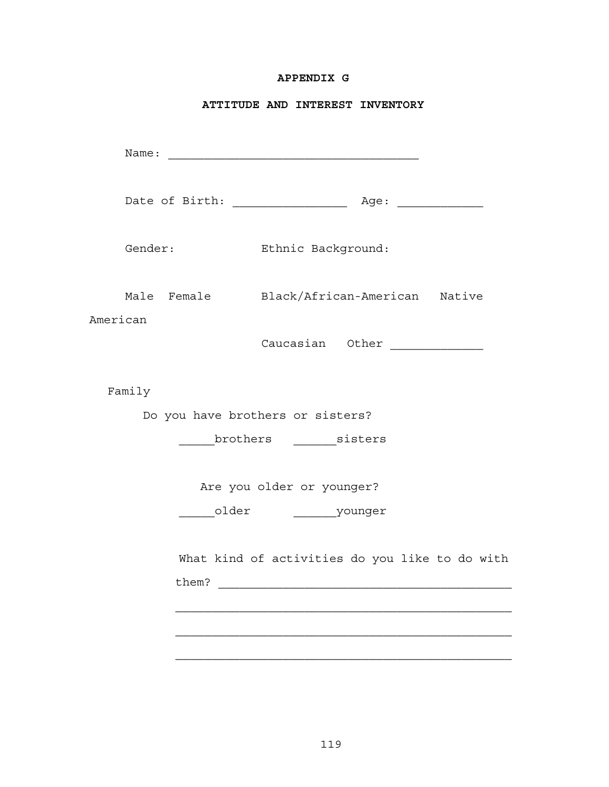# **APPENDIX G**

# **ATTITUDE AND INTEREST INVENTORY**

| Name:    |             | <u> 1989 - Johann Barn, mars and de Branch Barn, mars and de Branch Barn, mars and de Branch Barn, mars and de Br</u> |  |
|----------|-------------|-----------------------------------------------------------------------------------------------------------------------|--|
|          |             |                                                                                                                       |  |
| Gender:  |             | Ethnic Background:                                                                                                    |  |
| American | Male Female | Black/African-American Native                                                                                         |  |
|          |             | Caucasian Other ____________                                                                                          |  |
| Family   |             |                                                                                                                       |  |
|          |             | Do you have brothers or sisters?                                                                                      |  |
|          |             | brothers sisters                                                                                                      |  |
|          |             | Are you older or younger?                                                                                             |  |
|          |             | older younger                                                                                                         |  |
|          |             | What kind of activities do you like to do with                                                                        |  |
|          |             |                                                                                                                       |  |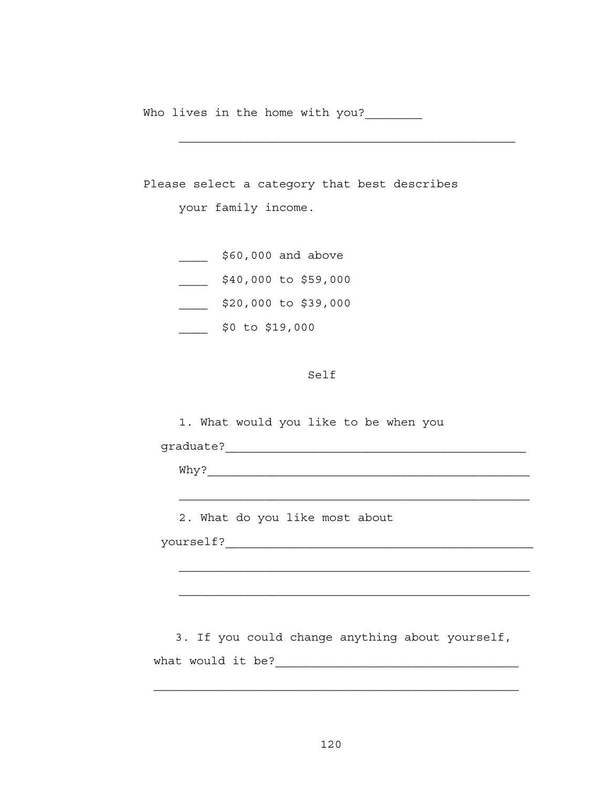Who lives in the home with you?

Please select a category that best describes your family income. \_\_\_\_\_ \$60,000 and above \_\_\_\_ \$40,000 to \$59,000 \_\_\_\_ \$20,000 to \$39,000 \_\_\_\_ \$0 to \$19,000

#### Self

1. What would you like to be when you

graduate?\_\_\_\_\_\_\_\_\_\_\_\_\_\_\_\_\_\_\_\_\_\_\_\_\_\_\_\_\_\_\_\_\_\_\_\_\_\_\_\_\_\_

Why?\_\_\_\_\_\_\_\_\_\_\_\_\_\_\_\_\_\_\_\_\_\_\_\_\_\_\_\_\_\_\_\_\_\_\_\_\_\_\_\_\_\_\_\_\_

2. What do you like most about

yourself?\_\_\_\_\_\_\_\_\_\_\_\_\_\_\_\_\_\_\_\_\_\_\_\_\_\_\_\_\_\_\_\_\_\_\_\_\_\_\_\_\_\_\_

 3. If you could change anything about yourself, what would it be?\_\_\_\_\_\_\_\_\_\_\_\_\_\_\_\_\_\_\_\_\_\_\_\_\_\_\_\_\_\_\_\_\_\_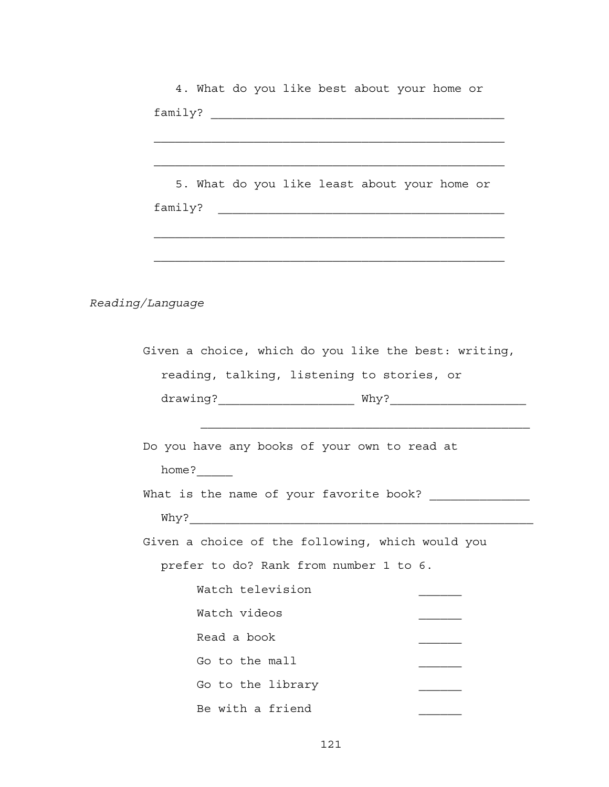| 4. What do you like best about your home or                                                                 |
|-------------------------------------------------------------------------------------------------------------|
|                                                                                                             |
|                                                                                                             |
|                                                                                                             |
| 5. What do you like least about your home or                                                                |
|                                                                                                             |
|                                                                                                             |
|                                                                                                             |
|                                                                                                             |
|                                                                                                             |
| <i>Reading/Language</i>                                                                                     |
|                                                                                                             |
| Given a choice, which do you like the best: writing,                                                        |
| reading, talking, listening to stories, or                                                                  |
|                                                                                                             |
|                                                                                                             |
| <u> 1980 - Johann Stoff, amerikansk politiker (d. 1980)</u><br>Do you have any books of your own to read at |
|                                                                                                             |
| home?                                                                                                       |
| What is the name of your favorite book? _____________                                                       |
|                                                                                                             |
| Given a choice of the following, which would you                                                            |
|                                                                                                             |
| prefer to do? Rank from number 1 to 6.                                                                      |
| Watch television                                                                                            |
| Watch videos                                                                                                |
| Read a book                                                                                                 |
| Go to the mall                                                                                              |
| Go to the library                                                                                           |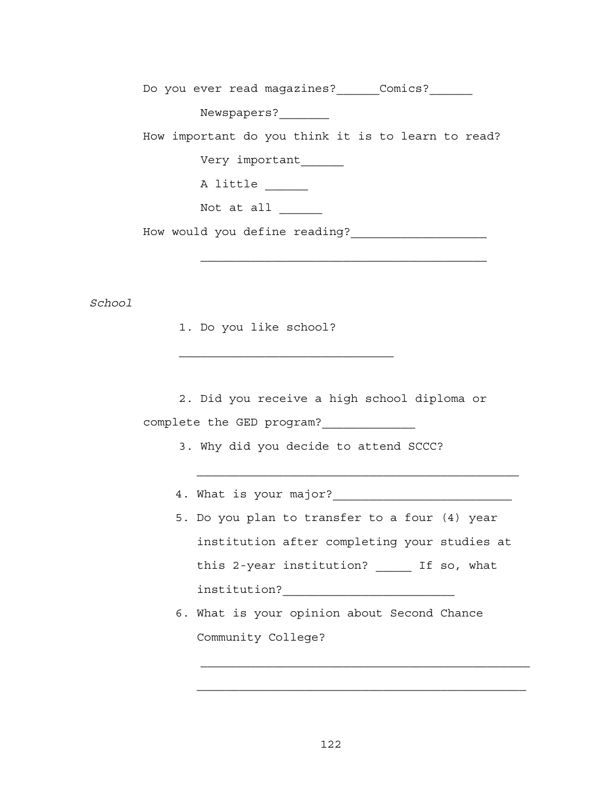Do you ever read magazines? Comics?

Newspapers?\_\_\_\_\_\_\_

How important do you think it is to learn to read?

Very important\_\_\_\_\_\_

A little

Not at all

How would you define reading?\_\_\_\_\_\_\_\_\_\_\_\_\_\_\_\_\_\_\_

*School* 

1. Do you like school?

2. Did you receive a high school diploma or complete the GED program?

3. Why did you decide to attend SCCC?

- 4. What is your major?\_\_\_\_\_\_\_\_\_\_\_\_\_\_\_\_\_\_\_\_\_\_\_\_\_
- 5. Do you plan to transfer to a four (4) year institution after completing your studies at this 2-year institution? \_\_\_\_\_ If so, what institution?\_\_\_\_\_\_\_\_\_\_\_\_\_\_\_\_\_\_\_\_\_\_\_\_

\_\_\_\_\_\_\_\_\_\_\_\_\_\_\_\_\_\_\_\_\_\_\_\_\_\_\_\_\_\_\_\_\_\_\_\_\_\_\_\_\_\_\_\_\_

 6. What is your opinion about Second Chance Community College?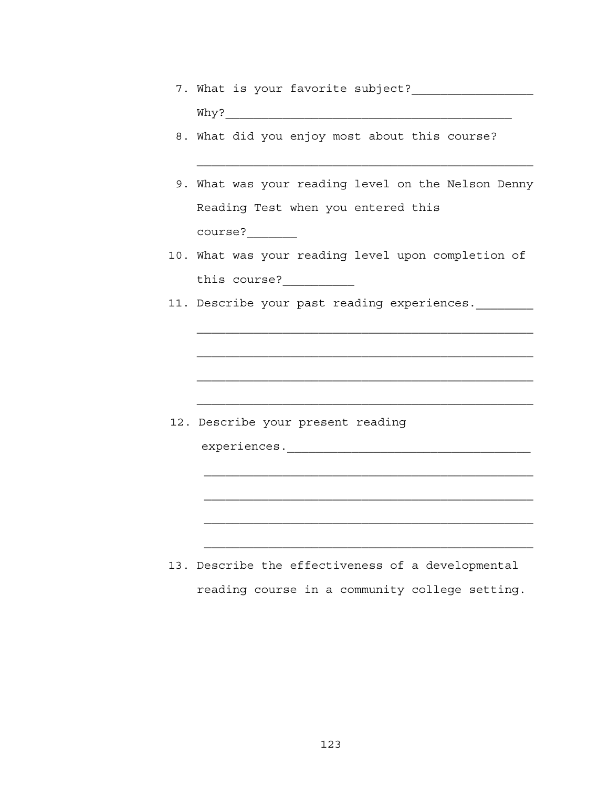- 7. What is your favorite subject?\_\_\_\_\_\_\_\_\_\_\_\_\_\_\_\_\_ Why?\_\_\_\_\_\_\_\_\_\_\_\_\_\_\_\_\_\_\_\_\_\_\_\_\_\_\_\_\_\_\_\_\_\_\_\_\_\_\_\_
- 8. What did you enjoy most about this course?
- 9. What was your reading level on the Nelson Denny Reading Test when you entered this course?\_\_\_\_\_\_\_
- 10. What was your reading level upon completion of this course?
- 11. Describe your past reading experiences.

12. Describe your present reading

experiences.\_\_\_\_\_\_\_\_\_\_\_\_\_\_\_\_\_\_\_\_\_\_\_\_\_\_\_\_\_\_\_\_\_\_

 13. Describe the effectiveness of a developmental reading course in a community college setting.

\_\_\_\_\_\_\_\_\_\_\_\_\_\_\_\_\_\_\_\_\_\_\_\_\_\_\_\_\_\_\_\_\_\_\_\_\_\_\_\_\_\_\_\_\_\_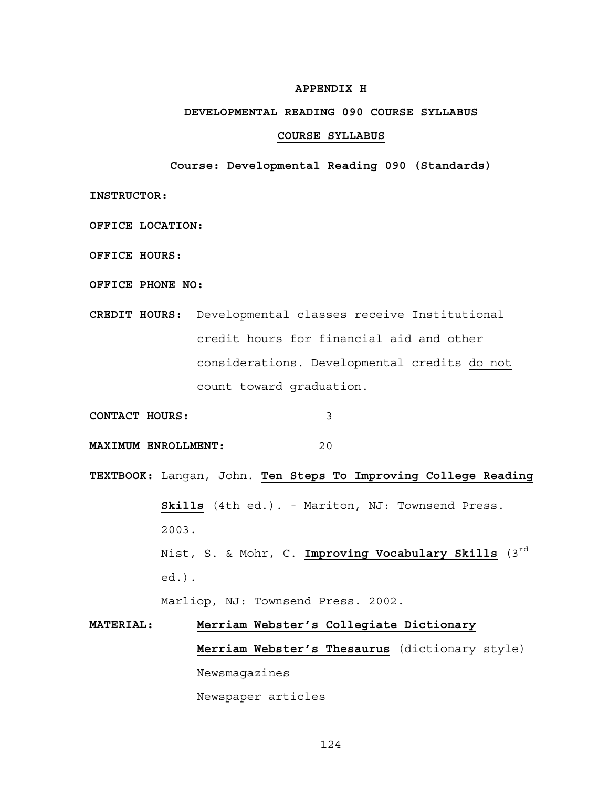### **APPENDIX H**

#### **DEVELOPMENTAL READING 090 COURSE SYLLABUS**

#### **COURSE SYLLABUS**

**Course: Developmental Reading 090 (Standards)**

**INSTRUCTOR:** 

**OFFICE LOCATION:** 

**OFFICE HOURS:**

**OFFICE PHONE NO:**

**CREDIT HOURS:** Developmental classes receive Institutional credit hours for financial aid and other considerations. Developmental credits do not count toward graduation.

**CONTACT HOURS:** 3

**MAXIMUM ENROLLMENT:** 20

**TEXTBOOK:** Langan, John. **Ten Steps To Improving College Reading Skills** (4th ed.). - Mariton, NJ: Townsend Press. 2003. Nist, S. & Mohr, C. Improving Vocabulary Skills (3<sup>rd</sup> ed .).

Marliop, NJ: Townsend Press. 2002.

# **MATERIAL: Merriam Webster's Collegiate Dictionary Merriam Webster's Thesaurus** (dictionary style) Newsmagazines Newspaper articles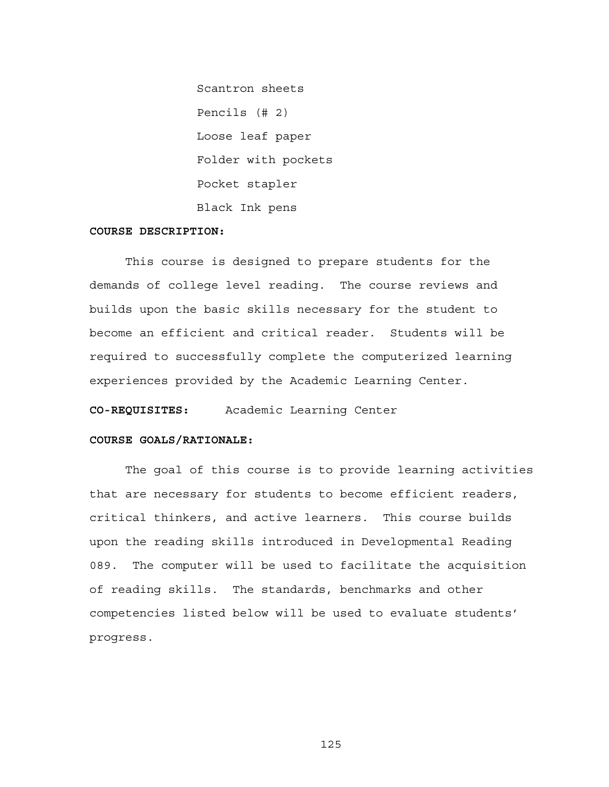Scantron sheets Pencils (# 2) Loose leaf paper Folder with pockets Pocket stapler Black Ink pens

## **COURSE DESCRIPTION:**

This course is designed to prepare students for the demands of college level reading. The course reviews and builds upon the basic skills necessary for the student to become an efficient and critical reader. Students will be required to successfully complete the computerized learning experiences provided by the Academic Learning Center.

**CO-REQUISITES:** Academic Learning Center

# **COURSE GOALS/RATIONALE:**

The goal of this course is to provide learning activities that are necessary for students to become efficient readers, critical thinkers, and active learners. This course builds upon the reading skills introduced in Developmental Reading 089. The computer will be used to facilitate the acquisition of reading skills. The standards, benchmarks and other competencies listed below will be used to evaluate students' progress.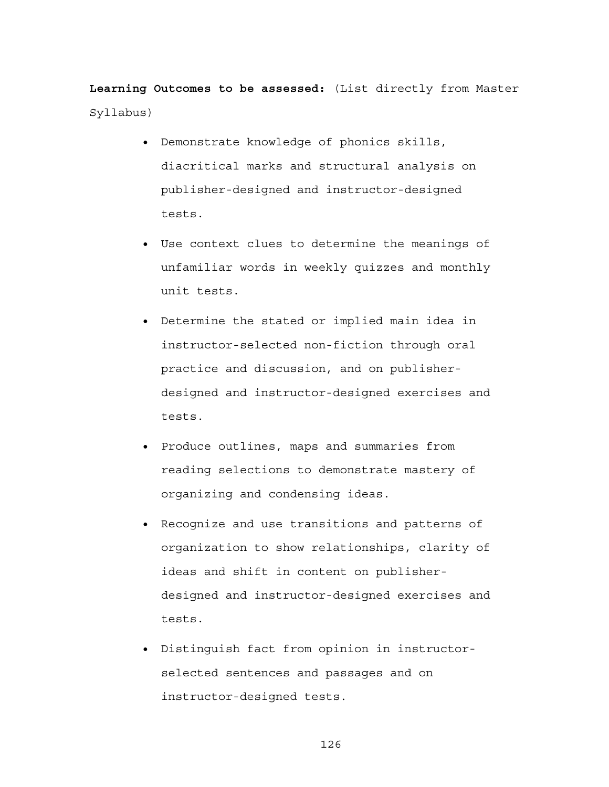**Learning Outcomes to be assessed:** (List directly from Master Syllabus)

- Demonstrate knowledge of phonics skills, diacritical marks and structural analysis on publisher-designed and instructor-designed tests.
- Use context clues to determine the meanings of unfamiliar words in weekly quizzes and monthly unit tests.
- Determine the stated or implied main idea in instructor-selected non-fiction through oral practice and discussion, and on publisherdesigned and instructor-designed exercises and tests.
- Produce outlines, maps and summaries from reading selections to demonstrate mastery of organizing and condensing ideas.
- Recognize and use transitions and patterns of organization to show relationships, clarity of ideas and shift in content on publisherdesigned and instructor-designed exercises and tests.
- Distinguish fact from opinion in instructorselected sentences and passages and on instructor-designed tests.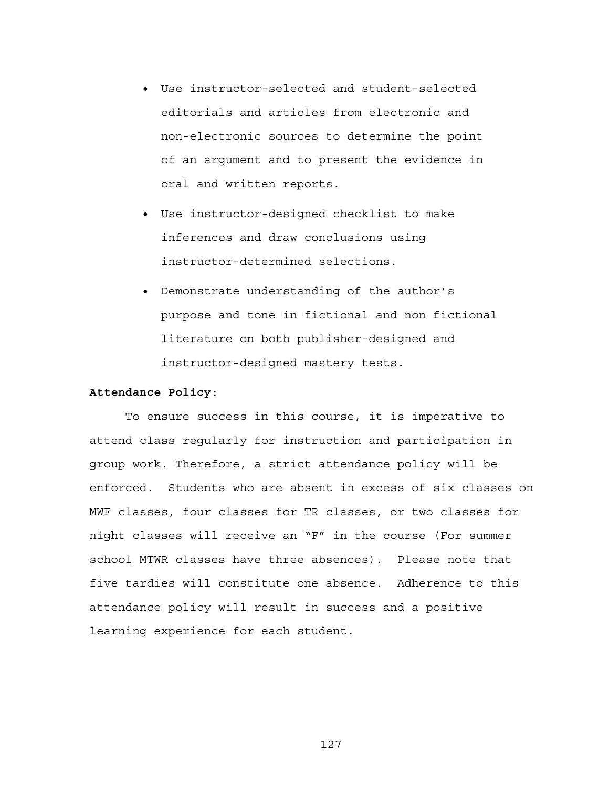- Use instructor-selected and student-selected editorials and articles from electronic and non-electronic sources to determine the point of an argument and to present the evidence in oral and written reports.
- Use instructor-designed checklist to make inferences and draw conclusions using instructor-determined selections.
- Demonstrate understanding of the author's purpose and tone in fictional and non fictional literature on both publisher-designed and instructor-designed mastery tests.

#### **Attendance Policy**:

To ensure success in this course, it is imperative to attend class regularly for instruction and participation in group work. Therefore, a strict attendance policy will be enforced. Students who are absent in excess of six classes on MWF classes, four classes for TR classes, or two classes for night classes will receive an "F" in the course (For summer school MTWR classes have three absences). Please note that five tardies will constitute one absence. Adherence to this attendance policy will result in success and a positive learning experience for each student.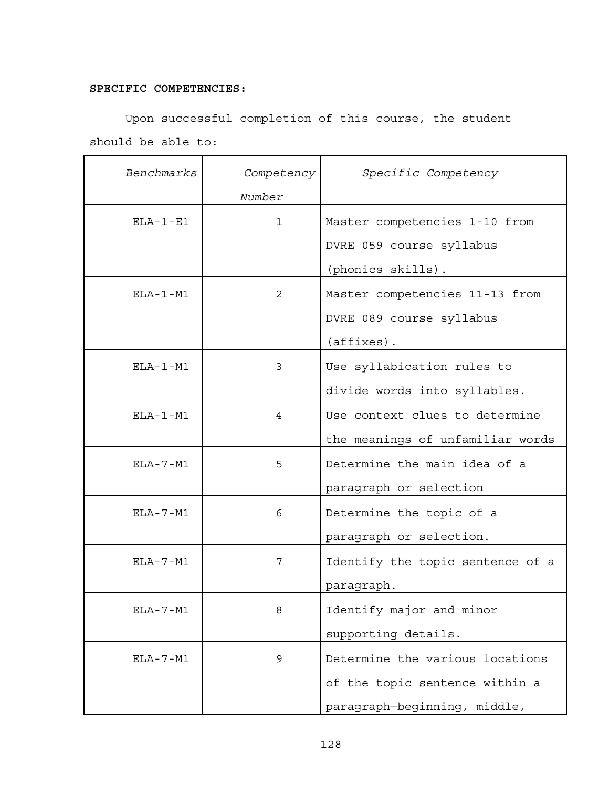# **SPECIFIC COMPETENCIES:**

Upon successful completion of this course, the student should be able to:

| Benchmarks     | Competency   | Specific Competency              |
|----------------|--------------|----------------------------------|
|                | Number       |                                  |
| $ELA - 1 - E1$ | $\mathbf{1}$ | Master competencies 1-10 from    |
|                |              | DVRE 059 course syllabus         |
|                |              | (phonics skills).                |
| $ELA-1-M1$     | 2            | Master competencies 11-13 from   |
|                |              | DVRE 089 course syllabus         |
|                |              | $(affixes)$ .                    |
| $ELA-1-M1$     | 3            | Use syllabication rules to       |
|                |              | divide words into syllables.     |
| $ELA-1-M1$     | 4            | Use context clues to determine   |
|                |              | the meanings of unfamiliar words |
| $ELA - 7 - M1$ | 5            | Determine the main idea of a     |
|                |              | paragraph or selection           |
| $ELA - 7 - M1$ | 6            | Determine the topic of a         |
|                |              | paragraph or selection.          |
| $ELA - 7 - M1$ | 7            | Identify the topic sentence of a |
|                |              | paragraph.                       |
| $ELA - 7 - M1$ | 8            | Identify major and minor         |
|                |              | supporting details.              |
| $ELA - 7 - M1$ | 9            | Determine the various locations  |
|                |              | of the topic sentence within a   |
|                |              | paragraph-beginning, middle,     |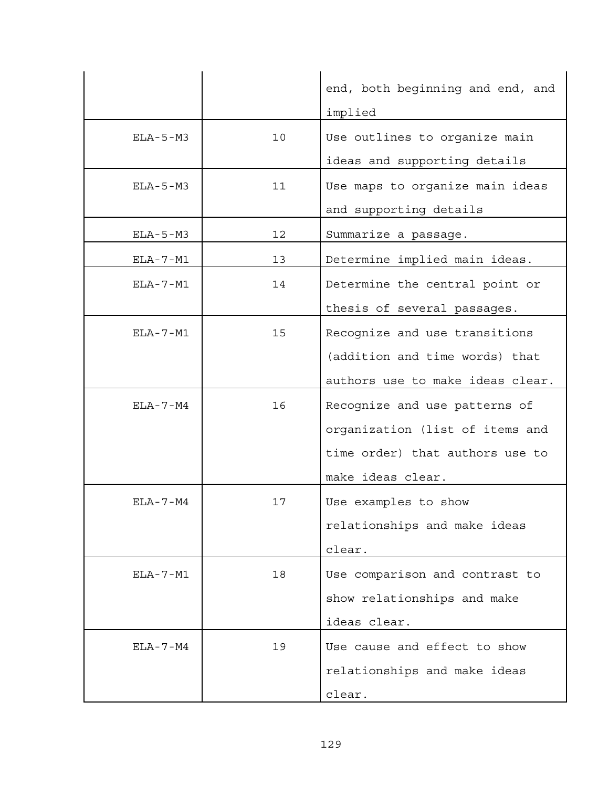|                |    | end, both beginning and end, and |
|----------------|----|----------------------------------|
|                |    | implied                          |
| $ELA - 5 - M3$ | 10 | Use outlines to organize main    |
|                |    | ideas and supporting details     |
| $ELA - 5 - M3$ | 11 | Use maps to organize main ideas  |
|                |    | and supporting details           |
| ELA-5-M3       | 12 | Summarize a passage.             |
| $ELA - 7 - M1$ | 13 | Determine implied main ideas.    |
| $ELA - 7 - M1$ | 14 | Determine the central point or   |
|                |    | thesis of several passages.      |
| $ELA - 7 - M1$ | 15 | Recognize and use transitions    |
|                |    | (addition and time words) that   |
|                |    | authors use to make ideas clear. |
| ELA-7-M4       | 16 | Recognize and use patterns of    |
|                |    | organization (list of items and  |
|                |    | time order) that authors use to  |
|                |    | make ideas clear.                |
| $ELA - 7 - M4$ | 17 | Use examples to show             |
|                |    | relationships and make ideas     |
|                |    | clear.                           |
| $ELA - 7 - M1$ | 18 | Use comparison and contrast to   |
|                |    | show relationships and make      |
|                |    | ideas clear.                     |
| $ELA - 7 - M4$ | 19 | Use cause and effect to show     |
|                |    | relationships and make ideas     |
|                |    | clear.                           |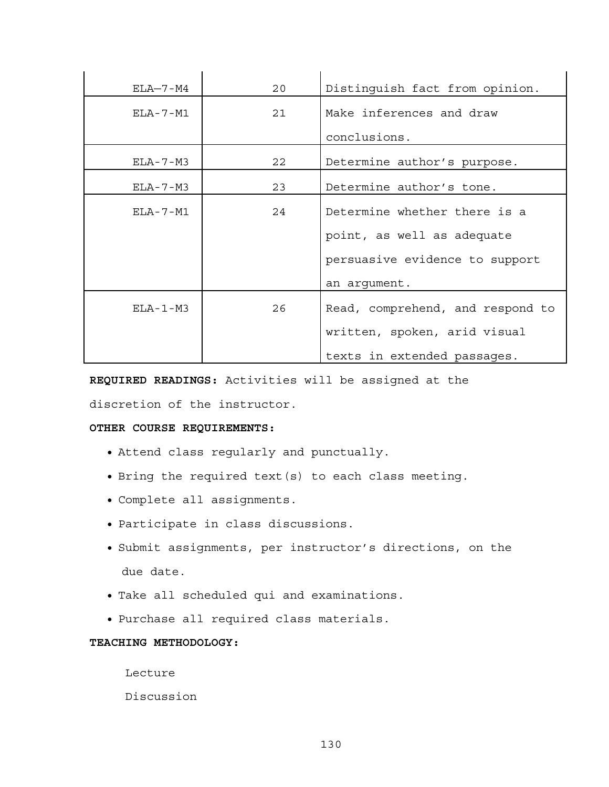| $ELA-7-M4$       | 20 | Distinguish fact from opinion.   |
|------------------|----|----------------------------------|
| $F.I.A - 7 - M1$ | 21 | Make inferences and draw         |
|                  |    | conclusions.                     |
| $ELA - 7 - M3$   | 22 | Determine author's purpose.      |
| $ELA - 7 - M3$   | 23 | Determine author's tone.         |
| $ELA - 7 - M1$   | 24 | Determine whether there is a     |
|                  |    | point, as well as adequate       |
|                  |    | persuasive evidence to support   |
|                  |    | an argument.                     |
| $ELA-1-M3$       | 26 | Read, comprehend, and respond to |
|                  |    | written, spoken, arid visual     |
|                  |    | texts in extended passages.      |

**REQUIRED READINGS:** Activities will be assigned at the

discretion of the instructor.

## **OTHER COURSE REQUIREMENTS:**

- Attend class regularly and punctually.
- Bring the required text(s) to each class meeting.
- Complete all assignments.
- Participate in class discussions.
- Submit assignments, per instructor's directions, on the due date.
- Take all scheduled qui and examinations.
- Purchase all required class materials.

# **TEACHING METHODOLOGY:**

Lecture

Discussion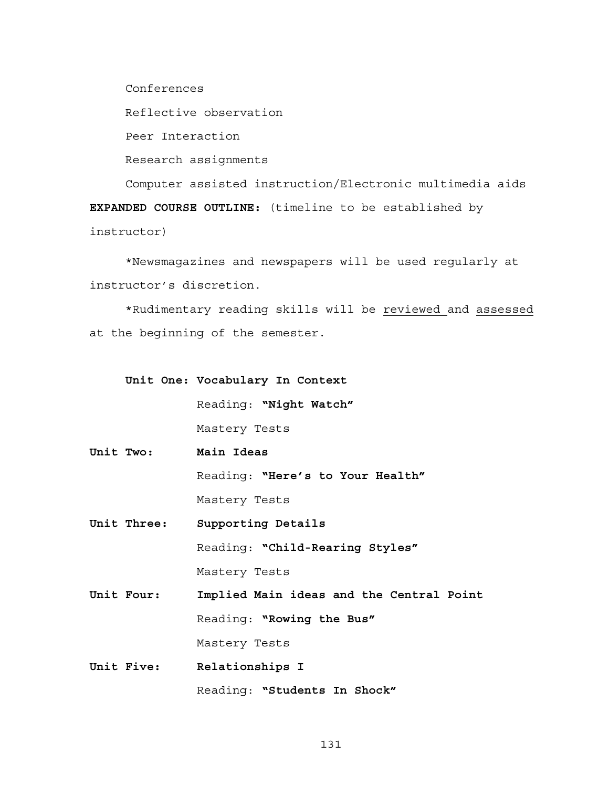Conferences

Reflective observation

Peer Interaction

Research assignments

 Computer assisted instruction/Electronic multimedia aids **EXPANDED COURSE OUTLINE:** (timeline to be established by instructor)

\*Newsmagazines and newspapers will be used regularly at instructor's discretion.

\*Rudimentary reading skills will be reviewed and assessed at the beginning of the semester.

**Unit One: Vocabulary In Context**

Reading: **"Night Watch"**

Mastery Tests

**Unit Two: Main Ideas**

Reading: **"Here's to Your Health"** Mastery Tests

- **Unit Three: Supporting Details** Reading: **"Child-Rearing Styles"** Mastery Tests
- **Unit Four: Implied Main ideas and the Central Point** Reading: **"Rowing the Bus"** Mastery Tests
- **Unit Five: Relationships I** Reading: **"Students In Shock"**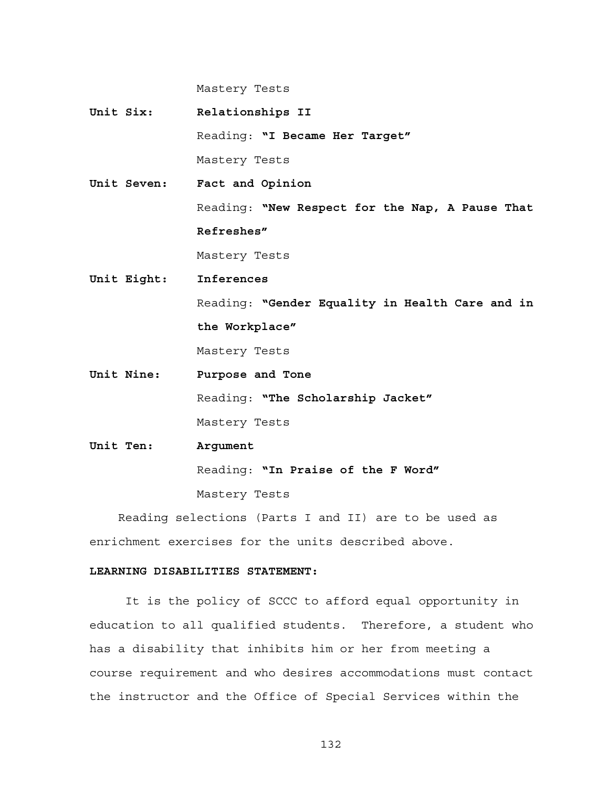Mastery Tests

**Unit Six: Relationships II** Reading: **"I Became Her Target"** Mastery Tests **Unit Seven: Fact and Opinion**

> Reading: **"New Respect for the Nap, A Pause That Refreshes"**

Mastery Tests

- **Unit Eight: Inferences** Reading: **"Gender Equality in Health Care and in the Workplace"** Mastery Tests
- **Unit Nine: Purpose and Tone** Reading: **"The Scholarship Jacket"** Mastery Tests
- **Unit Ten: Argument** Reading: **"In Praise of the F Word"** Mastery Tests

 Reading selections (Parts I and II) are to be used as enrichment exercises for the units described above.

### **LEARNING DISABILITIES STATEMENT:**

It is the policy of SCCC to afford equal opportunity in education to all qualified students. Therefore, a student who has a disability that inhibits him or her from meeting a course requirement and who desires accommodations must contact the instructor and the Office of Special Services within the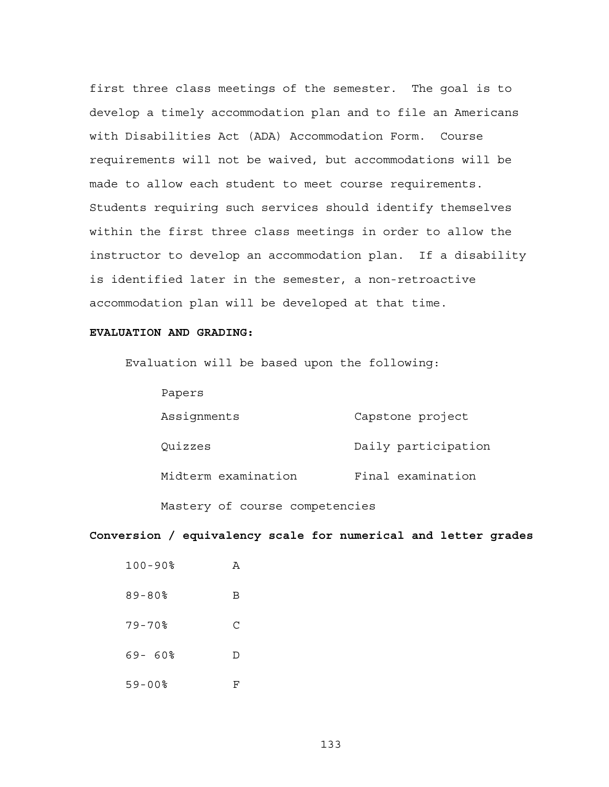first three class meetings of the semester. The goal is to develop a timely accommodation plan and to file an Americans with Disabilities Act (ADA) Accommodation Form. Course requirements will not be waived, but accommodations will be made to allow each student to meet course requirements. Students requiring such services should identify themselves within the first three class meetings in order to allow the instructor to develop an accommodation plan. If a disability is identified later in the semester, a non-retroactive accommodation plan will be developed at that time.

#### **EVALUATION AND GRADING:**

Evaluation will be based upon the following:

| Papers              |                     |
|---------------------|---------------------|
| Assignments         | Capstone project    |
| Quizzes             | Daily participation |
| Midterm examination | Final examination   |

Mastery of course competencies

# **Conversion / equivalency scale for numerical and letter grades**

| $100 - 90$    | A |
|---------------|---|
| $89 - 80$     | В |
| $79 - 70$     | С |
| 69-60%        | D |
| $59 - 00$ $8$ | F |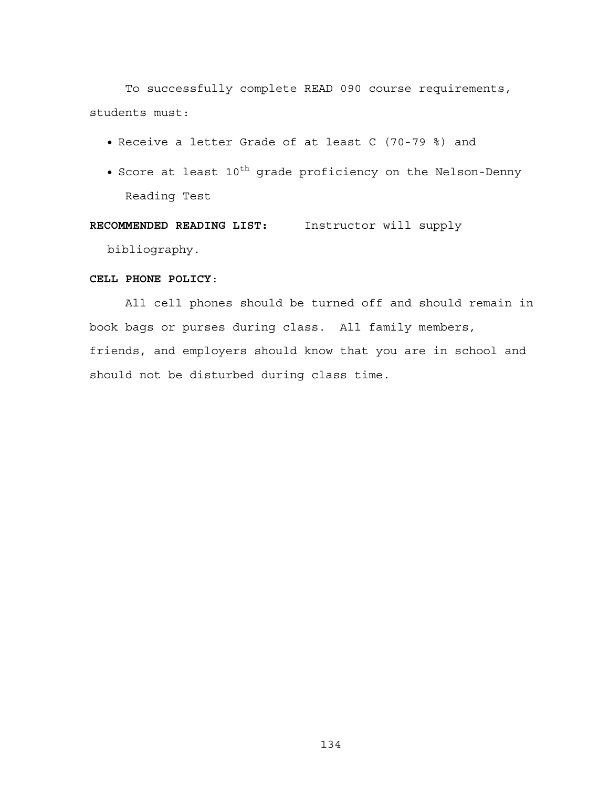To successfully complete READ 090 course requirements, students must:

- Receive a letter Grade of at least C (70-79 %) and
- Score at least  $10^{th}$  grade proficiency on the Nelson-Denny Reading Test

**RECOMMENDED READING LIST:** Instructor will supply

bibliography.

# **CELL PHONE POLICY**:

All cell phones should be turned off and should remain in book bags or purses during class. All family members, friends, and employers should know that you are in school and should not be disturbed during class time.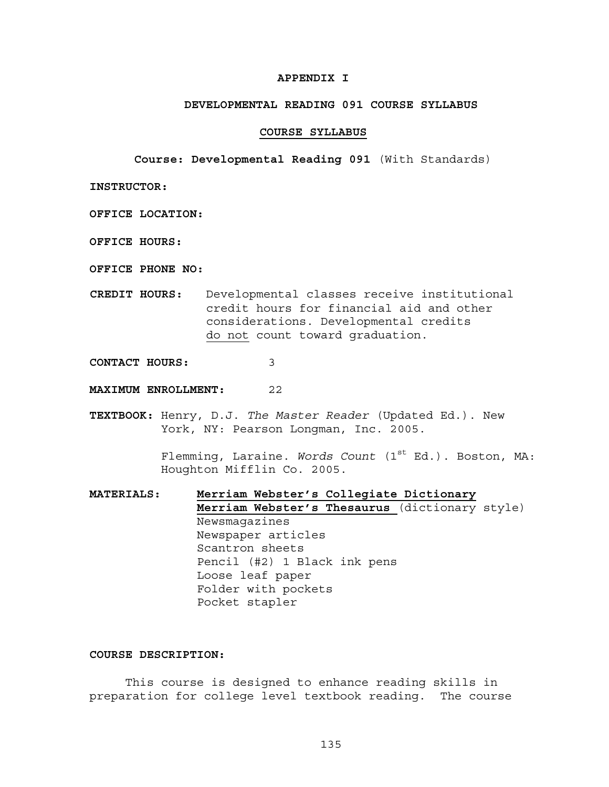## **APPENDIX I**

### **DEVELOPMENTAL READING 091 COURSE SYLLABUS**

#### **COURSE SYLLABUS**

**Course: Developmental Reading 091** (With Standards)

**INSTRUCTOR:** 

- **OFFICE LOCATION:**
- **OFFICE HOURS:**
- **OFFICE PHONE NO:**
- **CREDIT HOURS:** Developmental classes receive institutional credit hours for financial aid and other considerations. Developmental credits do not count toward graduation.
- **CONTACT HOURS:** 3
- **MAXIMUM ENROLLMENT:** 22
- **TEXTBOOK:** Henry, D.J. *The Master Reader* (Updated Ed.). New York, NY: Pearson Longman, Inc. 2005.

Flemming, Laraine. *Words Count* (1<sup>st</sup> Ed.). Boston, MA: Houghton Mifflin Co. 2005.

**MATERIALS: Merriam Webster's Collegiate Dictionary Merriam Webster's Thesaurus** (dictionary style) Newsmagazines Newspaper articles Scantron sheets Pencil (#2) 1 Black ink pens Loose leaf paper Folder with pockets Pocket stapler

## **COURSE DESCRIPTION:**

This course is designed to enhance reading skills in preparation for college level textbook reading. The course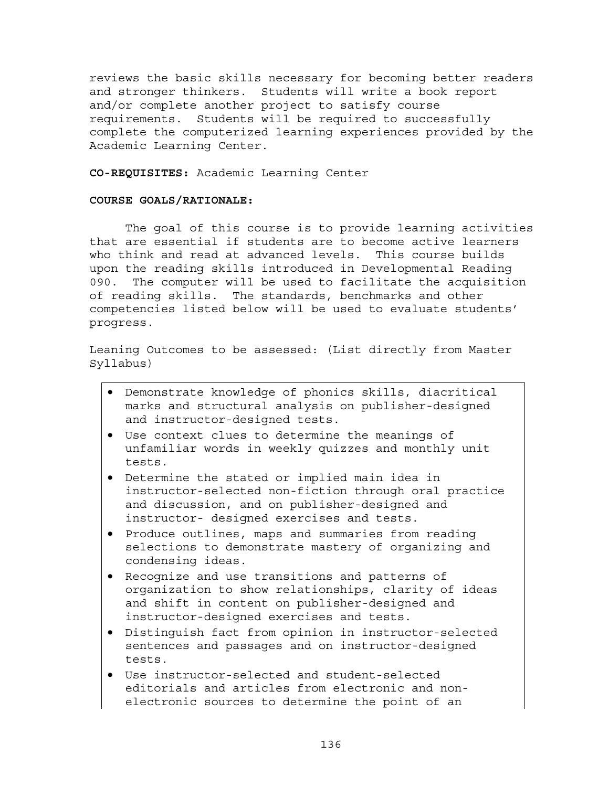reviews the basic skills necessary for becoming better readers and stronger thinkers. Students will write a book report and/or complete another project to satisfy course requirements. Students will be required to successfully complete the computerized learning experiences provided by the Academic Learning Center.

**CO-REQUISITES:** Academic Learning Center

### **COURSE GOALS/RATIONALE:**

The goal of this course is to provide learning activities that are essential if students are to become active learners who think and read at advanced levels. This course builds upon the reading skills introduced in Developmental Reading 090. The computer will be used to facilitate the acquisition of reading skills. The standards, benchmarks and other competencies listed below will be used to evaluate students' progress.

Leaning Outcomes to be assessed: (List directly from Master Syllabus)

- Demonstrate knowledge of phonics skills, diacritical marks and structural analysis on publisher-designed and instructor-designed tests.
- Use context clues to determine the meanings of unfamiliar words in weekly quizzes and monthly unit tests.
- Determine the stated or implied main idea in instructor-selected non-fiction through oral practice and discussion, and on publisher-designed and instructor- designed exercises and tests.
- Produce outlines, maps and summaries from reading selections to demonstrate mastery of organizing and condensing ideas.
- Recognize and use transitions and patterns of organization to show relationships, clarity of ideas and shift in content on publisher-designed and instructor-designed exercises and tests.
- Distinguish fact from opinion in instructor-selected sentences and passages and on instructor-designed tests.
- Use instructor-selected and student-selected editorials and articles from electronic and nonelectronic sources to determine the point of an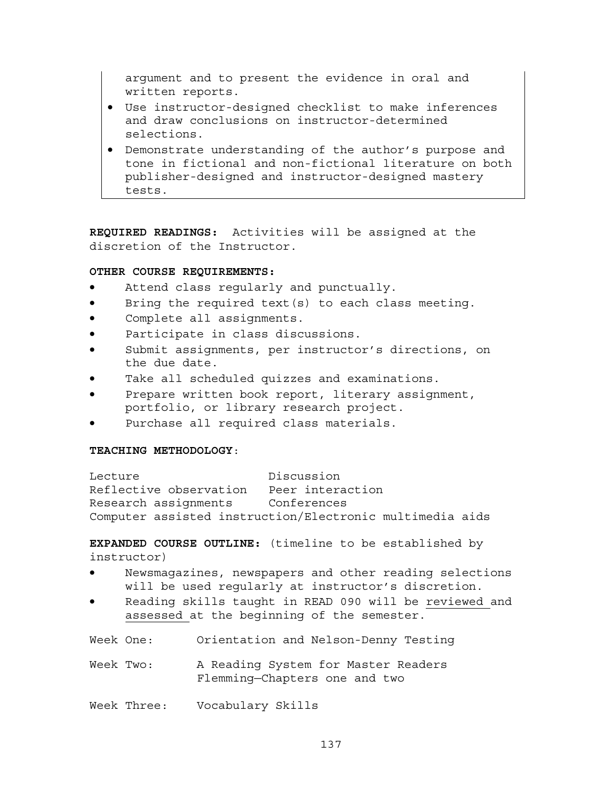argument and to present the evidence in oral and written reports.

- Use instructor-designed checklist to make inferences and draw conclusions on instructor-determined selections.
- Demonstrate understanding of the author's purpose and tone in fictional and non-fictional literature on both publisher-designed and instructor-designed mastery tests.

**REQUIRED READINGS:** Activities will be assigned at the discretion of the Instructor.

# **OTHER COURSE REQUIREMENTS:**

- Attend class regularly and punctually.
- Bring the required text  $(s)$  to each class meeting.
- Complete all assignments.
- Participate in class discussions.
- Submit assignments, per instructor's directions, on the due date.
- Take all scheduled quizzes and examinations.
- Prepare written book report, literary assignment, portfolio, or library research project.
- Purchase all required class materials.

## **TEACHING METHODOLOGY**:

Lecture Discussion Reflective observation Peer interaction Research assignments Conferences Computer assisted instruction/Electronic multimedia aids

**EXPANDED COURSE OUTLINE:** (timeline to be established by instructor)

- Newsmagazines, newspapers and other reading selections will be used regularly at instructor's discretion.
- Reading skills taught in READ 090 will be reviewed and assessed at the beginning of the semester.
- Week One: Orientation and Nelson-Denny Testing
- Week Two: A Reading System for Master Readers Flemming—Chapters one and two
- Week Three: Vocabulary Skills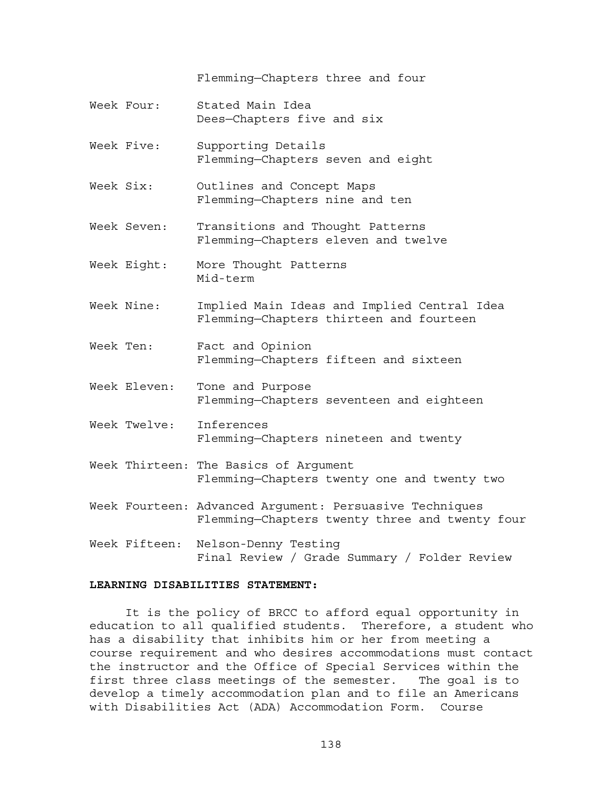Flemming—Chapters three and four

- Week Four: Stated Main Idea Dees—Chapters five and six
- Week Five: Supporting Details Flemming—Chapters seven and eight
- Week Six: Outlines and Concept Maps Flemming—Chapters nine and ten
- Week Seven: Transitions and Thought Patterns Flemming—Chapters eleven and twelve
- Week Eight: More Thought Patterns Mid-term
- Week Nine: Implied Main Ideas and Implied Central Idea Flemming—Chapters thirteen and fourteen
- Week Ten: Fact and Opinion Flemming—Chapters fifteen and sixteen
- Week Eleven: Tone and Purpose Flemming—Chapters seventeen and eighteen
- Week Twelve: Inferences Flemming—Chapters nineteen and twenty
- Week Thirteen: The Basics of Argument Flemming—Chapters twenty one and twenty two
- Week Fourteen: Advanced Argument: Persuasive Techniques Flemming—Chapters twenty three and twenty four
- Week Fifteen: Nelson-Denny Testing Final Review / Grade Summary / Folder Review

### **LEARNING DISABILITIES STATEMENT:**

It is the policy of BRCC to afford equal opportunity in education to all qualified students. Therefore, a student who has a disability that inhibits him or her from meeting a course requirement and who desires accommodations must contact the instructor and the Office of Special Services within the first three class meetings of the semester. The goal is to develop a timely accommodation plan and to file an Americans with Disabilities Act (ADA) Accommodation Form. Course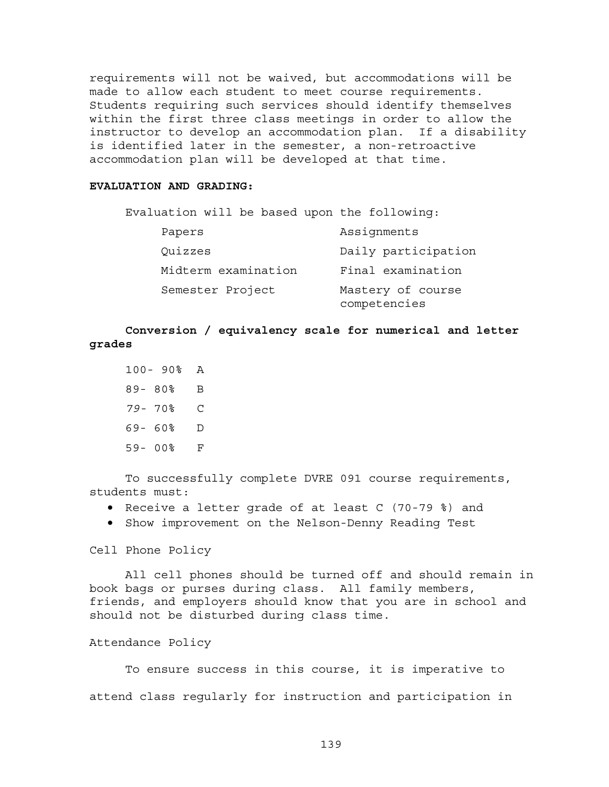requirements will not be waived, but accommodations will be made to allow each student to meet course requirements. Students requiring such services should identify themselves within the first three class meetings in order to allow the instructor to develop an accommodation plan. If a disability is identified later in the semester, a non-retroactive accommodation plan will be developed at that time.

## **EVALUATION AND GRADING:**

| Evaluation will be based upon the following: |                                   |
|----------------------------------------------|-----------------------------------|
| Papers                                       | Assignments                       |
| Quizzes                                      | Daily participation               |
| Midterm examination                          | Final examination                 |
| Semester Project                             | Mastery of course<br>competencies |

**Conversion / equivalency scale for numerical and letter grades** 

|           | $100 - 90$ | A |
|-----------|------------|---|
| $89 - 80$ |            | B |
| $79 - 70$ |            | C |
| 69-       | 60%        | D |
| $59 -$    | 00%        | F |

To successfully complete DVRE 091 course requirements, students must:

- Receive a letter grade of at least C (70-79 %) and
- Show improvement on the Nelson-Denny Reading Test

Cell Phone Policy

All cell phones should be turned off and should remain in book bags or purses during class. All family members, friends, and employers should know that you are in school and should not be disturbed during class time.

## Attendance Policy

To ensure success in this course, it is imperative to attend class regularly for instruction and participation in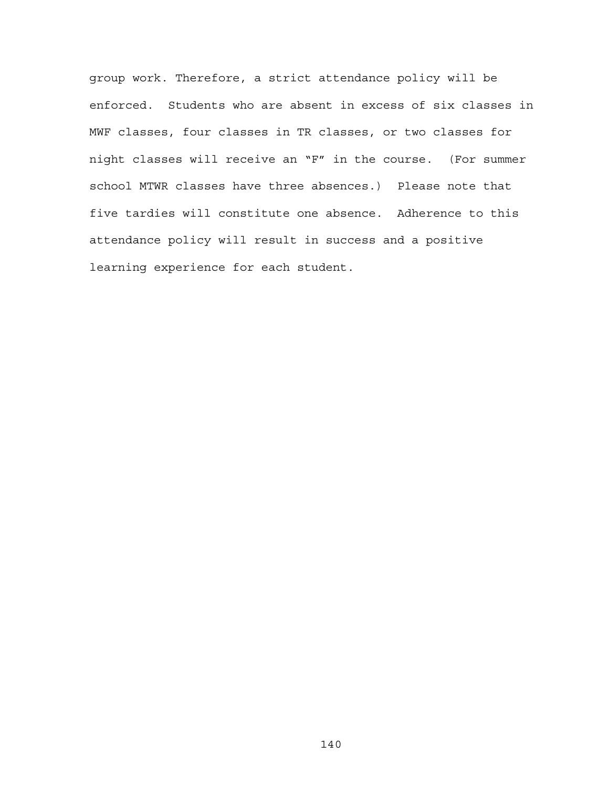group work. Therefore, a strict attendance policy will be enforced. Students who are absent in excess of six classes in MWF classes, four classes in TR classes, or two classes for night classes will receive an "F" in the course. (For summer school MTWR classes have three absences.) Please note that five tardies will constitute one absence. Adherence to this attendance policy will result in success and a positive learning experience for each student.